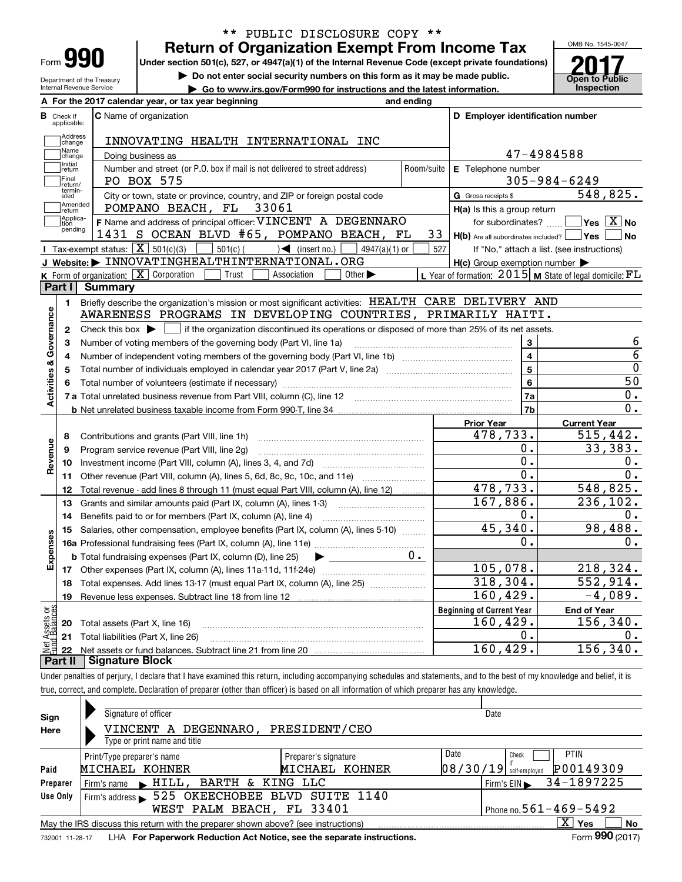| Form |  |
|------|--|

### **Return of Organization Exempt From Income Tax** \*\* PUBLIC DISCLOSURE COPY \*\*

**Under section 501(c), 527, or 4947(a)(1) of the Internal Revenue Code (except private foundations)**

Department of the Treasury Internal Revenue Service

**| Do not enter social security numbers on this form as it may be made public.**



**| Go to www.irs.gov/Form990 for instructions and the latest information. Inspection**

| A For the 2017 calendar year, or tax year beginning<br>and ending |  |
|-------------------------------------------------------------------|--|
|                                                                   |  |

| в                       | Check if<br>applicable:     | <b>C</b> Name of organization                                                                                                                       |                               | D Employer identification number                    |                                                             |
|-------------------------|-----------------------------|-----------------------------------------------------------------------------------------------------------------------------------------------------|-------------------------------|-----------------------------------------------------|-------------------------------------------------------------|
|                         | Address<br>change           | INNOVATING HEALTH INTERNATIONAL INC                                                                                                                 |                               |                                                     |                                                             |
|                         | Name<br>change              | Doing business as                                                                                                                                   |                               | 47-4984588                                          |                                                             |
|                         | Initial<br>return           | Number and street (or P.O. box if mail is not delivered to street address)                                                                          | Room/suite E Telephone number |                                                     |                                                             |
|                         | Final<br>return/            | PO BOX 575                                                                                                                                          |                               | $305 - 984 - 6249$                                  |                                                             |
|                         | termin-<br>ated             | City or town, state or province, country, and ZIP or foreign postal code                                                                            | G Gross receipts \$           | 548,825.                                            |                                                             |
|                         | Amended<br>return           | POMPANO BEACH, FL 33061                                                                                                                             |                               | $H(a)$ is this a group return                       |                                                             |
|                         | Applica-<br>tion<br>pending | F Name and address of principal officer: VINCENT A DEGENNARO                                                                                        |                               | for subordinates?                                   | $\blacksquare$ Yes $\overline{X}$ No                        |
|                         |                             | 1431 S OCEAN BLVD #65, POMPANO BEACH, FL                                                                                                            | 33                            | $H(b)$ Are all subordinates included? $\vert$ Yes   | ∣No                                                         |
|                         |                             | Tax-exempt status: $\boxed{\mathbf{X}}$ 501(c)(3)<br>$501(c)$ (<br>$\sqrt{\frac{1}{1}}$ (insert no.)<br>$4947(a)(1)$ or                             | 527                           |                                                     | If "No," attach a list. (see instructions)                  |
|                         |                             | J Website: > INNOVATINGHEALTHINTERNATIONAL.ORG                                                                                                      |                               | $H(c)$ Group exemption number $\blacktriangleright$ |                                                             |
|                         |                             | <b>K</b> Form of organization: $\boxed{\mathbf{X}}$ Corporation<br>Trust<br>Association<br>Other $\blacktriangleright$                              |                               |                                                     | L Year of formation: $2015$ M State of legal domicile: $FL$ |
|                         | Part I                      | <b>Summary</b>                                                                                                                                      |                               |                                                     |                                                             |
|                         | $\mathbf{1}$                | Briefly describe the organization's mission or most significant activities: HEALTH CARE DELIVERY AND                                                |                               |                                                     |                                                             |
| Activities & Governance |                             | AWARENESS PROGRAMS IN DEVELOPING COUNTRIES, PRIMARILY HAITI.                                                                                        |                               |                                                     |                                                             |
|                         | $\mathbf{2}$                | Check this box $\blacktriangleright$ $\blacksquare$ if the organization discontinued its operations or disposed of more than 25% of its net assets. |                               |                                                     | 6                                                           |
|                         | 3                           | Number of voting members of the governing body (Part VI, line 1a)                                                                                   |                               | $\overline{4}$                                      | $\overline{6}$                                              |
|                         | 4                           |                                                                                                                                                     |                               | $\overline{5}$                                      | $\overline{0}$                                              |
|                         | 5                           |                                                                                                                                                     |                               | $\bf{6}$                                            | $\overline{50}$                                             |
|                         | 6                           |                                                                                                                                                     |                               | 7a                                                  | 0.                                                          |
|                         |                             |                                                                                                                                                     | 7b                            | 0.                                                  |                                                             |
|                         |                             |                                                                                                                                                     |                               | <b>Prior Year</b>                                   | <b>Current Year</b>                                         |
|                         | 8                           | Contributions and grants (Part VIII, line 1h)                                                                                                       |                               | 478,733.                                            | 515,442.                                                    |
|                         | 9                           | Program service revenue (Part VIII, line 2g)                                                                                                        |                               | 0.                                                  | 33,383.                                                     |
| Revenue                 | 10                          |                                                                                                                                                     |                               | $\overline{0}$ .                                    | 0.                                                          |
|                         | 11                          | Other revenue (Part VIII, column (A), lines 5, 6d, 8c, 9c, 10c, and 11e)                                                                            |                               | $\overline{0}$ .                                    | $\overline{0}$ .                                            |
|                         | 12                          | Total revenue - add lines 8 through 11 (must equal Part VIII, column (A), line 12)                                                                  |                               | 478,733.                                            | 548,825.                                                    |
|                         | 13                          | Grants and similar amounts paid (Part IX, column (A), lines 1-3)                                                                                    |                               | 167,886.                                            | 236,102.                                                    |
|                         | 14                          | Benefits paid to or for members (Part IX, column (A), line 4)                                                                                       |                               | 0.                                                  | 0.                                                          |
|                         | 15                          | Salaries, other compensation, employee benefits (Part IX, column (A), lines 5-10)                                                                   |                               | 45,340.                                             | 98,488.                                                     |
| Expenses                |                             |                                                                                                                                                     |                               | 0.                                                  | Ο.                                                          |
|                         |                             | <b>b</b> Total fundraising expenses (Part IX, column (D), line 25)                                                                                  |                               |                                                     |                                                             |
|                         |                             |                                                                                                                                                     |                               | 105,078.                                            | 218, 324.                                                   |
|                         | 18                          | Total expenses. Add lines 13-17 (must equal Part IX, column (A), line 25)                                                                           |                               | 318,304.                                            | 552,914.                                                    |
|                         | 19                          |                                                                                                                                                     |                               | 160, 429.                                           | $-4,089.$                                                   |
| äğ                      |                             |                                                                                                                                                     |                               | <b>Beginning of Current Year</b>                    | <b>End of Year</b>                                          |
| <b>Assets</b><br>Ralam  |                             | 20 Total assets (Part X, line 16)                                                                                                                   |                               | 160, 429.                                           | 156, 340.                                                   |
|                         |                             | 21 Total liabilities (Part X, line 26)                                                                                                              |                               | 0.                                                  | Ο.                                                          |
|                         |                             | باممال وسيخوهمنك ا                                                                                                                                  |                               | 160, 429.                                           | 156, 340.                                                   |

**Part II Signature Block**

Under penalties of perjury, I declare that I have examined this return, including accompanying schedules and statements, and to the best of my knowledge and belief, it is true, correct, and complete. Declaration of preparer (other than officer) is based on all information of which preparer has any knowledge.

| Sign            | Signature of officer                                                                                                  |                      |      | Date                                  |  |  |  |
|-----------------|-----------------------------------------------------------------------------------------------------------------------|----------------------|------|---------------------------------------|--|--|--|
| Here            | VINCENT A DEGENNARO,                                                                                                  | PRESIDENT/CEO        |      |                                       |  |  |  |
|                 | Type or print name and title                                                                                          |                      |      |                                       |  |  |  |
|                 | Print/Type preparer's name                                                                                            | Preparer's signature | Date | <b>PTIN</b><br>Check                  |  |  |  |
| Paid            | MICHAEL KOHNER                                                                                                        | MICHAEL KOHNER       |      | P00149309<br>$08/30/19$ self-employed |  |  |  |
| Preparer        | Firm's name FillL, BARTH & KING LLC                                                                                   |                      |      | Firm's EIN $\rightarrow$ 34-1897225   |  |  |  |
| Use Only        | 525 OKEECHOBEE BLVD SUITE 1140<br>Firm's address                                                                      |                      |      |                                       |  |  |  |
|                 | WEST PALM BEACH, FL 33401                                                                                             |                      |      | Phone no. $561 - 469 - 5492$          |  |  |  |
|                 | $\mathbf{x}$<br><b>No</b><br>Yes<br>May the IRS discuss this return with the preparer shown above? (see instructions) |                      |      |                                       |  |  |  |
| 732001 11-28-17 | LHA For Paperwork Reduction Act Notice, see the separate instructions.                                                |                      |      | Form 990 (2017)                       |  |  |  |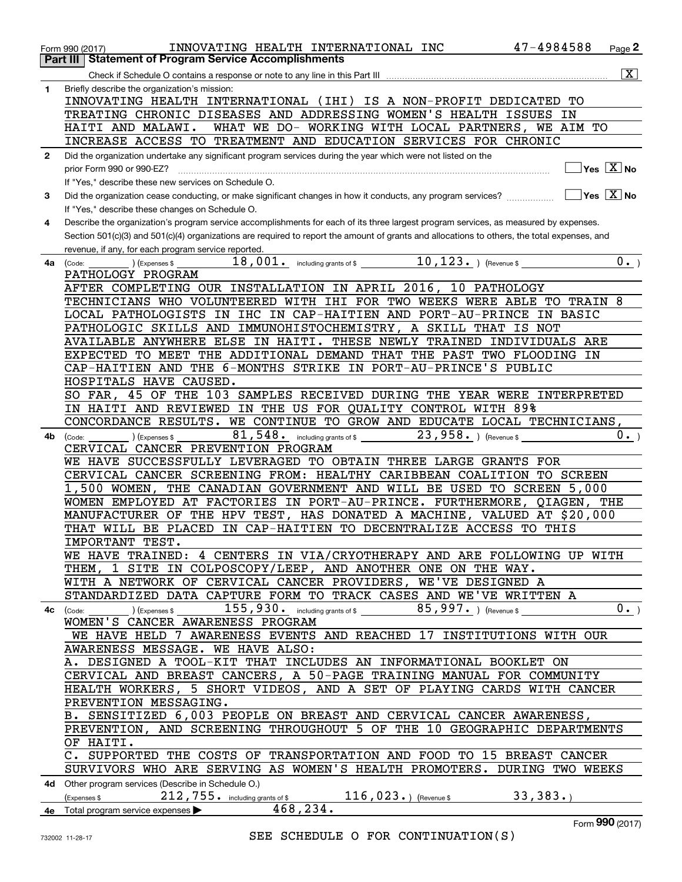|              | INNOVATING HEALTH INTERNATIONAL INC<br>Form 990 (2017)                                                                                       | 47-4984588<br>Page $2$                     |
|--------------|----------------------------------------------------------------------------------------------------------------------------------------------|--------------------------------------------|
|              | <b>Statement of Program Service Accomplishments</b><br>Part III                                                                              |                                            |
|              |                                                                                                                                              | $\overline{\mathbf{x}}$                    |
|              |                                                                                                                                              |                                            |
| 1            | Briefly describe the organization's mission:<br>INNOVATING HEALTH INTERNATIONAL (IHI) IS A NON-PROFIT DEDICATED TO                           |                                            |
|              |                                                                                                                                              |                                            |
|              | TREATING CHRONIC DISEASES AND ADDRESSING WOMEN'S HEALTH ISSUES IN                                                                            |                                            |
|              | WHAT WE DO- WORKING WITH LOCAL PARTNERS, WE AIM TO<br>HAITI AND MALAWI.                                                                      |                                            |
|              | INCREASE ACCESS TO TREATMENT AND EDUCATION SERVICES FOR CHRONIC                                                                              |                                            |
| $\mathbf{2}$ | Did the organization undertake any significant program services during the year which were not listed on the                                 |                                            |
|              | prior Form 990 or 990-EZ?                                                                                                                    | $\overline{\ }$ Yes $\overline{\ \ \ }$ No |
|              | If "Yes." describe these new services on Schedule O.                                                                                         |                                            |
| 3            | Did the organization cease conducting, or make significant changes in how it conducts, any program services?                                 | $\sqrt{Y}$ es $\boxed{X}$ No               |
|              | If "Yes," describe these changes on Schedule O.                                                                                              |                                            |
| 4            |                                                                                                                                              |                                            |
|              | Describe the organization's program service accomplishments for each of its three largest program services, as measured by expenses.         |                                            |
|              | Section 501(c)(3) and 501(c)(4) organizations are required to report the amount of grants and allocations to others, the total expenses, and |                                            |
|              | revenue, if any, for each program service reported.                                                                                          |                                            |
| 4a           | $\overline{\phantom{x}}$ ) (Expenses \$<br>(Code:                                                                                            | $0 \cdot$ )                                |
|              | PATHOLOGY PROGRAM                                                                                                                            |                                            |
|              | AFTER COMPLETING OUR INSTALLATION IN APRIL 2016, 10 PATHOLOGY                                                                                |                                            |
|              | TECHNICIANS WHO VOLUNTEERED WITH IHI FOR TWO WEEKS WERE ABLE TO TRAIN 8                                                                      |                                            |
|              | LOCAL PATHOLOGISTS IN IHC IN CAP-HAITIEN AND PORT-AU-PRINCE IN BASIC                                                                         |                                            |
|              | PATHOLOGIC SKILLS AND IMMUNOHISTOCHEMISTRY, A SKILL THAT IS NOT                                                                              |                                            |
|              | AVAILABLE ANYWHERE ELSE IN HAITI. THESE NEWLY TRAINED INDIVIDUALS ARE                                                                        |                                            |
|              | EXPECTED TO MEET THE ADDITIONAL DEMAND THAT THE PAST TWO FLOODING IN                                                                         |                                            |
|              | CAP-HAITIEN AND THE 6-MONTHS STRIKE IN PORT-AU-PRINCE'S PUBLIC                                                                               |                                            |
|              | HOSPITALS HAVE CAUSED.                                                                                                                       |                                            |
|              |                                                                                                                                              |                                            |
|              | SO FAR, 45 OF THE 103 SAMPLES RECEIVED DURING THE YEAR WERE INTERPRETED                                                                      |                                            |
|              | IN HAITI AND REVIEWED IN THE US FOR QUALITY CONTROL WITH 89%                                                                                 |                                            |
|              | CONCORDANCE RESULTS. WE CONTINUE TO GROW AND EDUCATE LOCAL TECHNICIANS,                                                                      |                                            |
| 4b.          | $81,548$ and $\overline{\phantom{a}}$ including grants of \$<br>$23,958$ . ) (Revenue \$<br>(Expenses \$<br>(Code:                           | $0 \cdot$ )                                |
|              | CERVICAL CANCER PREVENTION PROGRAM                                                                                                           |                                            |
|              | WE HAVE SUCCESSFULLY LEVERAGED TO OBTAIN THREE LARGE GRANTS FOR                                                                              |                                            |
|              | CERVICAL CANCER SCREENING FROM: HEALTHY CARIBBEAN COALITION TO SCREEN                                                                        |                                            |
|              | 1,500 WOMEN, THE CANADIAN GOVERNMENT AND WILL BE USED TO SCREEN 5,000                                                                        |                                            |
|              | WOMEN EMPLOYED AT FACTORIES IN PORT-AU-PRINCE. FURTHERMORE, QIAGEN, THE                                                                      |                                            |
|              | MANUFACTURER OF THE HPV TEST, HAS DONATED A MACHINE, VALUED AT \$20,000                                                                      |                                            |
|              | THAT WILL BE PLACED IN CAP-HAITIEN TO DECENTRALIZE ACCESS TO THIS                                                                            |                                            |
|              | IMPORTANT TEST.                                                                                                                              |                                            |
|              | WE HAVE TRAINED: 4 CENTERS IN VIA/CRYOTHERAPY AND ARE FOLLOWING UP WITH                                                                      |                                            |
|              | THEM, 1 SITE IN COLPOSCOPY/LEEP, AND ANOTHER ONE ON THE WAY.                                                                                 |                                            |
|              | WITH A NETWORK OF CERVICAL CANCER PROVIDERS, WE'VE DESIGNED A                                                                                |                                            |
|              | STANDARDIZED DATA CAPTURE FORM TO TRACK CASES AND WE'VE WRITTEN A                                                                            |                                            |
|              | $155$ , $930$ . including grants of \$ $85$ , $997$ . ) (Revenue \$                                                                          | $\overline{0}_{\cdot}$                     |
|              | (Expenses \$<br>$4c$ (Code:<br>WOMEN'S CANCER AWARENESS PROGRAM                                                                              |                                            |
|              |                                                                                                                                              |                                            |
|              | WE HAVE HELD 7 AWARENESS EVENTS AND REACHED 17 INSTITUTIONS WITH OUR                                                                         |                                            |
|              | AWARENESS MESSAGE. WE HAVE ALSO:                                                                                                             |                                            |
|              | A. DESIGNED A TOOL-KIT THAT INCLUDES AN INFORMATIONAL BOOKLET ON                                                                             |                                            |
|              | CERVICAL AND BREAST CANCERS, A 50-PAGE TRAINING MANUAL FOR COMMUNITY                                                                         |                                            |
|              | HEALTH WORKERS, 5 SHORT VIDEOS, AND A SET OF PLAYING CARDS WITH CANCER                                                                       |                                            |
|              | PREVENTION MESSAGING.                                                                                                                        |                                            |
|              | B. SENSITIZED 6,003 PEOPLE ON BREAST AND CERVICAL CANCER AWARENESS,                                                                          |                                            |
|              | PREVENTION, AND SCREENING THROUGHOUT 5 OF THE 10 GEOGRAPHIC DEPARTMENTS                                                                      |                                            |
|              | OF HAITI.                                                                                                                                    |                                            |
|              | C. SUPPORTED THE COSTS OF TRANSPORTATION AND FOOD TO 15 BREAST CANCER                                                                        |                                            |
|              | SURVIVORS WHO ARE SERVING AS WOMEN'S HEALTH PROMOTERS. DURING TWO WEEKS                                                                      |                                            |
|              | 4d Other program services (Describe in Schedule O.)                                                                                          |                                            |
|              | 116, 023. $($ Revenue \$<br>$212$ , $755$ . including grants of \$<br>(Expenses \$                                                           | 33,383.                                    |
|              | 468,234.                                                                                                                                     |                                            |
|              | 4e Total program service expenses $\blacktriangleright$                                                                                      | $000$ ( $0.47$ )                           |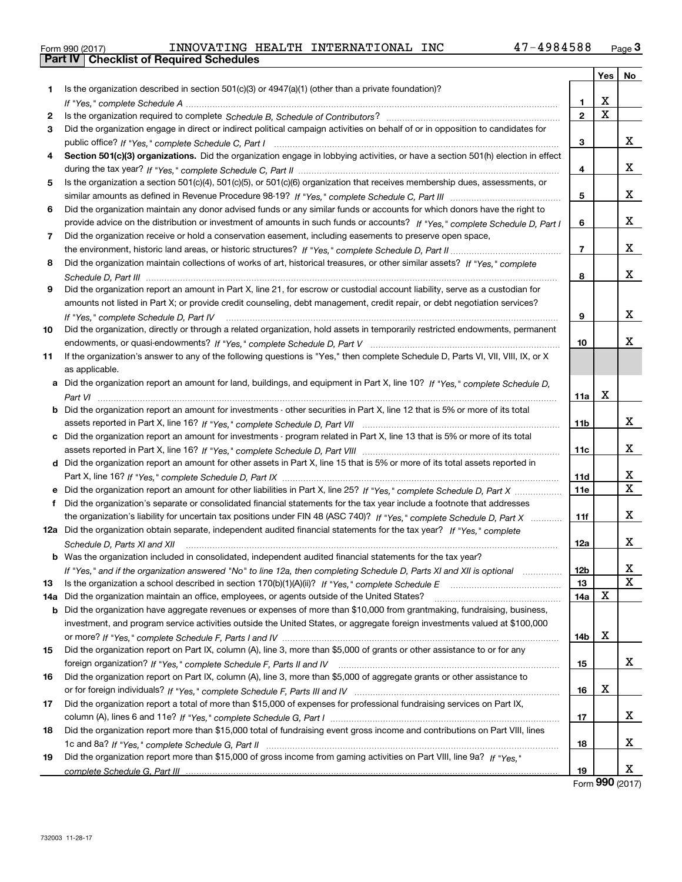|  | Form 990 (2017) |
|--|-----------------|

|       |                                                                                                                                      |                | Yes                     | No                           |
|-------|--------------------------------------------------------------------------------------------------------------------------------------|----------------|-------------------------|------------------------------|
| 1.    | Is the organization described in section 501(c)(3) or 4947(a)(1) (other than a private foundation)?                                  |                |                         |                              |
|       |                                                                                                                                      | 1              | X                       |                              |
| 2     |                                                                                                                                      | $\overline{2}$ | $\overline{\mathbf{x}}$ |                              |
| 3     | Did the organization engage in direct or indirect political campaign activities on behalf of or in opposition to candidates for      |                |                         |                              |
|       |                                                                                                                                      | 3              |                         | x                            |
| 4     | Section 501(c)(3) organizations. Did the organization engage in lobbying activities, or have a section 501(h) election in effect     |                |                         |                              |
|       |                                                                                                                                      | 4              |                         | x                            |
| 5     | Is the organization a section 501(c)(4), 501(c)(5), or 501(c)(6) organization that receives membership dues, assessments, or         |                |                         |                              |
|       |                                                                                                                                      | 5              |                         | x                            |
| 6     | Did the organization maintain any donor advised funds or any similar funds or accounts for which donors have the right to            |                |                         |                              |
|       | provide advice on the distribution or investment of amounts in such funds or accounts? If "Yes," complete Schedule D, Part I         | 6              |                         | x                            |
| 7     | Did the organization receive or hold a conservation easement, including easements to preserve open space,                            |                |                         |                              |
|       |                                                                                                                                      | $\overline{7}$ |                         | X                            |
| 8     | Did the organization maintain collections of works of art, historical treasures, or other similar assets? If "Yes," complete         |                |                         |                              |
|       |                                                                                                                                      | 8              |                         | x                            |
| 9     | Did the organization report an amount in Part X, line 21, for escrow or custodial account liability, serve as a custodian for        |                |                         |                              |
|       | amounts not listed in Part X; or provide credit counseling, debt management, credit repair, or debt negotiation services?            |                |                         |                              |
|       | If "Yes," complete Schedule D, Part IV                                                                                               | 9              |                         | x                            |
| 10    | Did the organization, directly or through a related organization, hold assets in temporarily restricted endowments, permanent        |                |                         |                              |
|       |                                                                                                                                      | 10             |                         | x                            |
| 11    | If the organization's answer to any of the following questions is "Yes," then complete Schedule D, Parts VI, VII, VIII, IX, or X     |                |                         |                              |
|       | as applicable.                                                                                                                       |                |                         |                              |
|       | a Did the organization report an amount for land, buildings, and equipment in Part X, line 10? If "Yes," complete Schedule D,        |                |                         |                              |
|       |                                                                                                                                      | 11a            | X                       |                              |
|       | <b>b</b> Did the organization report an amount for investments - other securities in Part X, line 12 that is 5% or more of its total |                |                         |                              |
|       |                                                                                                                                      | 11b            |                         | X                            |
|       | c Did the organization report an amount for investments - program related in Part X, line 13 that is 5% or more of its total         |                |                         |                              |
|       |                                                                                                                                      | 11c            |                         | x                            |
|       | d Did the organization report an amount for other assets in Part X, line 15 that is 5% or more of its total assets reported in       |                |                         |                              |
|       |                                                                                                                                      | 11d            |                         | x<br>$\overline{\mathbf{x}}$ |
|       |                                                                                                                                      | <b>11e</b>     |                         |                              |
| f     | Did the organization's separate or consolidated financial statements for the tax year include a footnote that addresses              |                |                         | x                            |
|       | the organization's liability for uncertain tax positions under FIN 48 (ASC 740)? If "Yes," complete Schedule D, Part X               | 11f            |                         |                              |
|       | 12a Did the organization obtain separate, independent audited financial statements for the tax year? If "Yes," complete              |                |                         | x                            |
|       | Schedule D, Parts XI and XII                                                                                                         | 12a            |                         |                              |
|       | <b>b</b> Was the organization included in consolidated, independent audited financial statements for the tax year?                   | 12b            |                         | x                            |
| 13    | If "Yes," and if the organization answered "No" to line 12a, then completing Schedule D, Parts XI and XII is optional manum          | 13             |                         | $\overline{\mathbf{x}}$      |
| 14a l | Did the organization maintain an office, employees, or agents outside of the United States?                                          | 14a            | X                       |                              |
|       | <b>b</b> Did the organization have aggregate revenues or expenses of more than \$10,000 from grantmaking, fundraising, business,     |                |                         |                              |
|       | investment, and program service activities outside the United States, or aggregate foreign investments valued at \$100,000           |                |                         |                              |
|       |                                                                                                                                      | 14b            | X                       |                              |
| 15    | Did the organization report on Part IX, column (A), line 3, more than \$5,000 of grants or other assistance to or for any            |                |                         |                              |
|       |                                                                                                                                      | 15             |                         | x                            |
| 16    | Did the organization report on Part IX, column (A), line 3, more than \$5,000 of aggregate grants or other assistance to             |                |                         |                              |
|       |                                                                                                                                      | 16             | X                       |                              |
| 17    | Did the organization report a total of more than \$15,000 of expenses for professional fundraising services on Part IX,              |                |                         |                              |
|       |                                                                                                                                      | 17             |                         | х                            |
| 18    | Did the organization report more than \$15,000 total of fundraising event gross income and contributions on Part VIII, lines         |                |                         |                              |
|       |                                                                                                                                      | 18             |                         | х                            |
| 19    | Did the organization report more than \$15,000 of gross income from gaming activities on Part VIII, line 9a? If "Yes."               |                |                         |                              |
|       |                                                                                                                                      | 19             |                         | х                            |

Form (2017) **990**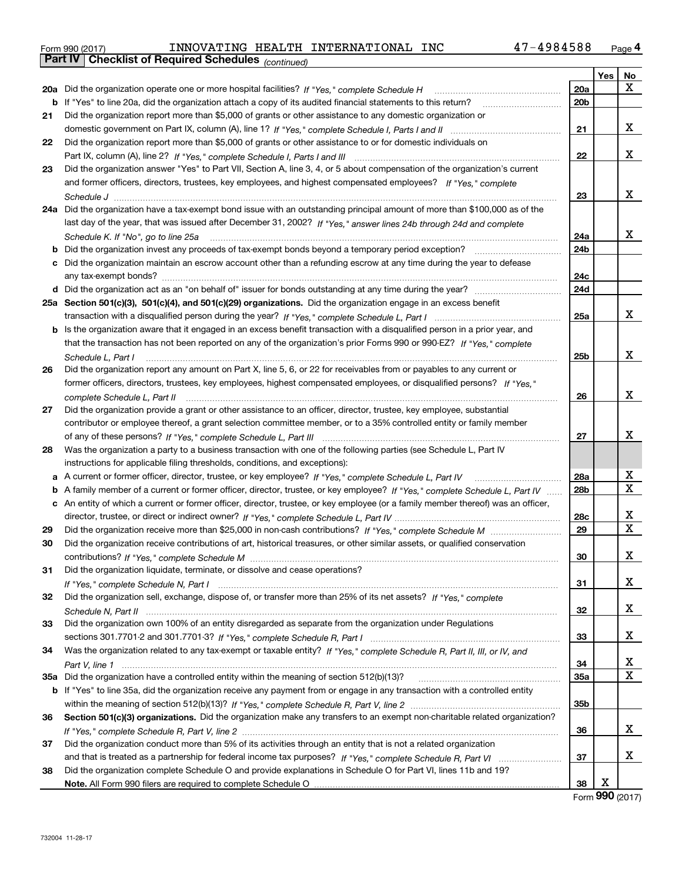| Form 990 (2017) |                                                              |  | INNOVATING HEALTH INTERNATIONAL INC | 47-4984588 | Page 4 |
|-----------------|--------------------------------------------------------------|--|-------------------------------------|------------|--------|
|                 | <b>Part IV   Checklist of Required Schedules</b> (continued) |  |                                     |            |        |

|    | Parl IV  <br>Criecklist of Required Scriedules (continued)                                                                                                                                                                                                        |     |            |    |
|----|-------------------------------------------------------------------------------------------------------------------------------------------------------------------------------------------------------------------------------------------------------------------|-----|------------|----|
|    |                                                                                                                                                                                                                                                                   |     | <b>Yes</b> | No |
|    | 20a Did the organization operate one or more hospital facilities? If "Yes," complete Schedule H                                                                                                                                                                   | 20a |            | х  |
|    | <b>b</b> If "Yes" to line 20a, did the organization attach a copy of its audited financial statements to this return?                                                                                                                                             | 20b |            |    |
| 21 | Did the organization report more than \$5,000 of grants or other assistance to any domestic organization or                                                                                                                                                       |     |            |    |
|    |                                                                                                                                                                                                                                                                   | 21  |            | x  |
| 22 | Did the organization report more than \$5,000 of grants or other assistance to or for domestic individuals on                                                                                                                                                     |     |            |    |
|    |                                                                                                                                                                                                                                                                   | 22  |            | х  |
| 23 | Did the organization answer "Yes" to Part VII, Section A, line 3, 4, or 5 about compensation of the organization's current                                                                                                                                        |     |            |    |
|    | and former officers, directors, trustees, key employees, and highest compensated employees? If "Yes." complete                                                                                                                                                    |     |            |    |
|    |                                                                                                                                                                                                                                                                   | 23  |            | х  |
|    | 24a Did the organization have a tax-exempt bond issue with an outstanding principal amount of more than \$100,000 as of the                                                                                                                                       |     |            |    |
|    | last day of the year, that was issued after December 31, 2002? If "Yes," answer lines 24b through 24d and complete                                                                                                                                                |     |            |    |
|    | Schedule K. If "No", go to line 25a                                                                                                                                                                                                                               | 24a |            | х  |
|    | <b>b</b> Did the organization invest any proceeds of tax-exempt bonds beyond a temporary period exception?                                                                                                                                                        | 24b |            |    |
|    | c Did the organization maintain an escrow account other than a refunding escrow at any time during the year to defease                                                                                                                                            |     |            |    |
|    | any tax-exempt bonds?                                                                                                                                                                                                                                             | 24c |            |    |
|    |                                                                                                                                                                                                                                                                   | 24d |            |    |
|    | 25a Section 501(c)(3), 501(c)(4), and 501(c)(29) organizations. Did the organization engage in an excess benefit                                                                                                                                                  |     |            |    |
|    |                                                                                                                                                                                                                                                                   | 25a |            | x  |
|    | b Is the organization aware that it engaged in an excess benefit transaction with a disqualified person in a prior year, and                                                                                                                                      |     |            |    |
|    | that the transaction has not been reported on any of the organization's prior Forms 990 or 990-EZ? If "Yes," complete                                                                                                                                             |     |            |    |
|    | Schedule L, Part I                                                                                                                                                                                                                                                | 25b |            | х  |
| 26 | Did the organization report any amount on Part X, line 5, 6, or 22 for receivables from or payables to any current or                                                                                                                                             |     |            |    |
|    | former officers, directors, trustees, key employees, highest compensated employees, or disqualified persons? If "Yes."                                                                                                                                            |     |            |    |
|    |                                                                                                                                                                                                                                                                   | 26  |            | х  |
| 27 | Did the organization provide a grant or other assistance to an officer, director, trustee, key employee, substantial                                                                                                                                              |     |            |    |
|    | contributor or employee thereof, a grant selection committee member, or to a 35% controlled entity or family member                                                                                                                                               |     |            |    |
|    |                                                                                                                                                                                                                                                                   | 27  |            | x  |
| 28 | Was the organization a party to a business transaction with one of the following parties (see Schedule L, Part IV                                                                                                                                                 |     |            |    |
|    |                                                                                                                                                                                                                                                                   |     |            |    |
|    | instructions for applicable filing thresholds, conditions, and exceptions):                                                                                                                                                                                       |     |            | х  |
|    | a A current or former officer, director, trustee, or key employee? If "Yes," complete Schedule L, Part IV                                                                                                                                                         | 28a |            | Х  |
|    | b A family member of a current or former officer, director, trustee, or key employee? If "Yes," complete Schedule L, Part IV<br>c An entity of which a current or former officer, director, trustee, or key employee (or a family member thereof) was an officer, | 28b |            |    |
|    |                                                                                                                                                                                                                                                                   |     |            | x  |
|    |                                                                                                                                                                                                                                                                   | 28c |            | X  |
| 29 |                                                                                                                                                                                                                                                                   | 29  |            |    |
| 30 | Did the organization receive contributions of art, historical treasures, or other similar assets, or qualified conservation                                                                                                                                       |     |            | х  |
|    |                                                                                                                                                                                                                                                                   | 30  |            |    |
| 31 | Did the organization liquidate, terminate, or dissolve and cease operations?                                                                                                                                                                                      |     |            |    |
|    |                                                                                                                                                                                                                                                                   | 31  |            | x  |
| 32 | Did the organization sell, exchange, dispose of, or transfer more than 25% of its net assets? If "Yes," complete                                                                                                                                                  |     |            |    |
|    |                                                                                                                                                                                                                                                                   | 32  |            | x  |
| 33 | Did the organization own 100% of an entity disregarded as separate from the organization under Regulations                                                                                                                                                        |     |            |    |
|    |                                                                                                                                                                                                                                                                   | 33  |            | x  |
| 34 | Was the organization related to any tax-exempt or taxable entity? If "Yes," complete Schedule R, Part II, III, or IV, and                                                                                                                                         |     |            |    |
|    |                                                                                                                                                                                                                                                                   | 34  |            | x  |
|    |                                                                                                                                                                                                                                                                   | 35a |            | X  |
|    | b If "Yes" to line 35a, did the organization receive any payment from or engage in any transaction with a controlled entity                                                                                                                                       |     |            |    |
|    |                                                                                                                                                                                                                                                                   | 35b |            |    |
| 36 | Section 501(c)(3) organizations. Did the organization make any transfers to an exempt non-charitable related organization?                                                                                                                                        |     |            |    |
|    |                                                                                                                                                                                                                                                                   | 36  |            | x  |
| 37 | Did the organization conduct more than 5% of its activities through an entity that is not a related organization                                                                                                                                                  |     |            |    |
|    |                                                                                                                                                                                                                                                                   | 37  |            | х  |
| 38 | Did the organization complete Schedule O and provide explanations in Schedule O for Part VI, lines 11b and 19?                                                                                                                                                    |     |            |    |
|    |                                                                                                                                                                                                                                                                   | 38  | Х          |    |

Form (2017) **990**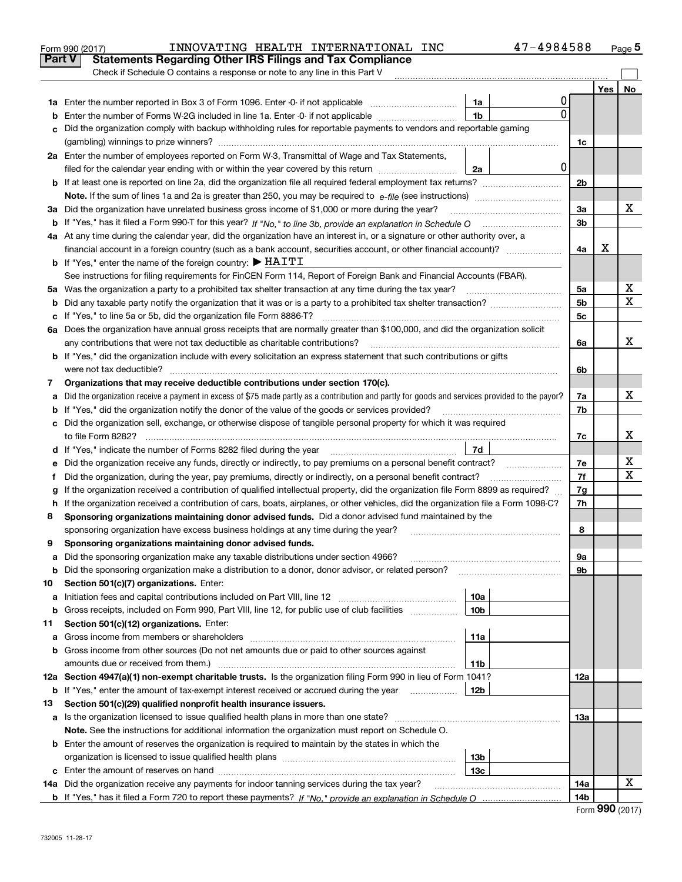|    | 47-4984588<br>INNOVATING HEALTH INTERNATIONAL INC<br>Form 990 (2017)                                                                            |                |     | Page 5 |
|----|-------------------------------------------------------------------------------------------------------------------------------------------------|----------------|-----|--------|
|    | <b>Statements Regarding Other IRS Filings and Tax Compliance</b><br><b>Part V</b>                                                               |                |     |        |
|    | Check if Schedule O contains a response or note to any line in this Part V                                                                      |                |     |        |
|    |                                                                                                                                                 |                | Yes | No     |
|    | 0<br>1a                                                                                                                                         |                |     |        |
| b  | 0<br>1 <sub>b</sub><br>Enter the number of Forms W-2G included in line 1a. Enter -0- if not applicable                                          |                |     |        |
| c  | Did the organization comply with backup withholding rules for reportable payments to vendors and reportable gaming                              |                |     |        |
|    |                                                                                                                                                 | 1c             |     |        |
|    | 2a Enter the number of employees reported on Form W-3, Transmittal of Wage and Tax Statements,                                                  |                |     |        |
|    | 0 <br>filed for the calendar year ending with or within the year covered by this return<br>2a                                                   |                |     |        |
|    |                                                                                                                                                 | 2b             |     |        |
|    |                                                                                                                                                 |                |     |        |
|    | 3a Did the organization have unrelated business gross income of \$1,000 or more during the year?                                                | 3a             |     | х      |
|    |                                                                                                                                                 | 3 <sub>b</sub> |     |        |
|    | 4a At any time during the calendar year, did the organization have an interest in, or a signature or other authority over, a                    |                |     |        |
|    | financial account in a foreign country (such as a bank account, securities account, or other financial account)?                                | 4a             | х   |        |
|    | <b>b</b> If "Yes," enter the name of the foreign country: $\blacktriangleright$ HAITI                                                           |                |     |        |
|    | See instructions for filing requirements for FinCEN Form 114, Report of Foreign Bank and Financial Accounts (FBAR).                             |                |     |        |
|    | 5a Was the organization a party to a prohibited tax shelter transaction at any time during the tax year?                                        | 5a             |     | X      |
| b  |                                                                                                                                                 | 5 <sub>b</sub> |     | X      |
|    | c If "Yes," to line 5a or 5b, did the organization file Form 8886-T?                                                                            | 5c             |     |        |
|    | 6a Does the organization have annual gross receipts that are normally greater than \$100,000, and did the organization solicit                  |                |     |        |
|    | any contributions that were not tax deductible as charitable contributions?                                                                     | 6a             |     | х      |
|    | <b>b</b> If "Yes," did the organization include with every solicitation an express statement that such contributions or gifts                   |                |     |        |
|    |                                                                                                                                                 | 6b             |     |        |
| 7  | Organizations that may receive deductible contributions under section 170(c).                                                                   |                |     |        |
| a  | Did the organization receive a payment in excess of \$75 made partly as a contribution and partly for goods and services provided to the payor? | 7a             |     | х      |
|    | <b>b</b> If "Yes," did the organization notify the donor of the value of the goods or services provided?                                        | 7b             |     |        |
|    | c Did the organization sell, exchange, or otherwise dispose of tangible personal property for which it was required                             |                |     |        |
|    |                                                                                                                                                 | 7c             |     | х      |
|    | 7d                                                                                                                                              |                |     |        |
| е  |                                                                                                                                                 | 7e             |     | х      |
| f  | Did the organization, during the year, pay premiums, directly or indirectly, on a personal benefit contract?                                    | 7f             |     | х      |
| g  | If the organization received a contribution of qualified intellectual property, did the organization file Form 8899 as required?                | 7g             |     |        |
|    | h If the organization received a contribution of cars, boats, airplanes, or other vehicles, did the organization file a Form 1098-C?            | 7h             |     |        |
| 8  | Sponsoring organizations maintaining donor advised funds. Did a donor advised fund maintained by the                                            |                |     |        |
|    | sponsoring organization have excess business holdings at any time during the year?                                                              | 8              |     |        |
|    | Sponsoring organizations maintaining donor advised funds.                                                                                       |                |     |        |
| a  | Did the sponsoring organization make any taxable distributions under section 4966?                                                              | 9а             |     |        |
| b  | Did the sponsoring organization make a distribution to a donor, donor advisor, or related person?                                               | 9b             |     |        |
| 10 | Section 501(c)(7) organizations. Enter:                                                                                                         |                |     |        |
| а  | Initiation fees and capital contributions included on Part VIII, line 12 <i>manuarrouus</i> manuations of the lates<br>10a                      |                |     |        |
| b  | Gross receipts, included on Form 990, Part VIII, line 12, for public use of club facilities<br>10 <sub>b</sub>                                  |                |     |        |
| 11 | Section 501(c)(12) organizations. Enter:                                                                                                        |                |     |        |
| a  | Gross income from members or shareholders<br>11a                                                                                                |                |     |        |
|    | b Gross income from other sources (Do not net amounts due or paid to other sources against                                                      |                |     |        |
|    | amounts due or received from them.)<br>11b                                                                                                      |                |     |        |
|    | 12a Section 4947(a)(1) non-exempt charitable trusts. Is the organization filing Form 990 in lieu of Form 1041?                                  | 12a            |     |        |
|    | <b>b</b> If "Yes," enter the amount of tax-exempt interest received or accrued during the year <i>manument</i> of<br>12b                        |                |     |        |
| 13 | Section 501(c)(29) qualified nonprofit health insurance issuers.                                                                                |                |     |        |
| a  | Is the organization licensed to issue qualified health plans in more than one state?                                                            | 13a            |     |        |
|    | Note. See the instructions for additional information the organization must report on Schedule O.                                               |                |     |        |
|    | <b>b</b> Enter the amount of reserves the organization is required to maintain by the states in which the                                       |                |     |        |
|    | 13b                                                                                                                                             |                |     |        |
|    | 13 <sub>c</sub>                                                                                                                                 |                |     |        |
|    | 14a Did the organization receive any payments for indoor tanning services during the tax year?                                                  | 14a            |     | х      |
|    |                                                                                                                                                 | 14b            |     |        |

| Form 990 (2017) |  |  |
|-----------------|--|--|
|-----------------|--|--|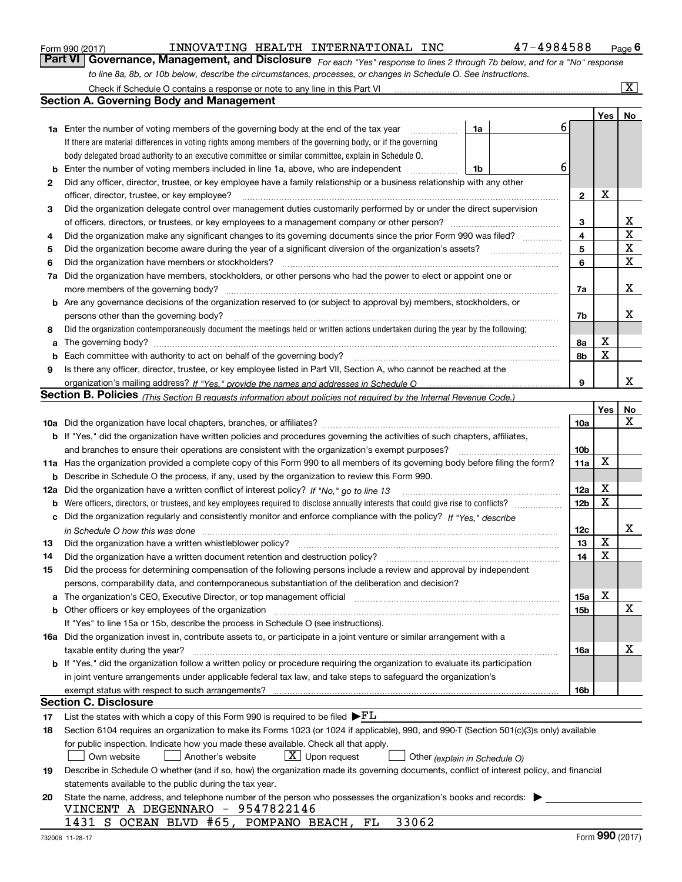|    | to line 8a, 8b, or 10b below, describe the circumstances, processes, or changes in Schedule O. See instructions.                                                                                                              |                 |             |                         |
|----|-------------------------------------------------------------------------------------------------------------------------------------------------------------------------------------------------------------------------------|-----------------|-------------|-------------------------|
|    | Check if Schedule O contains a response or note to any line in this Part VI                                                                                                                                                   |                 |             | $\overline{\mathbf{X}}$ |
|    | <b>Section A. Governing Body and Management</b>                                                                                                                                                                               |                 |             |                         |
|    |                                                                                                                                                                                                                               |                 | Yes         | <b>No</b>               |
|    | 6<br>1a<br><b>1a</b> Enter the number of voting members of the governing body at the end of the tax year<br>.                                                                                                                 |                 |             |                         |
|    | If there are material differences in voting rights among members of the governing body, or if the governing                                                                                                                   |                 |             |                         |
|    | body delegated broad authority to an executive committee or similar committee, explain in Schedule O.                                                                                                                         |                 |             |                         |
| b  | 6<br>Enter the number of voting members included in line 1a, above, who are independent<br>1b                                                                                                                                 |                 |             |                         |
| 2  | Did any officer, director, trustee, or key employee have a family relationship or a business relationship with any other                                                                                                      |                 |             |                         |
|    | officer, director, trustee, or key employee?                                                                                                                                                                                  | $\mathbf{2}$    | X           |                         |
| 3  | Did the organization delegate control over management duties customarily performed by or under the direct supervision                                                                                                         |                 |             |                         |
|    |                                                                                                                                                                                                                               | 3               |             | х                       |
| 4  | Did the organization make any significant changes to its governing documents since the prior Form 990 was filed?                                                                                                              | 4               |             | $\mathbf X$             |
| 5  |                                                                                                                                                                                                                               | 5               |             | $\mathbf X$             |
| 6  | Did the organization have members or stockholders?                                                                                                                                                                            | 6               |             | $\mathbf X$             |
| 7a | Did the organization have members, stockholders, or other persons who had the power to elect or appoint one or                                                                                                                |                 |             |                         |
|    |                                                                                                                                                                                                                               | 7a              |             | Х                       |
|    | b Are any governance decisions of the organization reserved to (or subject to approval by) members, stockholders, or                                                                                                          |                 |             |                         |
|    | persons other than the governing body?                                                                                                                                                                                        | 7b              |             | х                       |
| 8  | Did the organization contemporaneously document the meetings held or written actions undertaken during the year by the following:                                                                                             |                 |             |                         |
| a  |                                                                                                                                                                                                                               | 8a              | х           |                         |
| b  |                                                                                                                                                                                                                               | 8b              | $\mathbf X$ |                         |
| 9  | Is there any officer, director, trustee, or key employee listed in Part VII, Section A, who cannot be reached at the                                                                                                          |                 |             |                         |
|    |                                                                                                                                                                                                                               | 9               |             | Х                       |
|    | Section B. Policies (This Section B requests information about policies not required by the Internal Revenue Code.)                                                                                                           |                 |             |                         |
|    |                                                                                                                                                                                                                               |                 | Yes         | No                      |
|    |                                                                                                                                                                                                                               | <b>10a</b>      |             | $\mathbf X$             |
|    | b If "Yes," did the organization have written policies and procedures governing the activities of such chapters, affiliates,                                                                                                  |                 |             |                         |
|    | and branches to ensure their operations are consistent with the organization's exempt purposes?                                                                                                                               | 10b             |             |                         |
|    | 11a Has the organization provided a complete copy of this Form 990 to all members of its governing body before filing the form?                                                                                               | 11a             | X           |                         |
| b  | Describe in Schedule O the process, if any, used by the organization to review this Form 990.                                                                                                                                 |                 |             |                         |
|    | 12a Did the organization have a written conflict of interest policy? If "No," go to line 13                                                                                                                                   | 12a             | х           |                         |
| b  |                                                                                                                                                                                                                               | 12 <sub>b</sub> | $\mathbf X$ |                         |
| c  | Did the organization regularly and consistently monitor and enforce compliance with the policy? If "Yes," describe                                                                                                            |                 |             |                         |
|    | in Schedule O how this was done measured and the control of the control of the state of the control of the cont                                                                                                               | 12c             |             | Х                       |
| 13 | Did the organization have a written whistleblower policy?                                                                                                                                                                     | 13              | X           |                         |
| 14 | Did the organization have a written document retention and destruction policy?                                                                                                                                                | 14              | $\mathbf X$ |                         |
| 15 | Did the process for determining compensation of the following persons include a review and approval by independent                                                                                                            |                 |             |                         |
|    | persons, comparability data, and contemporaneous substantiation of the deliberation and decision?                                                                                                                             |                 |             |                         |
| a  | The organization's CEO, Executive Director, or top management official manufactured contains and contained a support of the Director, or top management official manufactured and contain a support of the state of the state | 15a             | х           |                         |
| b  | Other officers or key employees of the organization                                                                                                                                                                           | 15b             |             | X                       |
|    | If "Yes" to line 15a or 15b, describe the process in Schedule O (see instructions).                                                                                                                                           |                 |             |                         |
|    | 16a Did the organization invest in, contribute assets to, or participate in a joint venture or similar arrangement with a                                                                                                     |                 |             |                         |
|    | taxable entity during the year?                                                                                                                                                                                               | 16a             |             | х                       |
|    | b If "Yes," did the organization follow a written policy or procedure requiring the organization to evaluate its participation                                                                                                |                 |             |                         |
|    | in joint venture arrangements under applicable federal tax law, and take steps to safeguard the organization's                                                                                                                |                 |             |                         |
|    | exempt status with respect to such arrangements?                                                                                                                                                                              | 16b             |             |                         |
|    | <b>Section C. Disclosure</b>                                                                                                                                                                                                  |                 |             |                         |
| 17 | List the states with which a copy of this Form 990 is required to be filed $\blacktriangleright$ FL                                                                                                                           |                 |             |                         |
| 18 | Section 6104 requires an organization to make its Forms 1023 (or 1024 if applicable), 990, and 990-T (Section 501(c)(3)s only) available                                                                                      |                 |             |                         |
|    | for public inspection. Indicate how you made these available. Check all that apply.                                                                                                                                           |                 |             |                         |
|    | $X$ Upon request<br>Own website<br>Another's website<br>Other (explain in Schedule O)                                                                                                                                         |                 |             |                         |
| 19 | Describe in Schedule O whether (and if so, how) the organization made its governing documents, conflict of interest policy, and financial                                                                                     |                 |             |                         |
|    | statements available to the public during the tax year.                                                                                                                                                                       |                 |             |                         |
| 20 | State the name, address, and telephone number of the person who possesses the organization's books and records:                                                                                                               |                 |             |                         |
|    | VINCENT A DEGENNARO - 9547822146                                                                                                                                                                                              |                 |             |                         |
|    | 33062<br>1431 S OCEAN BLVD #65, POMPANO BEACH, FL                                                                                                                                                                             |                 |             |                         |

Form 990 (2017) **1NNOVATING HEALTH INTERNATIONAL INC** 47 – 4984588 Page 6<br>**Part VI Governance, Management, and Disclosure** *For each "Yes" response to lines 2 through 7b below, and for a "No" response* 

INNOVATING HEALTH INTERNATIONAL INC 47-4984588

*For each "Yes" response to lines 2 through 7b below, and for a "No" response*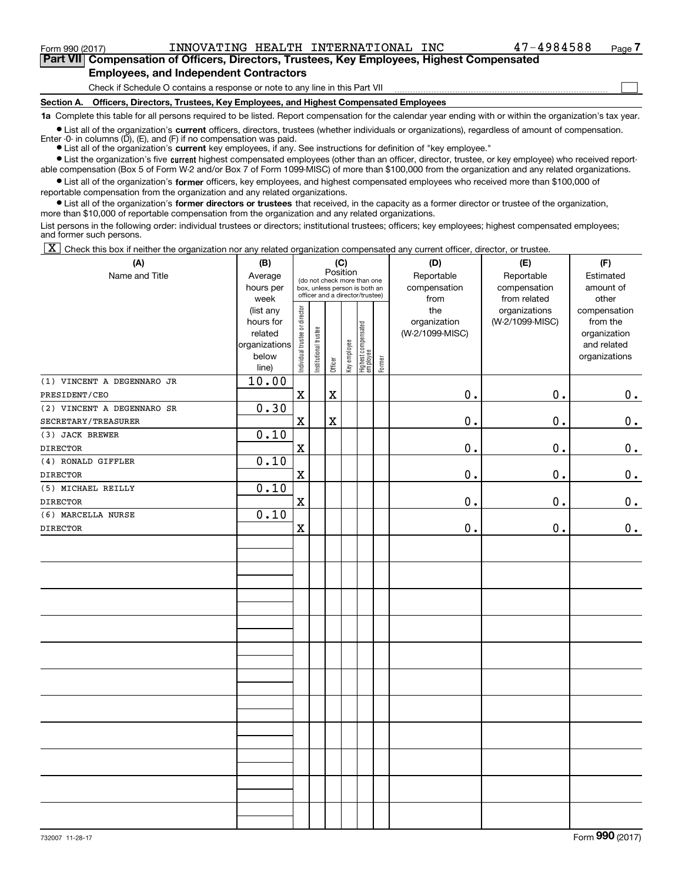$\mathcal{L}^{\text{max}}$ 

**7Part VII Compensation of Officers, Directors, Trustees, Key Employees, Highest Compensated Employees, and Independent Contractors**

Check if Schedule O contains a response or note to any line in this Part VII

**Section A. Officers, Directors, Trustees, Key Employees, and Highest Compensated Employees**

**1a**  Complete this table for all persons required to be listed. Report compensation for the calendar year ending with or within the organization's tax year.

**•** List all of the organization's current officers, directors, trustees (whether individuals or organizations), regardless of amount of compensation. Enter -0- in columns  $(D)$ ,  $(E)$ , and  $(F)$  if no compensation was paid.

● List all of the organization's **current** key employees, if any. See instructions for definition of "key employee."

**•** List the organization's five current highest compensated employees (other than an officer, director, trustee, or key employee) who received report-

 $\bullet$  List all of the organization's **former** officers, key employees, and highest compensated employees who received more than \$100,000 of able compensation (Box 5 of Form W-2 and/or Box 7 of Form 1099-MISC) of more than \$100,000 from the organization and any related organizations. reportable compensation from the organization and any related organizations.

**•** List all of the organization's former directors or trustees that received, in the capacity as a former director or trustee of the organization, more than \$10,000 of reportable compensation from the organization and any related organizations.

List persons in the following order: individual trustees or directors; institutional trustees; officers; key employees; highest compensated employees; and former such persons.

 $\boxed{\textbf{X}}$  Check this box if neither the organization nor any related organization compensated any current officer, director, or trustee.

| (A)                        | (B)            |                                |                       |             | (C)          |                                 |        | (D)             | (E)             | (F)           |
|----------------------------|----------------|--------------------------------|-----------------------|-------------|--------------|---------------------------------|--------|-----------------|-----------------|---------------|
| Name and Title             | Average        |                                |                       | Position    |              | (do not check more than one     |        | Reportable      | Reportable      | Estimated     |
|                            | hours per      |                                |                       |             |              | box, unless person is both an   |        | compensation    | compensation    | amount of     |
|                            | week           |                                |                       |             |              | officer and a director/trustee) |        | from            | from related    | other         |
|                            | (list any      |                                |                       |             |              |                                 |        | the             | organizations   | compensation  |
|                            | hours for      |                                |                       |             |              |                                 |        | organization    | (W-2/1099-MISC) | from the      |
|                            | related        |                                |                       |             |              |                                 |        | (W-2/1099-MISC) |                 | organization  |
|                            | organizations  |                                |                       |             |              |                                 |        |                 |                 | and related   |
|                            | below          | Individual trustee or director | Institutional trustee | Officer     | Key employee | Highest compensated<br>employee | Former |                 |                 | organizations |
| (1) VINCENT A DEGENNARO JR | line)<br>10.00 |                                |                       |             |              |                                 |        |                 |                 |               |
| PRESIDENT/CEO              |                | $\mathbf X$                    |                       | $\mathbf X$ |              |                                 |        | $0$ .           | 0.              |               |
| (2) VINCENT A DEGENNARO SR | 0.30           |                                |                       |             |              |                                 |        |                 |                 | $0_{\cdot}$   |
| SECRETARY/TREASURER        |                | X                              |                       | $\mathbf X$ |              |                                 |        | $\mathbf 0$ .   | $\mathbf 0$ .   |               |
|                            | 0.10           |                                |                       |             |              |                                 |        |                 |                 | 0.            |
| (3) JACK BREWER            |                |                                |                       |             |              |                                 |        |                 |                 |               |
| <b>DIRECTOR</b>            |                | $\mathbf X$                    |                       |             |              |                                 |        | 0.              | $\mathbf 0$ .   | $\mathbf 0$ . |
| (4) RONALD GIFFLER         | 0.10           |                                |                       |             |              |                                 |        |                 |                 |               |
| <b>DIRECTOR</b>            |                | $\mathbf X$                    |                       |             |              |                                 |        | $\mathbf 0$ .   | 0.              | $\mathbf 0$ . |
| (5) MICHAEL REILLY         | 0.10           |                                |                       |             |              |                                 |        |                 |                 |               |
| <b>DIRECTOR</b>            |                | $\mathbf X$                    |                       |             |              |                                 |        | 0.              | 0.              | 0.            |
| (6) MARCELLA NURSE         | 0.10           |                                |                       |             |              |                                 |        |                 |                 |               |
| <b>DIRECTOR</b>            |                | $\mathbf X$                    |                       |             |              |                                 |        | $\mathbf 0$ .   | $\mathbf 0$ .   | 0.            |
|                            |                |                                |                       |             |              |                                 |        |                 |                 |               |
|                            |                |                                |                       |             |              |                                 |        |                 |                 |               |
|                            |                |                                |                       |             |              |                                 |        |                 |                 |               |
|                            |                |                                |                       |             |              |                                 |        |                 |                 |               |
|                            |                |                                |                       |             |              |                                 |        |                 |                 |               |
|                            |                |                                |                       |             |              |                                 |        |                 |                 |               |
|                            |                |                                |                       |             |              |                                 |        |                 |                 |               |
|                            |                |                                |                       |             |              |                                 |        |                 |                 |               |
|                            |                |                                |                       |             |              |                                 |        |                 |                 |               |
|                            |                |                                |                       |             |              |                                 |        |                 |                 |               |
|                            |                |                                |                       |             |              |                                 |        |                 |                 |               |
|                            |                |                                |                       |             |              |                                 |        |                 |                 |               |
|                            |                |                                |                       |             |              |                                 |        |                 |                 |               |
|                            |                |                                |                       |             |              |                                 |        |                 |                 |               |
|                            |                |                                |                       |             |              |                                 |        |                 |                 |               |
|                            |                |                                |                       |             |              |                                 |        |                 |                 |               |
|                            |                |                                |                       |             |              |                                 |        |                 |                 |               |
|                            |                |                                |                       |             |              |                                 |        |                 |                 |               |
|                            |                |                                |                       |             |              |                                 |        |                 |                 |               |
|                            |                |                                |                       |             |              |                                 |        |                 |                 |               |
|                            |                |                                |                       |             |              |                                 |        |                 |                 |               |
|                            |                |                                |                       |             |              |                                 |        |                 |                 |               |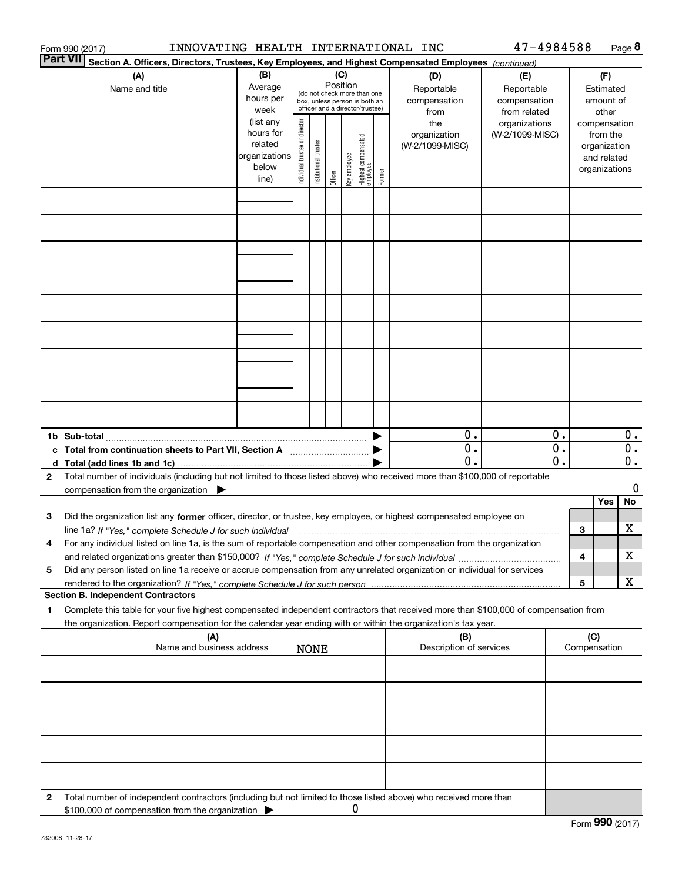| Form 990 (2017) |                                                                                                                                                                                                                                                                              |                                                                      |                                                                                                                    | INNOVATING HEALTH INTERNATIONAL INC |         |              |                                   |        |                                           |                                                   |          | 47-4984588<br>Page 8 |                                                          |                        |  |  |
|-----------------|------------------------------------------------------------------------------------------------------------------------------------------------------------------------------------------------------------------------------------------------------------------------------|----------------------------------------------------------------------|--------------------------------------------------------------------------------------------------------------------|-------------------------------------|---------|--------------|-----------------------------------|--------|-------------------------------------------|---------------------------------------------------|----------|----------------------|----------------------------------------------------------|------------------------|--|--|
| <b>Part VII</b> | Section A. Officers, Directors, Trustees, Key Employees, and Highest Compensated Employees (continued)                                                                                                                                                                       |                                                                      |                                                                                                                    |                                     |         |              |                                   |        |                                           |                                                   |          |                      |                                                          |                        |  |  |
|                 | (A)<br>Name and title                                                                                                                                                                                                                                                        | (B)<br>Average<br>hours per<br>week                                  | (C)<br>Position<br>(do not check more than one<br>box, unless person is both an<br>officer and a director/trustee) |                                     |         |              |                                   |        | (D)<br>Reportable<br>compensation<br>from | (E)<br>Reportable<br>compensation<br>from related |          |                      | (F)<br>Estimated<br>amount of<br>other                   |                        |  |  |
|                 |                                                                                                                                                                                                                                                                              | (list any<br>hours for<br>related<br>organizations<br>below<br>line) | Individual trustee or director                                                                                     | Institutional trustee               | Officer | Key employee | Highest compensated<br>  employee | Former | the<br>organization<br>(W-2/1099-MISC)    | organizations<br>(W-2/1099-MISC)                  |          | compensation         | from the<br>organization<br>and related<br>organizations |                        |  |  |
|                 |                                                                                                                                                                                                                                                                              |                                                                      |                                                                                                                    |                                     |         |              |                                   |        |                                           |                                                   |          |                      |                                                          |                        |  |  |
|                 |                                                                                                                                                                                                                                                                              |                                                                      |                                                                                                                    |                                     |         |              |                                   |        |                                           |                                                   |          |                      |                                                          |                        |  |  |
|                 |                                                                                                                                                                                                                                                                              |                                                                      |                                                                                                                    |                                     |         |              |                                   |        |                                           |                                                   |          |                      |                                                          |                        |  |  |
|                 |                                                                                                                                                                                                                                                                              |                                                                      |                                                                                                                    |                                     |         |              |                                   |        |                                           |                                                   |          |                      |                                                          |                        |  |  |
|                 |                                                                                                                                                                                                                                                                              |                                                                      |                                                                                                                    |                                     |         |              |                                   |        |                                           |                                                   |          |                      |                                                          |                        |  |  |
|                 |                                                                                                                                                                                                                                                                              |                                                                      |                                                                                                                    |                                     |         |              |                                   |        |                                           |                                                   |          |                      |                                                          |                        |  |  |
|                 |                                                                                                                                                                                                                                                                              |                                                                      |                                                                                                                    |                                     |         |              |                                   |        |                                           |                                                   |          |                      |                                                          |                        |  |  |
|                 |                                                                                                                                                                                                                                                                              |                                                                      |                                                                                                                    |                                     |         |              |                                   |        |                                           |                                                   |          |                      |                                                          |                        |  |  |
|                 | c Total from continuation sheets to Part VII, Section A [11] [12] [20] [20]                                                                                                                                                                                                  |                                                                      |                                                                                                                    |                                     |         |              |                                   |        | 0.<br>0.                                  |                                                   | 0.<br>0. |                      |                                                          | 0.<br>$\overline{0}$ . |  |  |
|                 |                                                                                                                                                                                                                                                                              |                                                                      |                                                                                                                    |                                     |         |              |                                   |        | $\mathbf 0$ .                             |                                                   | 0.       |                      |                                                          | $0$ .                  |  |  |
| $\mathbf{2}$    | Total number of individuals (including but not limited to those listed above) who received more than \$100,000 of reportable<br>compensation from the organization $\blacktriangleright$                                                                                     |                                                                      |                                                                                                                    |                                     |         |              |                                   |        |                                           |                                                   |          |                      |                                                          | 0                      |  |  |
|                 |                                                                                                                                                                                                                                                                              |                                                                      |                                                                                                                    |                                     |         |              |                                   |        |                                           |                                                   |          |                      | Yes                                                      | No                     |  |  |
| 3               | Did the organization list any former officer, director, or trustee, key employee, or highest compensated employee on<br>line 1a? If "Yes," complete Schedule J for such individual manufactured contained and the line 1a? If "Yes," complete Schedule J for such individual |                                                                      |                                                                                                                    |                                     |         |              |                                   |        |                                           |                                                   |          | 3                    |                                                          | х                      |  |  |
| 4               | For any individual listed on line 1a, is the sum of reportable compensation and other compensation from the organization                                                                                                                                                     |                                                                      |                                                                                                                    |                                     |         |              |                                   |        |                                           |                                                   |          | 4                    |                                                          | х                      |  |  |
| 5               | Did any person listed on line 1a receive or accrue compensation from any unrelated organization or individual for services                                                                                                                                                   |                                                                      |                                                                                                                    |                                     |         |              |                                   |        |                                           |                                                   |          | 5                    |                                                          | X                      |  |  |
|                 | <b>Section B. Independent Contractors</b>                                                                                                                                                                                                                                    |                                                                      |                                                                                                                    |                                     |         |              |                                   |        |                                           |                                                   |          |                      |                                                          |                        |  |  |
| 1               | Complete this table for your five highest compensated independent contractors that received more than \$100,000 of compensation from<br>the organization. Report compensation for the calendar year ending with or within the organization's tax year.                       |                                                                      |                                                                                                                    |                                     |         |              |                                   |        |                                           |                                                   |          |                      |                                                          |                        |  |  |
|                 | (A)<br>Name and business address                                                                                                                                                                                                                                             |                                                                      | <b>NONE</b>                                                                                                        |                                     |         |              |                                   |        | (B)<br>Description of services            |                                                   |          | (C)<br>Compensation  |                                                          |                        |  |  |
|                 |                                                                                                                                                                                                                                                                              |                                                                      |                                                                                                                    |                                     |         |              |                                   |        |                                           |                                                   |          |                      |                                                          |                        |  |  |
|                 |                                                                                                                                                                                                                                                                              |                                                                      |                                                                                                                    |                                     |         |              |                                   |        |                                           |                                                   |          |                      |                                                          |                        |  |  |
|                 |                                                                                                                                                                                                                                                                              |                                                                      |                                                                                                                    |                                     |         |              |                                   |        |                                           |                                                   |          |                      |                                                          |                        |  |  |
|                 |                                                                                                                                                                                                                                                                              |                                                                      |                                                                                                                    |                                     |         |              |                                   |        |                                           |                                                   |          |                      |                                                          |                        |  |  |
| 2               | Total number of independent contractors (including but not limited to those listed above) who received more than                                                                                                                                                             |                                                                      |                                                                                                                    |                                     |         |              |                                   |        |                                           |                                                   |          |                      |                                                          |                        |  |  |
|                 | \$100,000 of compensation from the organization                                                                                                                                                                                                                              |                                                                      |                                                                                                                    |                                     |         | 0            |                                   |        |                                           |                                                   |          |                      |                                                          |                        |  |  |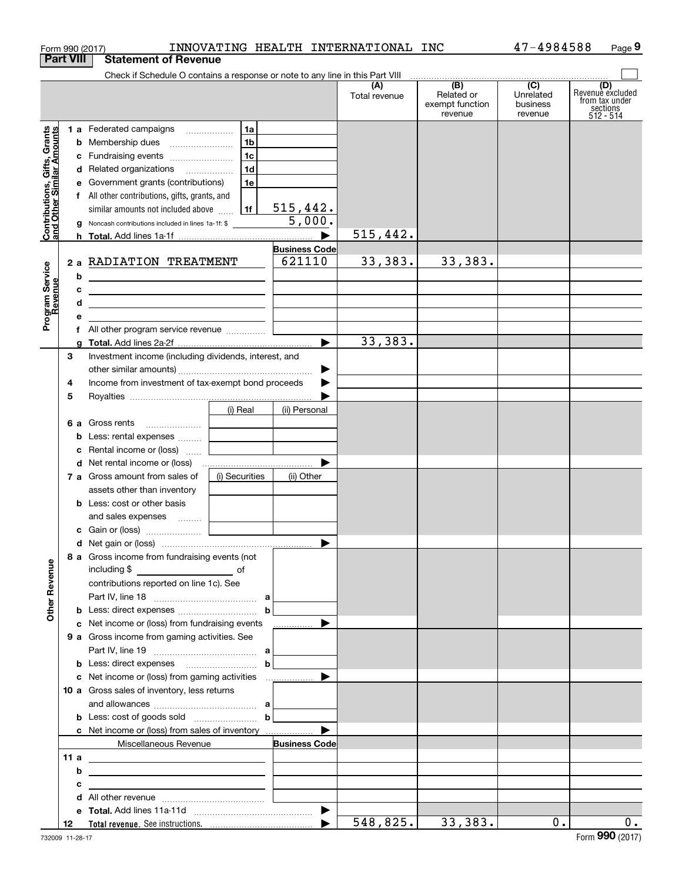|                                                           | Form 990 (2017)  |                                                                                                                        |                |                       | INNOVATING HEALTH INTERNATIONAL INC |                                                 | 47-4984588                              | Page 9                                                             |
|-----------------------------------------------------------|------------------|------------------------------------------------------------------------------------------------------------------------|----------------|-----------------------|-------------------------------------|-------------------------------------------------|-----------------------------------------|--------------------------------------------------------------------|
|                                                           | <b>Part VIII</b> | <b>Statement of Revenue</b>                                                                                            |                |                       |                                     |                                                 |                                         |                                                                    |
|                                                           |                  | Check if Schedule O contains a response or note to any line in this Part VIII                                          |                |                       |                                     |                                                 |                                         |                                                                    |
|                                                           |                  |                                                                                                                        |                |                       | (A)<br>Total revenue                | (B)<br>Related or<br>exempt function<br>revenue | (C)<br>Unrelated<br>business<br>revenue | (D)<br>Revenuè excluded<br>from tax under<br>sections<br>512 - 514 |
|                                                           |                  | 1 a Federated campaigns                                                                                                | 1a             |                       |                                     |                                                 |                                         |                                                                    |
|                                                           |                  |                                                                                                                        | 1 <sub>b</sub> |                       |                                     |                                                 |                                         |                                                                    |
|                                                           |                  | c Fundraising events                                                                                                   | 1c             |                       |                                     |                                                 |                                         |                                                                    |
|                                                           |                  | d Related organizations                                                                                                | 1d             |                       |                                     |                                                 |                                         |                                                                    |
|                                                           |                  | e Government grants (contributions)                                                                                    | 1e             |                       |                                     |                                                 |                                         |                                                                    |
|                                                           |                  | f All other contributions, gifts, grants, and                                                                          |                |                       |                                     |                                                 |                                         |                                                                    |
|                                                           |                  | similar amounts not included above                                                                                     | 1f             | 515,442.              |                                     |                                                 |                                         |                                                                    |
| Contributions, Gifts, Grants<br>and Other Similar Amounts |                  | g Noncash contributions included in lines 1a-1f: \$                                                                    |                | 5,000.                |                                     |                                                 |                                         |                                                                    |
|                                                           |                  |                                                                                                                        |                |                       | 515,442.                            |                                                 |                                         |                                                                    |
|                                                           |                  |                                                                                                                        |                | <b>Business Code</b>  |                                     |                                                 |                                         |                                                                    |
|                                                           |                  | 2 a RADIATION TREATMENT                                                                                                |                | 621110                | 33,383.                             | 33,383.                                         |                                         |                                                                    |
|                                                           | b                |                                                                                                                        |                |                       |                                     |                                                 |                                         |                                                                    |
|                                                           | c                | <u> 1989 - Johann Stein, mars et al. (b. 1989)</u>                                                                     |                |                       |                                     |                                                 |                                         |                                                                    |
| Program Service<br>Revenue                                | d                | <u> 1989 - Johann Barn, mars ann an t-Amhain ann an t-Amhain an t-Amhain an t-Amhain an t-Amhain an t-Amhain an t-</u> |                |                       |                                     |                                                 |                                         |                                                                    |
|                                                           | е                |                                                                                                                        |                |                       |                                     |                                                 |                                         |                                                                    |
|                                                           | f.               |                                                                                                                        |                |                       |                                     |                                                 |                                         |                                                                    |
|                                                           | a                |                                                                                                                        |                |                       | 33,383.                             |                                                 |                                         |                                                                    |
|                                                           | 3                | Investment income (including dividends, interest, and                                                                  |                |                       |                                     |                                                 |                                         |                                                                    |
|                                                           |                  |                                                                                                                        |                | ▶                     |                                     |                                                 |                                         |                                                                    |
|                                                           | 4                | Income from investment of tax-exempt bond proceeds                                                                     |                |                       |                                     |                                                 |                                         |                                                                    |
|                                                           | 5                |                                                                                                                        |                |                       |                                     |                                                 |                                         |                                                                    |
|                                                           |                  |                                                                                                                        | (i) Real       | (ii) Personal         |                                     |                                                 |                                         |                                                                    |
|                                                           |                  | 6 a Gross rents                                                                                                        |                |                       |                                     |                                                 |                                         |                                                                    |
|                                                           | с                | <b>b</b> Less: rental expenses<br>Rental income or (loss)                                                              |                |                       |                                     |                                                 |                                         |                                                                    |
|                                                           |                  | d Net rental income or (loss)                                                                                          |                |                       |                                     |                                                 |                                         |                                                                    |
|                                                           |                  | 7 a Gross amount from sales of                                                                                         | (i) Securities | (ii) Other            |                                     |                                                 |                                         |                                                                    |
|                                                           |                  | assets other than inventory                                                                                            |                |                       |                                     |                                                 |                                         |                                                                    |
|                                                           |                  | <b>b</b> Less: cost or other basis                                                                                     |                |                       |                                     |                                                 |                                         |                                                                    |
|                                                           |                  | and sales expenses                                                                                                     |                |                       |                                     |                                                 |                                         |                                                                    |
|                                                           |                  | c Gain or (loss)                                                                                                       |                |                       |                                     |                                                 |                                         |                                                                    |
|                                                           |                  |                                                                                                                        |                |                       |                                     |                                                 |                                         |                                                                    |
|                                                           |                  | 8 a Gross income from fundraising events (not                                                                          |                |                       |                                     |                                                 |                                         |                                                                    |
| <b>Other Revenue</b>                                      |                  | including \$<br><u>__________________________</u> of                                                                   |                |                       |                                     |                                                 |                                         |                                                                    |
|                                                           |                  | contributions reported on line 1c). See                                                                                |                |                       |                                     |                                                 |                                         |                                                                    |
|                                                           |                  |                                                                                                                        |                |                       |                                     |                                                 |                                         |                                                                    |
|                                                           |                  |                                                                                                                        |                | $\mathbf b$           |                                     |                                                 |                                         |                                                                    |
|                                                           |                  | c Net income or (loss) from fundraising events                                                                         |                | ________________ D    |                                     |                                                 |                                         |                                                                    |
|                                                           |                  | 9 a Gross income from gaming activities. See                                                                           |                |                       |                                     |                                                 |                                         |                                                                    |
|                                                           |                  |                                                                                                                        |                | b                     |                                     |                                                 |                                         |                                                                    |
|                                                           |                  |                                                                                                                        |                |                       |                                     |                                                 |                                         |                                                                    |
|                                                           |                  | 10 a Gross sales of inventory, less returns                                                                            |                |                       |                                     |                                                 |                                         |                                                                    |
|                                                           |                  |                                                                                                                        |                |                       |                                     |                                                 |                                         |                                                                    |
|                                                           |                  | <b>b</b> Less: cost of goods sold $\ldots$ <b>b</b>                                                                    |                |                       |                                     |                                                 |                                         |                                                                    |
|                                                           |                  | c Net income or (loss) from sales of inventory                                                                         |                |                       |                                     |                                                 |                                         |                                                                    |
|                                                           |                  | Miscellaneous Revenue                                                                                                  |                | <b>Business Code</b>  |                                     |                                                 |                                         |                                                                    |
|                                                           | 11 a             | <u> 1989 - Johann Barbara, martxa eta idazlea (h. 1989).</u>                                                           |                |                       |                                     |                                                 |                                         |                                                                    |
|                                                           | b                |                                                                                                                        |                |                       |                                     |                                                 |                                         |                                                                    |
|                                                           | c                |                                                                                                                        |                |                       |                                     |                                                 |                                         |                                                                    |
|                                                           | d                |                                                                                                                        |                |                       |                                     |                                                 |                                         |                                                                    |
|                                                           |                  |                                                                                                                        |                | $\blacktriangleright$ |                                     |                                                 |                                         |                                                                    |
|                                                           | 12               |                                                                                                                        |                |                       | 548,825.                            | 33,383.                                         | 0.                                      | 0.                                                                 |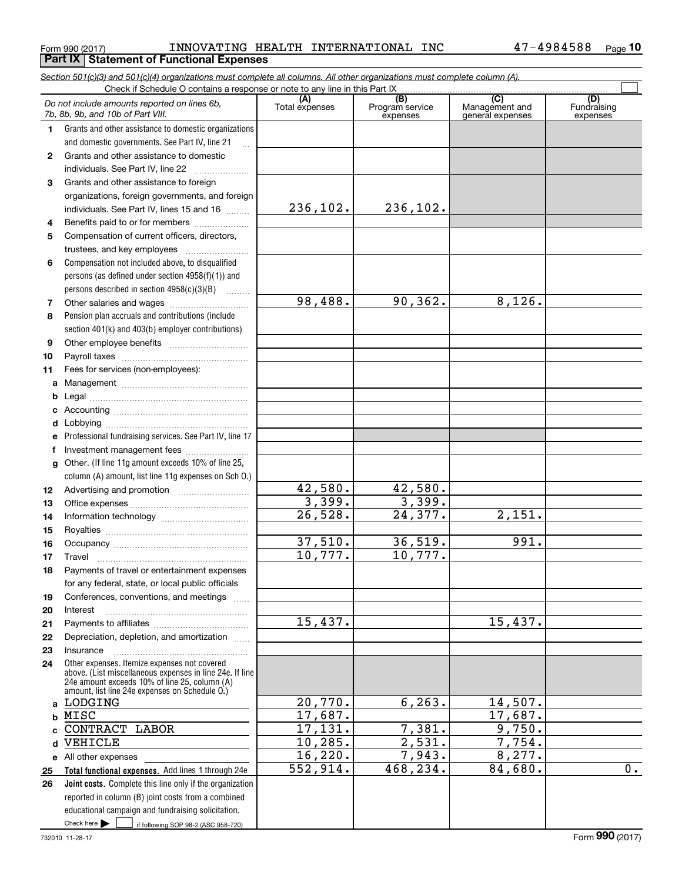#### $_{\rm Form}$   $_{990}$  (2017) <code>INNOVATING</code> <code>HEALTH</code> <code>INTERNATIONAL</code> INC  $_{\rm 47-4984588}$   $_{\rm Page}$ **Part IX Statement of Functional Expenses**

**10**

|          | Do not include amounts reported on lines 6b,<br>7b, 8b, 9b, and 10b of Part VIII.                                                                                                                           | (A)<br>Total expenses | (B)<br>Program service<br>expenses | (C)<br>Management and<br>general expenses | (D)<br>Fundraising<br>expenses |
|----------|-------------------------------------------------------------------------------------------------------------------------------------------------------------------------------------------------------------|-----------------------|------------------------------------|-------------------------------------------|--------------------------------|
| 1.       | Grants and other assistance to domestic organizations                                                                                                                                                       |                       |                                    |                                           |                                |
|          | and domestic governments. See Part IV, line 21                                                                                                                                                              |                       |                                    |                                           |                                |
| 2        | Grants and other assistance to domestic                                                                                                                                                                     |                       |                                    |                                           |                                |
|          | individuals. See Part IV, line 22                                                                                                                                                                           |                       |                                    |                                           |                                |
| 3        | Grants and other assistance to foreign                                                                                                                                                                      |                       |                                    |                                           |                                |
|          | organizations, foreign governments, and foreign                                                                                                                                                             |                       |                                    |                                           |                                |
|          | individuals. See Part IV, lines 15 and 16                                                                                                                                                                   | 236, 102.             | 236,102.                           |                                           |                                |
| 4        | Benefits paid to or for members                                                                                                                                                                             |                       |                                    |                                           |                                |
| 5        | Compensation of current officers, directors,                                                                                                                                                                |                       |                                    |                                           |                                |
|          | trustees, and key employees                                                                                                                                                                                 |                       |                                    |                                           |                                |
| 6        | Compensation not included above, to disqualified                                                                                                                                                            |                       |                                    |                                           |                                |
|          | persons (as defined under section $4958(f)(1)$ ) and                                                                                                                                                        |                       |                                    |                                           |                                |
|          | persons described in section 4958(c)(3)(B)                                                                                                                                                                  |                       |                                    |                                           |                                |
| 7        |                                                                                                                                                                                                             | 98,488.               | 90, 362.                           | $\overline{8,126}$ .                      |                                |
| 8        | Pension plan accruals and contributions (include                                                                                                                                                            |                       |                                    |                                           |                                |
|          | section 401(k) and 403(b) employer contributions)                                                                                                                                                           |                       |                                    |                                           |                                |
| 9        |                                                                                                                                                                                                             |                       |                                    |                                           |                                |
| 10       |                                                                                                                                                                                                             |                       |                                    |                                           |                                |
| 11       | Fees for services (non-employees):                                                                                                                                                                          |                       |                                    |                                           |                                |
| a        |                                                                                                                                                                                                             |                       |                                    |                                           |                                |
| b        |                                                                                                                                                                                                             |                       |                                    |                                           |                                |
| c        |                                                                                                                                                                                                             |                       |                                    |                                           |                                |
| d        |                                                                                                                                                                                                             |                       |                                    |                                           |                                |
| е        | Professional fundraising services. See Part IV, line 17                                                                                                                                                     |                       |                                    |                                           |                                |
| f        | Investment management fees                                                                                                                                                                                  |                       |                                    |                                           |                                |
| g        | Other. (If line 11g amount exceeds 10% of line 25,                                                                                                                                                          |                       |                                    |                                           |                                |
|          | column (A) amount, list line 11g expenses on Sch O.)                                                                                                                                                        | 42,580.               | 42,580.                            |                                           |                                |
| 12<br>13 |                                                                                                                                                                                                             | 3,399.                | 3,399.                             |                                           |                                |
| 14       |                                                                                                                                                                                                             | $\overline{26,528}$ . | 24,377.                            | $\overline{2,151}$ .                      |                                |
| 15       |                                                                                                                                                                                                             |                       |                                    |                                           |                                |
| 16       |                                                                                                                                                                                                             | 37,510.               | 36,519.                            | 991.                                      |                                |
| 17       | Travel                                                                                                                                                                                                      | 10,777.               | 10,777.                            |                                           |                                |
| 18       | Payments of travel or entertainment expenses                                                                                                                                                                |                       |                                    |                                           |                                |
|          | for any federal, state, or local public officials                                                                                                                                                           |                       |                                    |                                           |                                |
| 19       | Conferences, conventions, and meetings                                                                                                                                                                      |                       |                                    |                                           |                                |
| 20       | Interest                                                                                                                                                                                                    |                       |                                    |                                           |                                |
| 21       |                                                                                                                                                                                                             | 15,437.               |                                    | 15,437.                                   |                                |
| 22       | Depreciation, depletion, and amortization                                                                                                                                                                   |                       |                                    |                                           |                                |
| 23       | Insurance                                                                                                                                                                                                   |                       |                                    |                                           |                                |
| 24       | Other expenses. Itemize expenses not covered<br>above. (List miscellaneous expenses in line 24e. If line<br>24e amount exceeds 10% of line 25, column (A)<br>amount, list line 24e expenses on Schedule 0.) |                       |                                    |                                           |                                |
|          | a LODGING                                                                                                                                                                                                   | 20,770.               | 6, 263.                            | 14,507.                                   |                                |
|          | b MISC                                                                                                                                                                                                      | 17,687.               |                                    | 17,687.                                   |                                |
|          | c CONTRACT LABOR                                                                                                                                                                                            | 17,131.               | 7,381.                             | 9,750.                                    |                                |
|          | d VEHICLE                                                                                                                                                                                                   | 10, 285.              | 2,531.                             | 7,754.                                    |                                |
|          | e All other expenses                                                                                                                                                                                        | 16, 220.              | 7,943.                             | 8,277.                                    |                                |
| 25       | Total functional expenses. Add lines 1 through 24e                                                                                                                                                          | 552,914.              | 468, 234.                          | 84,680.                                   | 0.                             |
| 26       | Joint costs. Complete this line only if the organization                                                                                                                                                    |                       |                                    |                                           |                                |
|          | reported in column (B) joint costs from a combined                                                                                                                                                          |                       |                                    |                                           |                                |
|          | educational campaign and fundraising solicitation.                                                                                                                                                          |                       |                                    |                                           |                                |

*Section 501(c)(3) and 501(c)(4) organizations must complete all columns. All other organizations must complete column (A).*

Check here

Check here if following SOP 98-2 (ASC 958-720)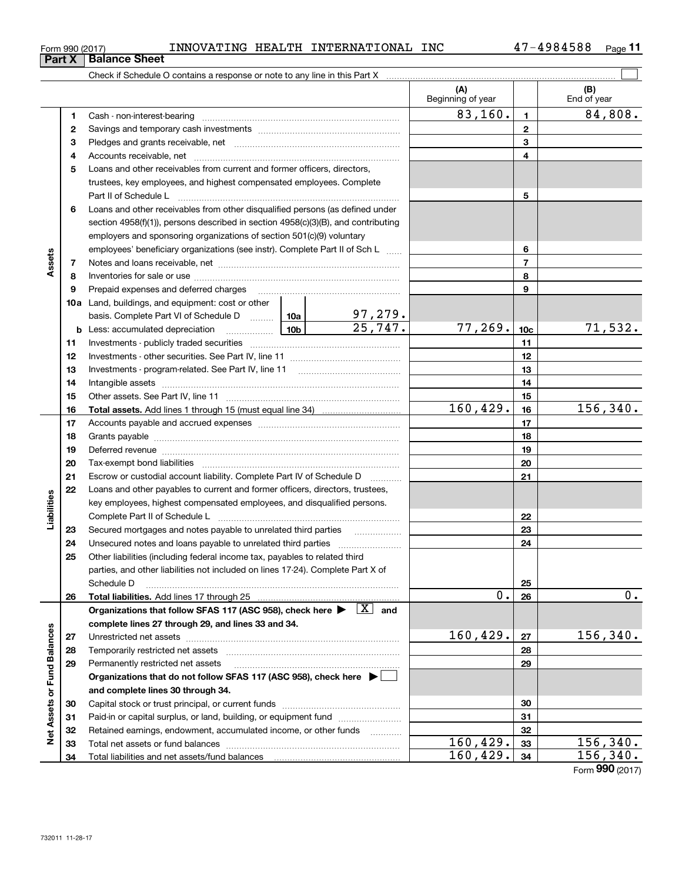| Form 990 (2017) |  | INNOVATING | <b>HEALTH</b> | INTERNATIONAL | INC | 984588؛<br>— Л | Page |  |
|-----------------|--|------------|---------------|---------------|-----|----------------|------|--|
|-----------------|--|------------|---------------|---------------|-----|----------------|------|--|

|                             |    |                                                                                                                                                                                                                                |   |                       | (A)<br>Beginning of year |                 | (B)<br>End of year |
|-----------------------------|----|--------------------------------------------------------------------------------------------------------------------------------------------------------------------------------------------------------------------------------|---|-----------------------|--------------------------|-----------------|--------------------|
|                             | 1  |                                                                                                                                                                                                                                |   |                       | 83,160.                  | $\blacksquare$  | 84,808.            |
|                             | 2  |                                                                                                                                                                                                                                |   |                       |                          | $\mathbf{2}$    |                    |
|                             | 3  |                                                                                                                                                                                                                                |   |                       |                          | 3               |                    |
|                             | 4  |                                                                                                                                                                                                                                |   |                       |                          | 4               |                    |
|                             | 5  | Loans and other receivables from current and former officers, directors,                                                                                                                                                       |   |                       |                          |                 |                    |
|                             |    | trustees, key employees, and highest compensated employees. Complete                                                                                                                                                           |   |                       |                          |                 |                    |
|                             |    | Part II of Schedule Latin million and Contact March 2014                                                                                                                                                                       |   |                       |                          | 5               |                    |
|                             | 6  | Loans and other receivables from other disqualified persons (as defined under                                                                                                                                                  |   |                       |                          |                 |                    |
|                             |    | section 4958(f)(1)), persons described in section 4958(c)(3)(B), and contributing                                                                                                                                              |   |                       |                          |                 |                    |
|                             |    | employers and sponsoring organizations of section 501(c)(9) voluntary                                                                                                                                                          |   |                       |                          |                 |                    |
|                             |    | employees' beneficiary organizations (see instr). Complete Part II of Sch L                                                                                                                                                    |   |                       |                          | 6               |                    |
| Assets                      | 7  |                                                                                                                                                                                                                                |   |                       |                          | $\overline{7}$  |                    |
|                             | 8  |                                                                                                                                                                                                                                |   |                       |                          | 8               |                    |
|                             | 9  | Prepaid expenses and deferred charges [11] [11] [11] [12] [12] [12] [12] [13] [13] [13] [13] [13] [13] [13] [1                                                                                                                 |   |                       |                          | 9               |                    |
|                             |    | <b>10a</b> Land, buildings, and equipment: cost or other                                                                                                                                                                       |   |                       |                          |                 |                    |
|                             |    | basis. Complete Part VI of Schedule D  10a                                                                                                                                                                                     |   | <u>97,279.</u>        |                          |                 |                    |
|                             |    | <b>b</b> Less: accumulated depreciation                                                                                                                                                                                        |   | $\overline{25,747}$ . | 77, 269.                 | 10 <sub>c</sub> | 71,532.            |
|                             | 11 |                                                                                                                                                                                                                                |   |                       |                          | 11              |                    |
|                             | 12 |                                                                                                                                                                                                                                |   |                       |                          | 12              |                    |
|                             | 13 |                                                                                                                                                                                                                                |   |                       |                          | 13              |                    |
|                             | 14 |                                                                                                                                                                                                                                |   |                       |                          | 14              |                    |
|                             | 15 |                                                                                                                                                                                                                                |   |                       |                          | 15              |                    |
|                             | 16 |                                                                                                                                                                                                                                |   |                       | 160, 429.                | 16              | 156, 340.          |
|                             | 17 |                                                                                                                                                                                                                                |   |                       |                          | 17              |                    |
|                             | 18 |                                                                                                                                                                                                                                |   |                       | 18                       |                 |                    |
|                             | 19 | Deferred revenue manual contracts and contracts are all the manual contracts and contracts are contracted and contracts are contracted and contract are contracted and contract are contracted and contract are contracted and |   | 19                    |                          |                 |                    |
|                             | 20 |                                                                                                                                                                                                                                |   |                       | 20                       |                 |                    |
|                             | 21 | Escrow or custodial account liability. Complete Part IV of Schedule D                                                                                                                                                          | . |                       | 21                       |                 |                    |
|                             | 22 | Loans and other payables to current and former officers, directors, trustees,                                                                                                                                                  |   |                       |                          |                 |                    |
| Liabilities                 |    | key employees, highest compensated employees, and disqualified persons.                                                                                                                                                        |   |                       |                          |                 |                    |
|                             |    |                                                                                                                                                                                                                                |   |                       |                          | 22              |                    |
|                             | 23 | Secured mortgages and notes payable to unrelated third parties                                                                                                                                                                 |   |                       |                          | 23              |                    |
|                             | 24 |                                                                                                                                                                                                                                |   |                       |                          | 24              |                    |
|                             | 25 | Other liabilities (including federal income tax, payables to related third                                                                                                                                                     |   |                       |                          |                 |                    |
|                             |    | parties, and other liabilities not included on lines 17-24). Complete Part X of                                                                                                                                                |   |                       |                          |                 |                    |
|                             |    | Schedule D                                                                                                                                                                                                                     |   |                       |                          | 25              |                    |
|                             | 26 |                                                                                                                                                                                                                                |   |                       | 0.                       | 26              | $0$ .              |
|                             |    | Organizations that follow SFAS 117 (ASC 958), check here $\blacktriangleright \begin{array}{ c } \hline X & \text{and} \end{array}$                                                                                            |   |                       |                          |                 |                    |
|                             |    | complete lines 27 through 29, and lines 33 and 34.                                                                                                                                                                             |   |                       |                          |                 |                    |
|                             | 27 |                                                                                                                                                                                                                                |   |                       | 160, 429.                | 27              | 156, 340.          |
|                             | 28 |                                                                                                                                                                                                                                |   |                       |                          | 28              |                    |
|                             | 29 | Permanently restricted net assets                                                                                                                                                                                              |   |                       |                          | 29              |                    |
|                             |    | Organizations that do not follow SFAS 117 (ASC 958), check here $\blacktriangleright$                                                                                                                                          |   |                       |                          |                 |                    |
| Net Assets or Fund Balances |    | and complete lines 30 through 34.                                                                                                                                                                                              |   |                       |                          |                 |                    |
|                             | 30 |                                                                                                                                                                                                                                |   |                       |                          | 30              |                    |
|                             | 31 | Paid-in or capital surplus, or land, building, or equipment fund                                                                                                                                                               |   |                       |                          | 31              |                    |
|                             | 32 | Retained earnings, endowment, accumulated income, or other funds                                                                                                                                                               |   |                       |                          | 32              |                    |
|                             | 33 |                                                                                                                                                                                                                                |   |                       | 160, 429.                | 33              | 156,340.           |
|                             | 34 |                                                                                                                                                                                                                                |   |                       | 160, 429.                | 34              | 156, 340.          |

Form (2017) **990**

### **Part X Balance Sheet**

| Form 990 (2017 |  |  |
|----------------|--|--|
|                |  |  |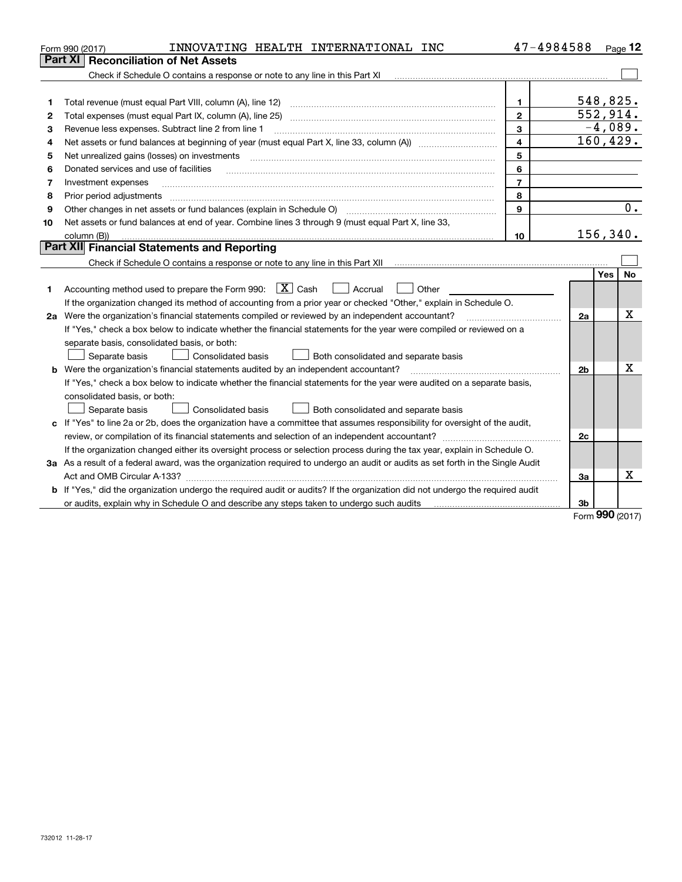|    | INNOVATING HEALTH INTERNATIONAL INC<br>Form 990 (2017)                                                                                                                                  | 47-4984588              |                |            | Page 12   |
|----|-----------------------------------------------------------------------------------------------------------------------------------------------------------------------------------------|-------------------------|----------------|------------|-----------|
|    | <b>Reconciliation of Net Assets</b><br>Part XI                                                                                                                                          |                         |                |            |           |
|    |                                                                                                                                                                                         |                         |                |            |           |
|    |                                                                                                                                                                                         |                         |                |            |           |
| 1  | Total revenue (must equal Part VIII, column (A), line 12)                                                                                                                               | $\mathbf{1}$            |                | 548,825.   |           |
| 2  | Total expenses (must equal Part IX, column (A), line 25)                                                                                                                                | $\mathbf{2}$            |                | 552,914.   |           |
| з  | Revenue less expenses. Subtract line 2 from line 1                                                                                                                                      | 3                       |                | $-4,089.$  |           |
| 4  | Net assets or fund balances at beginning of year (must equal Part X, line 33, column (A)) <i>massets</i> or fund balances at beginning of year (must equal Part X, line 33, column (A)) | $\overline{\mathbf{4}}$ |                | 160, 429.  |           |
| 5  | Net unrealized gains (losses) on investments                                                                                                                                            | 5                       |                |            |           |
| 6  | Donated services and use of facilities                                                                                                                                                  | 6                       |                |            |           |
| 7  | Investment expenses                                                                                                                                                                     | $\overline{7}$          |                |            |           |
| 8  | Prior period adjustments                                                                                                                                                                | 8                       |                |            |           |
| 9  | Other changes in net assets or fund balances (explain in Schedule O) [11] [12] [13] [13] [13] [13] Other changes in net assets or fund balances (explain in Schedule O)                 | 9                       |                |            | 0.        |
| 10 | Net assets or fund balances at end of year. Combine lines 3 through 9 (must equal Part X, line 33,                                                                                      |                         |                |            |           |
|    | column (B))                                                                                                                                                                             | 10                      |                | 156, 340.  |           |
|    | Part XII Financial Statements and Reporting                                                                                                                                             |                         |                |            |           |
|    | Check if Schedule O contains a response or note to any line in this Part XII [11] [11] [11] [11] [11] [11] Check if Schedule O contains a response or note to any line in this Part XII |                         |                |            |           |
|    |                                                                                                                                                                                         |                         |                | <b>Yes</b> | <b>No</b> |
| 1  | Accounting method used to prepare the Form 990: $\boxed{X}$ Cash<br>  Accrual<br>Other                                                                                                  |                         |                |            |           |
|    | If the organization changed its method of accounting from a prior year or checked "Other," explain in Schedule O.                                                                       |                         |                |            |           |
|    | 2a Were the organization's financial statements compiled or reviewed by an independent accountant?                                                                                      |                         | 2a             |            | X         |
|    | If "Yes," check a box below to indicate whether the financial statements for the year were compiled or reviewed on a                                                                    |                         |                |            |           |
|    | separate basis, consolidated basis, or both:                                                                                                                                            |                         |                |            |           |
|    | Both consolidated and separate basis<br>Separate basis<br>Consolidated basis                                                                                                            |                         |                |            |           |
|    | <b>b</b> Were the organization's financial statements audited by an independent accountant?                                                                                             |                         | 2 <sub>b</sub> |            | х         |
|    | If "Yes," check a box below to indicate whether the financial statements for the year were audited on a separate basis,                                                                 |                         |                |            |           |
|    | consolidated basis, or both:                                                                                                                                                            |                         |                |            |           |
|    | Separate basis<br><b>Consolidated basis</b><br>Both consolidated and separate basis                                                                                                     |                         |                |            |           |
|    | c If "Yes" to line 2a or 2b, does the organization have a committee that assumes responsibility for oversight of the audit,                                                             |                         |                |            |           |
|    |                                                                                                                                                                                         |                         | 2c             |            |           |
|    | If the organization changed either its oversight process or selection process during the tax year, explain in Schedule O.                                                               |                         |                |            |           |
|    | 3a As a result of a federal award, was the organization required to undergo an audit or audits as set forth in the Single Audit                                                         |                         |                |            |           |
|    |                                                                                                                                                                                         |                         | За             |            | x         |
|    | b If "Yes," did the organization undergo the required audit or audits? If the organization did not undergo the required audit                                                           |                         |                |            |           |
|    | or audits, explain why in Schedule O and describe any steps taken to undergo such audits matures and the second                                                                         |                         | 3b             | nnn.       |           |

Form (2017) **990**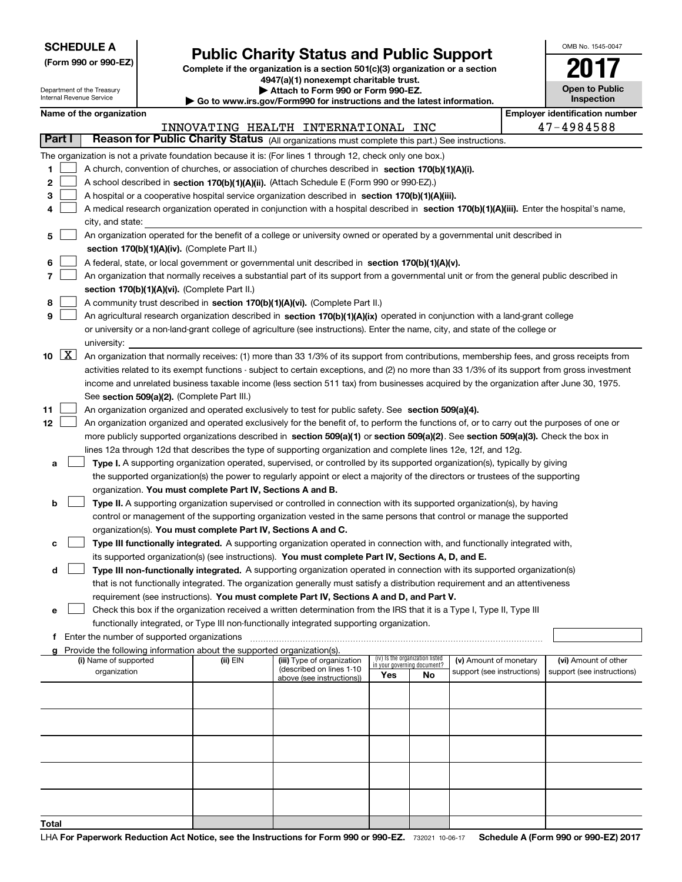| <b>SCHEDULE A</b> |  |  |  |  |  |  |
|-------------------|--|--|--|--|--|--|
|-------------------|--|--|--|--|--|--|

**(Form 990 or 990-EZ)**

### **Public Charity Status and Public Support**

**Complete if the organization is a section 501(c)(3) organization or a section 4947(a)(1) nonexempt charitable trust. | Attach to Form 990 or Form 990-EZ.** 

| OMB No 1545-0047                    |
|-------------------------------------|
|                                     |
| <b>Open to Public</b><br>Inspection |

|        |                    | Department of the Treasury<br>Internal Revenue Service |                                                                        | Attach to Form 990 or Form 990-EZ.<br>$\blacktriangleright$ Go to www.irs.gov/Form990 for instructions and the latest information.            |     |                                 |                                                      | <b>Open to Public</b><br>Inspection                |
|--------|--------------------|--------------------------------------------------------|------------------------------------------------------------------------|-----------------------------------------------------------------------------------------------------------------------------------------------|-----|---------------------------------|------------------------------------------------------|----------------------------------------------------|
|        |                    | Name of the organization                               |                                                                        |                                                                                                                                               |     |                                 |                                                      | <b>Employer identification number</b>              |
|        |                    |                                                        |                                                                        | INNOVATING HEALTH INTERNATIONAL INC                                                                                                           |     |                                 |                                                      | 47-4984588                                         |
| Part I |                    |                                                        |                                                                        | Reason for Public Charity Status (All organizations must complete this part.) See instructions.                                               |     |                                 |                                                      |                                                    |
|        |                    |                                                        |                                                                        | The organization is not a private foundation because it is: (For lines 1 through 12, check only one box.)                                     |     |                                 |                                                      |                                                    |
| 1      |                    |                                                        |                                                                        | A church, convention of churches, or association of churches described in section 170(b)(1)(A)(i).                                            |     |                                 |                                                      |                                                    |
| 2      |                    |                                                        |                                                                        | A school described in section 170(b)(1)(A)(ii). (Attach Schedule E (Form 990 or 990-EZ).)                                                     |     |                                 |                                                      |                                                    |
| з      |                    |                                                        |                                                                        | A hospital or a cooperative hospital service organization described in section 170(b)(1)(A)(iii).                                             |     |                                 |                                                      |                                                    |
| 4      |                    |                                                        |                                                                        | A medical research organization operated in conjunction with a hospital described in section 170(b)(1)(A)(iii). Enter the hospital's name,    |     |                                 |                                                      |                                                    |
|        |                    | city, and state:                                       |                                                                        |                                                                                                                                               |     |                                 |                                                      |                                                    |
| 5      |                    |                                                        |                                                                        | An organization operated for the benefit of a college or university owned or operated by a governmental unit described in                     |     |                                 |                                                      |                                                    |
|        |                    |                                                        | section 170(b)(1)(A)(iv). (Complete Part II.)                          |                                                                                                                                               |     |                                 |                                                      |                                                    |
| 6      |                    |                                                        |                                                                        | A federal, state, or local government or governmental unit described in section 170(b)(1)(A)(v).                                              |     |                                 |                                                      |                                                    |
| 7      |                    |                                                        |                                                                        | An organization that normally receives a substantial part of its support from a governmental unit or from the general public described in     |     |                                 |                                                      |                                                    |
|        |                    |                                                        | section 170(b)(1)(A)(vi). (Complete Part II.)                          |                                                                                                                                               |     |                                 |                                                      |                                                    |
| 8      |                    |                                                        |                                                                        | A community trust described in section 170(b)(1)(A)(vi). (Complete Part II.)                                                                  |     |                                 |                                                      |                                                    |
| 9      |                    |                                                        |                                                                        | An agricultural research organization described in section 170(b)(1)(A)(ix) operated in conjunction with a land-grant college                 |     |                                 |                                                      |                                                    |
|        |                    |                                                        |                                                                        | or university or a non-land-grant college of agriculture (see instructions). Enter the name, city, and state of the college or                |     |                                 |                                                      |                                                    |
|        |                    | university:                                            |                                                                        |                                                                                                                                               |     |                                 |                                                      |                                                    |
| 10     | $\boxed{\text{X}}$ |                                                        |                                                                        | An organization that normally receives: (1) more than 33 1/3% of its support from contributions, membership fees, and gross receipts from     |     |                                 |                                                      |                                                    |
|        |                    |                                                        |                                                                        | activities related to its exempt functions - subject to certain exceptions, and (2) no more than 33 1/3% of its support from gross investment |     |                                 |                                                      |                                                    |
|        |                    |                                                        |                                                                        | income and unrelated business taxable income (less section 511 tax) from businesses acquired by the organization after June 30, 1975.         |     |                                 |                                                      |                                                    |
|        |                    |                                                        | See section 509(a)(2). (Complete Part III.)                            |                                                                                                                                               |     |                                 |                                                      |                                                    |
| 11     |                    |                                                        |                                                                        | An organization organized and operated exclusively to test for public safety. See section 509(a)(4).                                          |     |                                 |                                                      |                                                    |
| 12     |                    |                                                        |                                                                        | An organization organized and operated exclusively for the benefit of, to perform the functions of, or to carry out the purposes of one or    |     |                                 |                                                      |                                                    |
|        |                    |                                                        |                                                                        | more publicly supported organizations described in section 509(a)(1) or section 509(a)(2). See section 509(a)(3). Check the box in            |     |                                 |                                                      |                                                    |
|        |                    |                                                        |                                                                        | lines 12a through 12d that describes the type of supporting organization and complete lines 12e, 12f, and 12g.                                |     |                                 |                                                      |                                                    |
| а      |                    |                                                        |                                                                        | Type I. A supporting organization operated, supervised, or controlled by its supported organization(s), typically by giving                   |     |                                 |                                                      |                                                    |
|        |                    |                                                        |                                                                        | the supported organization(s) the power to regularly appoint or elect a majority of the directors or trustees of the supporting               |     |                                 |                                                      |                                                    |
|        |                    |                                                        | organization. You must complete Part IV, Sections A and B.             |                                                                                                                                               |     |                                 |                                                      |                                                    |
| b      |                    |                                                        |                                                                        | Type II. A supporting organization supervised or controlled in connection with its supported organization(s), by having                       |     |                                 |                                                      |                                                    |
|        |                    |                                                        |                                                                        | control or management of the supporting organization vested in the same persons that control or manage the supported                          |     |                                 |                                                      |                                                    |
|        |                    |                                                        | organization(s). You must complete Part IV, Sections A and C.          |                                                                                                                                               |     |                                 |                                                      |                                                    |
| с      |                    |                                                        |                                                                        | Type III functionally integrated. A supporting organization operated in connection with, and functionally integrated with,                    |     |                                 |                                                      |                                                    |
|        |                    |                                                        |                                                                        | its supported organization(s) (see instructions). You must complete Part IV, Sections A, D, and E.                                            |     |                                 |                                                      |                                                    |
| d      |                    |                                                        |                                                                        | Type III non-functionally integrated. A supporting organization operated in connection with its supported organization(s)                     |     |                                 |                                                      |                                                    |
|        |                    |                                                        |                                                                        | that is not functionally integrated. The organization generally must satisfy a distribution requirement and an attentiveness                  |     |                                 |                                                      |                                                    |
|        |                    |                                                        |                                                                        | requirement (see instructions). You must complete Part IV, Sections A and D, and Part V.                                                      |     |                                 |                                                      |                                                    |
| е      |                    |                                                        |                                                                        | Check this box if the organization received a written determination from the IRS that it is a Type I, Type II, Type III                       |     |                                 |                                                      |                                                    |
|        |                    |                                                        |                                                                        | functionally integrated, or Type III non-functionally integrated supporting organization.                                                     |     |                                 |                                                      |                                                    |
|        |                    | f Enter the number of supported organizations          |                                                                        |                                                                                                                                               |     |                                 |                                                      |                                                    |
| a      |                    |                                                        | Provide the following information about the supported organization(s). |                                                                                                                                               |     | (iv) Is the organization listed |                                                      |                                                    |
|        |                    | (i) Name of supported<br>organization                  | (ii) EIN                                                               | (iii) Type of organization<br>(described on lines 1-10                                                                                        |     | in your governing document?     | (v) Amount of monetary<br>support (see instructions) | (vi) Amount of other<br>support (see instructions) |
|        |                    |                                                        |                                                                        | above (see instructions))                                                                                                                     | Yes | No                              |                                                      |                                                    |
|        |                    |                                                        |                                                                        |                                                                                                                                               |     |                                 |                                                      |                                                    |
|        |                    |                                                        |                                                                        |                                                                                                                                               |     |                                 |                                                      |                                                    |
|        |                    |                                                        |                                                                        |                                                                                                                                               |     |                                 |                                                      |                                                    |
|        |                    |                                                        |                                                                        |                                                                                                                                               |     |                                 |                                                      |                                                    |
|        |                    |                                                        |                                                                        |                                                                                                                                               |     |                                 |                                                      |                                                    |
|        |                    |                                                        |                                                                        |                                                                                                                                               |     |                                 |                                                      |                                                    |
|        |                    |                                                        |                                                                        |                                                                                                                                               |     |                                 |                                                      |                                                    |
|        |                    |                                                        |                                                                        |                                                                                                                                               |     |                                 |                                                      |                                                    |
|        |                    |                                                        |                                                                        |                                                                                                                                               |     |                                 |                                                      |                                                    |
|        |                    |                                                        |                                                                        |                                                                                                                                               |     |                                 |                                                      |                                                    |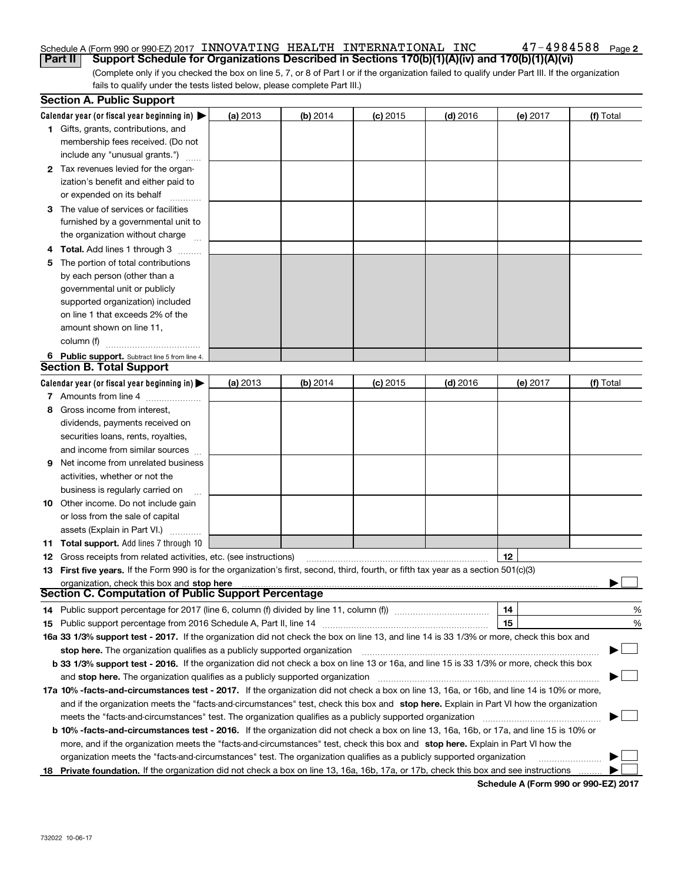#### Schedule A (Form 990 or 990-EZ) 2017  $\,$  INNOVATING  $\,$  HEALTH  $\,$  INTERNATIONAL  $\,$  INC  $\,$   $\,$   $\,$  47  $-$  4984588  $\,$   $_{\rm{Page}}$ **Part II Support Schedule for Organizations Described in Sections 170(b)(1)(A)(iv) and 170(b)(1)(A)(vi)**

**2**

(Complete only if you checked the box on line 5, 7, or 8 of Part I or if the organization failed to qualify under Part III. If the organization fails to qualify under the tests listed below, please complete Part III.)

|    | <b>Section A. Public Support</b>                                                                                                               |          |          |            |            |          |           |
|----|------------------------------------------------------------------------------------------------------------------------------------------------|----------|----------|------------|------------|----------|-----------|
|    | Calendar year (or fiscal year beginning in) $\blacktriangleright$                                                                              | (a) 2013 | (b) 2014 | $(c)$ 2015 | $(d)$ 2016 | (e) 2017 | (f) Total |
|    | 1 Gifts, grants, contributions, and                                                                                                            |          |          |            |            |          |           |
|    | membership fees received. (Do not                                                                                                              |          |          |            |            |          |           |
|    | include any "unusual grants.")                                                                                                                 |          |          |            |            |          |           |
|    | 2 Tax revenues levied for the organ-                                                                                                           |          |          |            |            |          |           |
|    | ization's benefit and either paid to                                                                                                           |          |          |            |            |          |           |
|    | or expended on its behalf                                                                                                                      |          |          |            |            |          |           |
|    | 3 The value of services or facilities                                                                                                          |          |          |            |            |          |           |
|    | furnished by a governmental unit to                                                                                                            |          |          |            |            |          |           |
|    | the organization without charge                                                                                                                |          |          |            |            |          |           |
|    | 4 Total. Add lines 1 through 3                                                                                                                 |          |          |            |            |          |           |
| 5. | The portion of total contributions                                                                                                             |          |          |            |            |          |           |
|    | by each person (other than a                                                                                                                   |          |          |            |            |          |           |
|    | governmental unit or publicly                                                                                                                  |          |          |            |            |          |           |
|    | supported organization) included                                                                                                               |          |          |            |            |          |           |
|    | on line 1 that exceeds 2% of the                                                                                                               |          |          |            |            |          |           |
|    | amount shown on line 11,                                                                                                                       |          |          |            |            |          |           |
|    | column (f)                                                                                                                                     |          |          |            |            |          |           |
|    | 6 Public support. Subtract line 5 from line 4.                                                                                                 |          |          |            |            |          |           |
|    | <b>Section B. Total Support</b>                                                                                                                |          |          |            |            |          |           |
|    | Calendar year (or fiscal year beginning in) $\blacktriangleright$                                                                              | (a) 2013 | (b) 2014 | $(c)$ 2015 | $(d)$ 2016 | (e) 2017 | (f) Total |
|    | 7 Amounts from line 4                                                                                                                          |          |          |            |            |          |           |
| 8  | Gross income from interest,                                                                                                                    |          |          |            |            |          |           |
|    | dividends, payments received on                                                                                                                |          |          |            |            |          |           |
|    | securities loans, rents, royalties,                                                                                                            |          |          |            |            |          |           |
|    | and income from similar sources                                                                                                                |          |          |            |            |          |           |
| 9. | Net income from unrelated business                                                                                                             |          |          |            |            |          |           |
|    | activities, whether or not the                                                                                                                 |          |          |            |            |          |           |
|    | business is regularly carried on                                                                                                               |          |          |            |            |          |           |
|    | <b>10</b> Other income. Do not include gain                                                                                                    |          |          |            |            |          |           |
|    | or loss from the sale of capital                                                                                                               |          |          |            |            |          |           |
|    | assets (Explain in Part VI.)                                                                                                                   |          |          |            |            |          |           |
|    | <b>11 Total support.</b> Add lines 7 through 10                                                                                                |          |          |            |            |          |           |
|    | <b>12</b> Gross receipts from related activities, etc. (see instructions)                                                                      |          |          |            |            | 12       |           |
|    | 13 First five years. If the Form 990 is for the organization's first, second, third, fourth, or fifth tax year as a section 501(c)(3)          |          |          |            |            |          |           |
|    | organization, check this box and stop here                                                                                                     |          |          |            |            |          |           |
|    | Section C. Computation of Public Support Percentage                                                                                            |          |          |            |            |          |           |
|    | 14 Public support percentage for 2017 (line 6, column (f) divided by line 11, column (f) <i>mummention</i>                                     |          |          |            |            | 14       | %         |
|    |                                                                                                                                                |          |          |            |            | 15       | %         |
|    | 16a 33 1/3% support test - 2017. If the organization did not check the box on line 13, and line 14 is 33 1/3% or more, check this box and      |          |          |            |            |          |           |
|    | stop here. The organization qualifies as a publicly supported organization                                                                     |          |          |            |            |          | ▔▁」       |
|    | b 33 1/3% support test - 2016. If the organization did not check a box on line 13 or 16a, and line 15 is 33 1/3% or more, check this box       |          |          |            |            |          |           |
|    | and stop here. The organization qualifies as a publicly supported organization                                                                 |          |          |            |            |          |           |
|    | 17a 10% -facts-and-circumstances test - 2017. If the organization did not check a box on line 13, 16a, or 16b, and line 14 is 10% or more,     |          |          |            |            |          |           |
|    | and if the organization meets the "facts-and-circumstances" test, check this box and stop here. Explain in Part VI how the organization        |          |          |            |            |          |           |
|    | meets the "facts-and-circumstances" test. The organization qualifies as a publicly supported organization                                      |          |          |            |            |          |           |
|    | <b>b 10% -facts-and-circumstances test - 2016.</b> If the organization did not check a box on line 13, 16a, 16b, or 17a, and line 15 is 10% or |          |          |            |            |          |           |
|    | more, and if the organization meets the "facts-and-circumstances" test, check this box and stop here. Explain in Part VI how the               |          |          |            |            |          |           |
|    | organization meets the "facts-and-circumstances" test. The organization qualifies as a publicly supported organization                         |          |          |            |            |          |           |
| 18 | Private foundation. If the organization did not check a box on line 13, 16a, 16b, 17a, or 17b, check this box and see instructions             |          |          |            |            |          |           |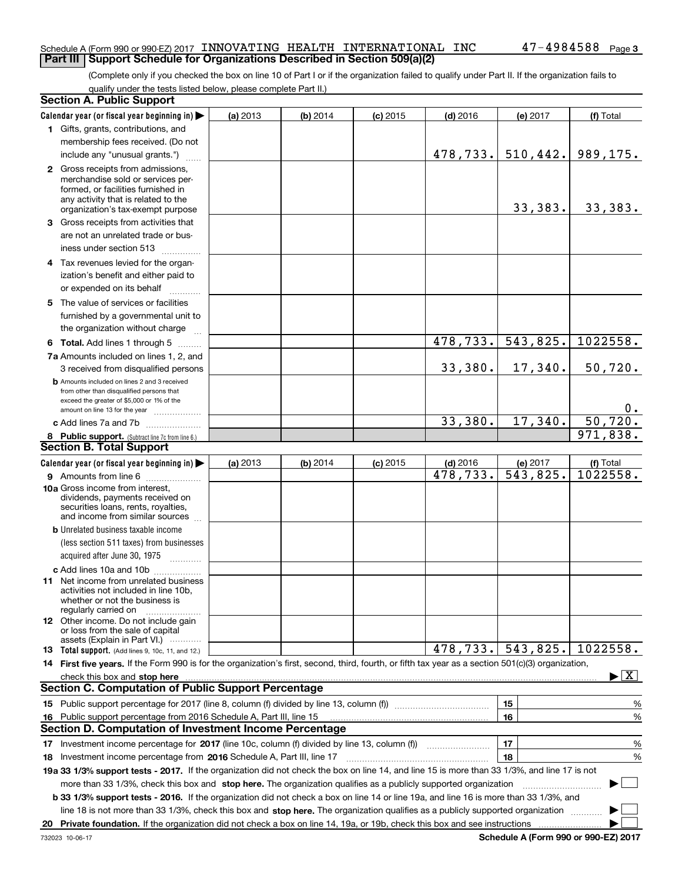#### Schedule A (Form 990 or 990-EZ) 2017  $\,$  INNOVATING  $\,$  HEALTH  $\,$  INTERNATIONAL  $\,$  INC  $\,$   $\,$   $\,$  47  $-$  4984588  $\,$   $_{\rm{Page}}$ **Part III Support Schedule for Organizations Described in Section 509(a)(2)**

(Complete only if you checked the box on line 10 of Part I or if the organization failed to qualify under Part II. If the organization fails to qualify under the tests listed below, please complete Part II.)

| <b>Section A. Public Support</b>                                                                                                                                                                                                                                                             |          |          |            |            |                                    |                                               |
|----------------------------------------------------------------------------------------------------------------------------------------------------------------------------------------------------------------------------------------------------------------------------------------------|----------|----------|------------|------------|------------------------------------|-----------------------------------------------|
| Calendar year (or fiscal year beginning in)                                                                                                                                                                                                                                                  | (a) 2013 | (b) 2014 | $(c)$ 2015 | $(d)$ 2016 | (e) 2017                           | (f) Total                                     |
| 1 Gifts, grants, contributions, and                                                                                                                                                                                                                                                          |          |          |            |            |                                    |                                               |
| membership fees received. (Do not                                                                                                                                                                                                                                                            |          |          |            |            |                                    |                                               |
| include any "unusual grants.")                                                                                                                                                                                                                                                               |          |          |            | 478,733.   | 510,442.                           | 989,175.                                      |
| 2 Gross receipts from admissions,                                                                                                                                                                                                                                                            |          |          |            |            |                                    |                                               |
| merchandise sold or services per-                                                                                                                                                                                                                                                            |          |          |            |            |                                    |                                               |
| formed, or facilities furnished in                                                                                                                                                                                                                                                           |          |          |            |            |                                    |                                               |
| any activity that is related to the<br>organization's tax-exempt purpose                                                                                                                                                                                                                     |          |          |            |            | 33,383.                            | 33,383.                                       |
| 3 Gross receipts from activities that                                                                                                                                                                                                                                                        |          |          |            |            |                                    |                                               |
| are not an unrelated trade or bus-                                                                                                                                                                                                                                                           |          |          |            |            |                                    |                                               |
| iness under section 513                                                                                                                                                                                                                                                                      |          |          |            |            |                                    |                                               |
| 4 Tax revenues levied for the organ-                                                                                                                                                                                                                                                         |          |          |            |            |                                    |                                               |
| ization's benefit and either paid to                                                                                                                                                                                                                                                         |          |          |            |            |                                    |                                               |
| or expended on its behalf<br>.                                                                                                                                                                                                                                                               |          |          |            |            |                                    |                                               |
| 5 The value of services or facilities                                                                                                                                                                                                                                                        |          |          |            |            |                                    |                                               |
| furnished by a governmental unit to                                                                                                                                                                                                                                                          |          |          |            |            |                                    |                                               |
| the organization without charge                                                                                                                                                                                                                                                              |          |          |            |            |                                    |                                               |
| <b>6 Total.</b> Add lines 1 through 5                                                                                                                                                                                                                                                        |          |          |            | 478,733.   | $\overline{543,825}$ .             | 1022558.                                      |
| 7a Amounts included on lines 1, 2, and                                                                                                                                                                                                                                                       |          |          |            |            |                                    |                                               |
| 3 received from disqualified persons                                                                                                                                                                                                                                                         |          |          |            | 33,380.    | 17,340.                            | 50,720.                                       |
| <b>b</b> Amounts included on lines 2 and 3 received                                                                                                                                                                                                                                          |          |          |            |            |                                    |                                               |
| from other than disqualified persons that                                                                                                                                                                                                                                                    |          |          |            |            |                                    |                                               |
| exceed the greater of \$5,000 or 1% of the                                                                                                                                                                                                                                                   |          |          |            |            |                                    | 0.                                            |
| amount on line 13 for the year<br>c Add lines 7a and 7b                                                                                                                                                                                                                                      |          |          |            | 33,380.    | 17,340.                            | 50, 720.                                      |
|                                                                                                                                                                                                                                                                                              |          |          |            |            |                                    | 971,838.                                      |
| 8 Public support. (Subtract line 7c from line 6.)<br><b>Section B. Total Support</b>                                                                                                                                                                                                         |          |          |            |            |                                    |                                               |
| Calendar year (or fiscal year beginning in)                                                                                                                                                                                                                                                  | (a) 2013 | (b) 2014 |            | $(d)$ 2016 |                                    |                                               |
| 9 Amounts from line 6                                                                                                                                                                                                                                                                        |          |          | $(c)$ 2015 | 478,733.   | (e) 2017<br>$\overline{543,825}$ . | (f) Total<br>1022558.                         |
| 10a Gross income from interest,                                                                                                                                                                                                                                                              |          |          |            |            |                                    |                                               |
| dividends, payments received on                                                                                                                                                                                                                                                              |          |          |            |            |                                    |                                               |
| securities loans, rents, royalties,                                                                                                                                                                                                                                                          |          |          |            |            |                                    |                                               |
| and income from similar sources                                                                                                                                                                                                                                                              |          |          |            |            |                                    |                                               |
| <b>b</b> Unrelated business taxable income<br>(less section 511 taxes) from businesses                                                                                                                                                                                                       |          |          |            |            |                                    |                                               |
|                                                                                                                                                                                                                                                                                              |          |          |            |            |                                    |                                               |
| acquired after June 30, 1975                                                                                                                                                                                                                                                                 |          |          |            |            |                                    |                                               |
| c Add lines 10a and 10b<br><b>11</b> Net income from unrelated business                                                                                                                                                                                                                      |          |          |            |            |                                    |                                               |
| activities not included in line 10b,                                                                                                                                                                                                                                                         |          |          |            |            |                                    |                                               |
| whether or not the business is                                                                                                                                                                                                                                                               |          |          |            |            |                                    |                                               |
| regularly carried on<br>12 Other income. Do not include gain                                                                                                                                                                                                                                 |          |          |            |            |                                    |                                               |
| or loss from the sale of capital                                                                                                                                                                                                                                                             |          |          |            |            |                                    |                                               |
| assets (Explain in Part VI.)                                                                                                                                                                                                                                                                 |          |          |            | 478,733.   |                                    |                                               |
| 13 Total support. (Add lines 9, 10c, 11, and 12.)                                                                                                                                                                                                                                            |          |          |            |            | 543,825.                           | 1022558.                                      |
| 14 First five years. If the Form 990 is for the organization's first, second, third, fourth, or fifth tax year as a section 501(c)(3) organization,                                                                                                                                          |          |          |            |            |                                    |                                               |
| check this box and stop here measurements and stop here according to the control of the control of the control of the control of the control of the control of the control of the control of the control of the control of the<br><b>Section C. Computation of Public Support Percentage</b> |          |          |            |            |                                    | $\blacktriangleright$ $\overline{\mathbf{X}}$ |
|                                                                                                                                                                                                                                                                                              |          |          |            |            |                                    |                                               |
|                                                                                                                                                                                                                                                                                              |          |          |            |            | 15                                 | %                                             |
| 16 Public support percentage from 2016 Schedule A, Part III, line 15                                                                                                                                                                                                                         |          |          |            |            | 16                                 | %                                             |
| <b>Section D. Computation of Investment Income Percentage</b>                                                                                                                                                                                                                                |          |          |            |            |                                    |                                               |
| 17 Investment income percentage for 2017 (line 10c, column (f) divided by line 13, column (f))                                                                                                                                                                                               |          |          |            |            | 17                                 | %                                             |
| 18 Investment income percentage from 2016 Schedule A, Part III, line 17                                                                                                                                                                                                                      |          |          |            |            | 18                                 | %                                             |
| 19a 33 1/3% support tests - 2017. If the organization did not check the box on line 14, and line 15 is more than 33 1/3%, and line 17 is not                                                                                                                                                 |          |          |            |            |                                    |                                               |
| more than 33 1/3%, check this box and stop here. The organization qualifies as a publicly supported organization                                                                                                                                                                             |          |          |            |            |                                    | ▶                                             |
| b 33 1/3% support tests - 2016. If the organization did not check a box on line 14 or line 19a, and line 16 is more than 33 1/3%, and                                                                                                                                                        |          |          |            |            |                                    |                                               |
| line 18 is not more than 33 1/3%, check this box and stop here. The organization qualifies as a publicly supported organization                                                                                                                                                              |          |          |            |            |                                    |                                               |
|                                                                                                                                                                                                                                                                                              |          |          |            |            |                                    |                                               |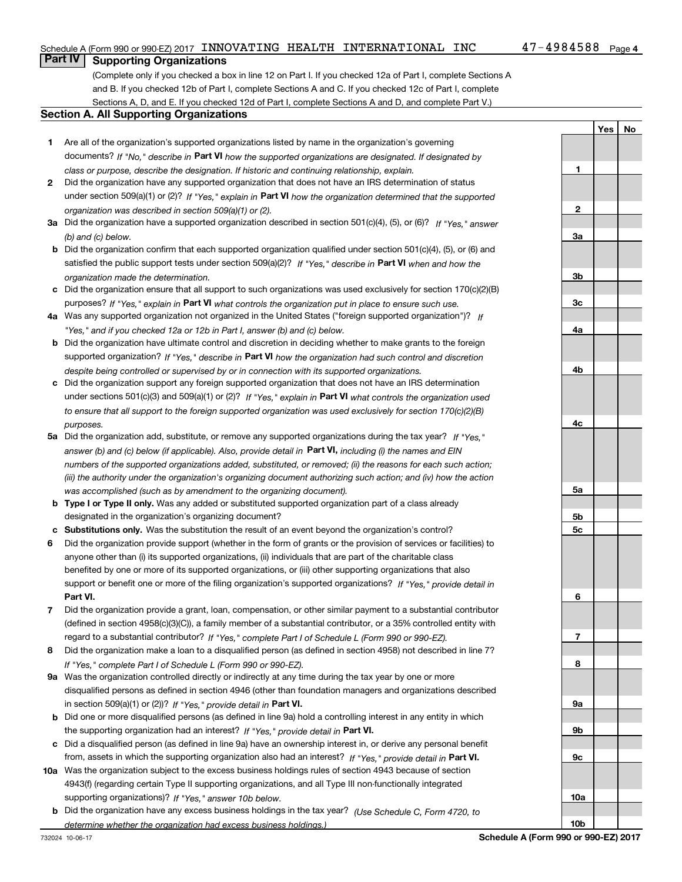#### Schedule A (Form 990 or 990-EZ) 2017  $\,$  INNOVATING  $\,$  HEALTH  $\,$  INTERNATIONAL  $\,$  INC  $\,$   $\,$   $\,$  47  $-$  4984588  $\,$   $_{\rm{Page}}$

**1**

**2**

**3a**

**3b**

**3c**

**4a**

**4b**

**4c**

**5a**

**5b5c**

**6**

**7**

**8**

**9a**

**YesNo**

### **Part IV Supporting Organizations**

(Complete only if you checked a box in line 12 on Part I. If you checked 12a of Part I, complete Sections A and B. If you checked 12b of Part I, complete Sections A and C. If you checked 12c of Part I, complete Sections A, D, and E. If you checked 12d of Part I, complete Sections A and D, and complete Part V.)

#### **Section A. All Supporting Organizations**

- **1** Are all of the organization's supported organizations listed by name in the organization's governing documents? If "No," describe in **Part VI** how the supported organizations are designated. If designated by *class or purpose, describe the designation. If historic and continuing relationship, explain.*
- **2** Did the organization have any supported organization that does not have an IRS determination of status under section 509(a)(1) or (2)? If "Yes," explain in Part VI how the organization determined that the supported *organization was described in section 509(a)(1) or (2).*
- **3a** Did the organization have a supported organization described in section 501(c)(4), (5), or (6)? If "Yes," answer *(b) and (c) below.*
- **b** Did the organization confirm that each supported organization qualified under section 501(c)(4), (5), or (6) and satisfied the public support tests under section 509(a)(2)? If "Yes," describe in **Part VI** when and how the *organization made the determination.*
- **c**Did the organization ensure that all support to such organizations was used exclusively for section 170(c)(2)(B) purposes? If "Yes," explain in **Part VI** what controls the organization put in place to ensure such use.
- **4a***If* Was any supported organization not organized in the United States ("foreign supported organization")? *"Yes," and if you checked 12a or 12b in Part I, answer (b) and (c) below.*
- **b** Did the organization have ultimate control and discretion in deciding whether to make grants to the foreign supported organization? If "Yes," describe in **Part VI** how the organization had such control and discretion *despite being controlled or supervised by or in connection with its supported organizations.*
- **c** Did the organization support any foreign supported organization that does not have an IRS determination under sections 501(c)(3) and 509(a)(1) or (2)? If "Yes," explain in **Part VI** what controls the organization used *to ensure that all support to the foreign supported organization was used exclusively for section 170(c)(2)(B) purposes.*
- **5a***If "Yes,"* Did the organization add, substitute, or remove any supported organizations during the tax year? answer (b) and (c) below (if applicable). Also, provide detail in **Part VI,** including (i) the names and EIN *numbers of the supported organizations added, substituted, or removed; (ii) the reasons for each such action; (iii) the authority under the organization's organizing document authorizing such action; and (iv) how the action was accomplished (such as by amendment to the organizing document).*
- **b** Type I or Type II only. Was any added or substituted supported organization part of a class already designated in the organization's organizing document?
- **cSubstitutions only.**  Was the substitution the result of an event beyond the organization's control?
- **6** Did the organization provide support (whether in the form of grants or the provision of services or facilities) to **Part VI.** *If "Yes," provide detail in* support or benefit one or more of the filing organization's supported organizations? anyone other than (i) its supported organizations, (ii) individuals that are part of the charitable class benefited by one or more of its supported organizations, or (iii) other supporting organizations that also
- **7**Did the organization provide a grant, loan, compensation, or other similar payment to a substantial contributor *If "Yes," complete Part I of Schedule L (Form 990 or 990-EZ).* regard to a substantial contributor? (defined in section 4958(c)(3)(C)), a family member of a substantial contributor, or a 35% controlled entity with
- **8** Did the organization make a loan to a disqualified person (as defined in section 4958) not described in line 7? *If "Yes," complete Part I of Schedule L (Form 990 or 990-EZ).*
- **9a** Was the organization controlled directly or indirectly at any time during the tax year by one or more in section 509(a)(1) or (2))? If "Yes," *provide detail in* <code>Part VI.</code> disqualified persons as defined in section 4946 (other than foundation managers and organizations described
- **b** Did one or more disqualified persons (as defined in line 9a) hold a controlling interest in any entity in which the supporting organization had an interest? If "Yes," provide detail in P**art VI**.
- **c**Did a disqualified person (as defined in line 9a) have an ownership interest in, or derive any personal benefit from, assets in which the supporting organization also had an interest? If "Yes," provide detail in P**art VI.**
- **10a** Was the organization subject to the excess business holdings rules of section 4943 because of section supporting organizations)? If "Yes," answer 10b below. 4943(f) (regarding certain Type II supporting organizations, and all Type III non-functionally integrated
- **b** Did the organization have any excess business holdings in the tax year? (Use Schedule C, Form 4720, to *determine whether the organization had excess business holdings.)*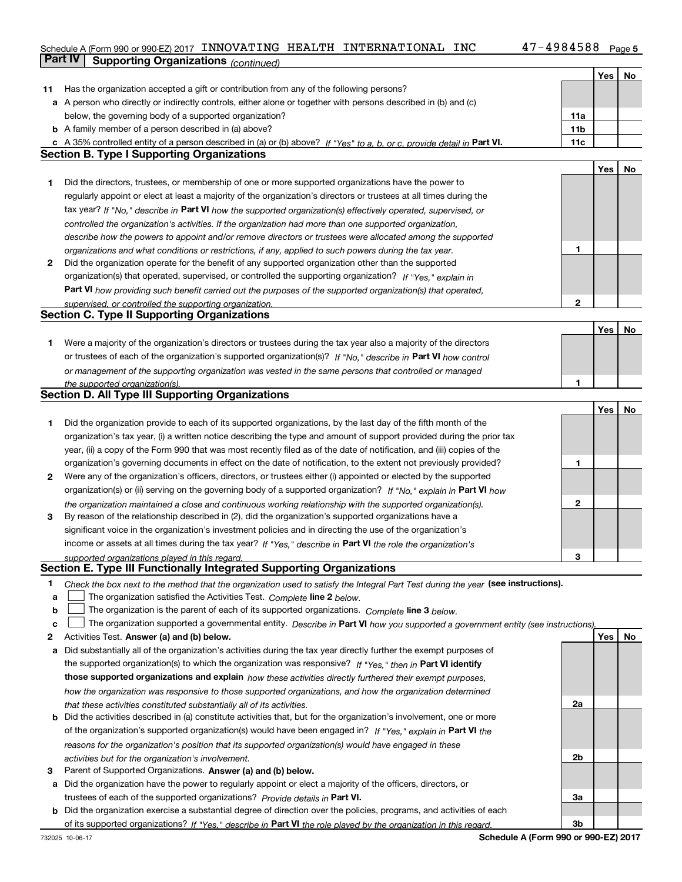### Schedule A (Form 990 or 990-EZ) 2017  $\,$  INNOVATING  $\,$  HEALTH  $\,$  INTERNATIONAL  $\,$  INC  $\,$   $\,$   $\,$  47  $-$  4984588  $\,$   $_{\rm{Page}}$ **Part IV Supporting Organizations** *(continued)*

|    |                                                                                                                                   |                 | Yes        | No |
|----|-----------------------------------------------------------------------------------------------------------------------------------|-----------------|------------|----|
| 11 | Has the organization accepted a gift or contribution from any of the following persons?                                           |                 |            |    |
|    | a A person who directly or indirectly controls, either alone or together with persons described in (b) and (c)                    |                 |            |    |
|    | below, the governing body of a supported organization?                                                                            | 11a             |            |    |
|    | <b>b</b> A family member of a person described in (a) above?                                                                      | 11 <sub>b</sub> |            |    |
|    | c A 35% controlled entity of a person described in (a) or (b) above? If "Yes" to a, b, or c, provide detail in Part VI.           | 11c             |            |    |
|    | <b>Section B. Type I Supporting Organizations</b>                                                                                 |                 |            |    |
|    |                                                                                                                                   |                 | <b>Yes</b> | No |
| 1  | Did the directors, trustees, or membership of one or more supported organizations have the power to                               |                 |            |    |
|    | regularly appoint or elect at least a majority of the organization's directors or trustees at all times during the                |                 |            |    |
|    | tax year? If "No," describe in Part VI how the supported organization(s) effectively operated, supervised, or                     |                 |            |    |
|    | controlled the organization's activities. If the organization had more than one supported organization,                           |                 |            |    |
|    | describe how the powers to appoint and/or remove directors or trustees were allocated among the supported                         |                 |            |    |
|    | organizations and what conditions or restrictions, if any, applied to such powers during the tax year.                            | 1               |            |    |
| 2  | Did the organization operate for the benefit of any supported organization other than the supported                               |                 |            |    |
|    | organization(s) that operated, supervised, or controlled the supporting organization? If "Yes," explain in                        |                 |            |    |
|    | Part VI how providing such benefit carried out the purposes of the supported organization(s) that operated,                       |                 |            |    |
|    | supervised, or controlled the supporting organization.                                                                            | $\mathbf{2}$    |            |    |
|    | <b>Section C. Type II Supporting Organizations</b>                                                                                |                 |            |    |
|    |                                                                                                                                   |                 | Yes        | No |
| 1. | Were a majority of the organization's directors or trustees during the tax year also a majority of the directors                  |                 |            |    |
|    | or trustees of each of the organization's supported organization(s)? If "No," describe in Part VI how control                     |                 |            |    |
|    | or management of the supporting organization was vested in the same persons that controlled or managed                            |                 |            |    |
|    | the supported organization(s).                                                                                                    | 1               |            |    |
|    | <b>Section D. All Type III Supporting Organizations</b>                                                                           |                 |            |    |
|    |                                                                                                                                   |                 | Yes        | No |
| 1  | Did the organization provide to each of its supported organizations, by the last day of the fifth month of the                    |                 |            |    |
|    | organization's tax year, (i) a written notice describing the type and amount of support provided during the prior tax             |                 |            |    |
|    | year, (ii) a copy of the Form 990 that was most recently filed as of the date of notification, and (iii) copies of the            |                 |            |    |
|    | organization's governing documents in effect on the date of notification, to the extent not previously provided?                  | 1               |            |    |
| 2  | Were any of the organization's officers, directors, or trustees either (i) appointed or elected by the supported                  |                 |            |    |
|    | organization(s) or (ii) serving on the governing body of a supported organization? If "No," explain in Part VI how                |                 |            |    |
|    | the organization maintained a close and continuous working relationship with the supported organization(s).                       | $\mathbf{2}$    |            |    |
| 3  | By reason of the relationship described in (2), did the organization's supported organizations have a                             |                 |            |    |
|    | significant voice in the organization's investment policies and in directing the use of the organization's                        |                 |            |    |
|    | income or assets at all times during the tax year? If "Yes," describe in Part VI the role the organization's                      |                 |            |    |
|    | supported organizations played in this regard.                                                                                    | з               |            |    |
|    | Section E. Type III Functionally Integrated Supporting Organizations                                                              |                 |            |    |
| 1  | Check the box next to the method that the organization used to satisfy the Integral Part Test during the year (see instructions). |                 |            |    |
| a  | The organization satisfied the Activities Test. Complete line 2 below.                                                            |                 |            |    |
| b  | The organization is the parent of each of its supported organizations. Complete line 3 below.                                     |                 |            |    |
| c  | The organization supported a governmental entity. Describe in Part VI how you supported a government entity (see instructions),   |                 |            |    |
| 2  | Activities Test. Answer (a) and (b) below.                                                                                        |                 | Yes        | No |
| а  | Did substantially all of the organization's activities during the tax year directly further the exempt purposes of                |                 |            |    |
|    | the supported organization(s) to which the organization was responsive? If "Yes," then in Part VI identify                        |                 |            |    |
|    | those supported organizations and explain how these activities directly furthered their exempt purposes,                          |                 |            |    |
|    | how the organization was responsive to those supported organizations, and how the organization determined                         |                 |            |    |
|    | that these activities constituted substantially all of its activities.                                                            | 2a              |            |    |
| b  | Did the activities described in (a) constitute activities that, but for the organization's involvement, one or more               |                 |            |    |
|    | of the organization's supported organization(s) would have been engaged in? If "Yes," explain in Part VI the                      |                 |            |    |
|    | reasons for the organization's position that its supported organization(s) would have engaged in these                            |                 |            |    |
|    | activities but for the organization's involvement.                                                                                | 2b              |            |    |
| з  | Parent of Supported Organizations. Answer (a) and (b) below.                                                                      |                 |            |    |
| а  | Did the organization have the power to regularly appoint or elect a majority of the officers, directors, or                       |                 |            |    |
|    | trustees of each of the supported organizations? Provide details in Part VI.                                                      | За              |            |    |
|    | <b>b</b> Did the organization exercise a substantial degree of direction over the policies, programs, and activities of each      |                 |            |    |
|    | of its supported organizations? If "Yes." describe in Part VI the role played by the organization in this regard.                 | 3b              |            |    |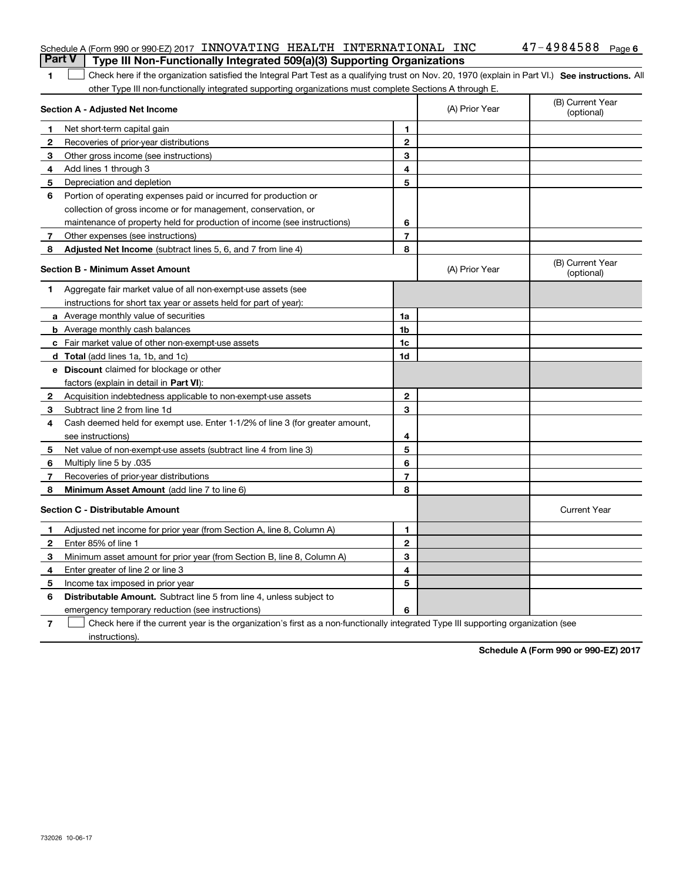|              | Schedule A (Form 990 or 990-EZ) 2017 INNOVATING HEALTH INTERNATIONAL INC<br><b>Part V</b><br>Type III Non-Functionally Integrated 509(a)(3) Supporting Organizations |                |                | $47 - 4984588$ Page 6          |
|--------------|----------------------------------------------------------------------------------------------------------------------------------------------------------------------|----------------|----------------|--------------------------------|
| 1.           | Check here if the organization satisfied the Integral Part Test as a qualifying trust on Nov. 20, 1970 (explain in Part VI.) See instructions. All                   |                |                |                                |
|              | other Type III non-functionally integrated supporting organizations must complete Sections A through E.                                                              |                |                |                                |
|              | Section A - Adjusted Net Income                                                                                                                                      |                | (A) Prior Year | (B) Current Year<br>(optional) |
| 1            | Net short-term capital gain                                                                                                                                          | 1              |                |                                |
| $\mathbf{2}$ | Recoveries of prior-year distributions                                                                                                                               | $\overline{2}$ |                |                                |
| 3            | Other gross income (see instructions)                                                                                                                                | 3              |                |                                |
| 4            | Add lines 1 through 3                                                                                                                                                | 4              |                |                                |
| 5            | Depreciation and depletion                                                                                                                                           | 5              |                |                                |
| 6            | Portion of operating expenses paid or incurred for production or                                                                                                     |                |                |                                |
|              | collection of gross income or for management, conservation, or                                                                                                       |                |                |                                |
|              | maintenance of property held for production of income (see instructions)                                                                                             | 6              |                |                                |
| 7            | Other expenses (see instructions)                                                                                                                                    | $\overline{7}$ |                |                                |
| 8            | <b>Adjusted Net Income</b> (subtract lines 5, 6, and 7 from line 4)                                                                                                  | 8              |                |                                |
|              | <b>Section B - Minimum Asset Amount</b>                                                                                                                              |                | (A) Prior Year | (B) Current Year<br>(optional) |
| 1            | Aggregate fair market value of all non-exempt-use assets (see                                                                                                        |                |                |                                |
|              | instructions for short tax year or assets held for part of year):                                                                                                    |                |                |                                |
|              | <b>a</b> Average monthly value of securities                                                                                                                         | 1a             |                |                                |
|              | <b>b</b> Average monthly cash balances                                                                                                                               | 1b             |                |                                |
|              | c Fair market value of other non-exempt-use assets                                                                                                                   | 1c             |                |                                |
|              | <b>d</b> Total (add lines 1a, 1b, and 1c)                                                                                                                            | 1d             |                |                                |
|              | <b>e</b> Discount claimed for blockage or other                                                                                                                      |                |                |                                |
|              | factors (explain in detail in Part VI):                                                                                                                              |                |                |                                |
| $\mathbf{2}$ | Acquisition indebtedness applicable to non-exempt-use assets                                                                                                         | 2              |                |                                |
| 3            | Subtract line 2 from line 1d                                                                                                                                         | 3              |                |                                |
| 4            | Cash deemed held for exempt use. Enter 1-1/2% of line 3 (for greater amount,                                                                                         |                |                |                                |
|              | see instructions)                                                                                                                                                    | 4              |                |                                |
| 5            | Net value of non-exempt-use assets (subtract line 4 from line 3)                                                                                                     | 5              |                |                                |
| 6            | Multiply line 5 by .035                                                                                                                                              | 6              |                |                                |
| 7            | Recoveries of prior-year distributions                                                                                                                               | $\overline{7}$ |                |                                |
| 8            | Minimum Asset Amount (add line 7 to line 6)                                                                                                                          | 8              |                |                                |
|              | <b>Section C - Distributable Amount</b>                                                                                                                              |                |                | <b>Current Year</b>            |
| 1.           | Adjusted net income for prior year (from Section A, line 8, Column A)                                                                                                | 1              |                |                                |
| 2            | Enter 85% of line 1                                                                                                                                                  | $\mathbf{2}$   |                |                                |

#### **2**Enter 85% of line 1 **3 4**Minimum asset amount for prior year (from Section B, line 8, Column A) Enter greater of line 2 or line 3

**5 6** Distributable Amount. Subtract line 5 from line 4, unless subject to **756**Income tax imposed in prior year emergency temporary reduction (see instructions) Check here if the current year is the organization's first as a non-functionally integrated Type III supporting organization (see

**34**

instructions).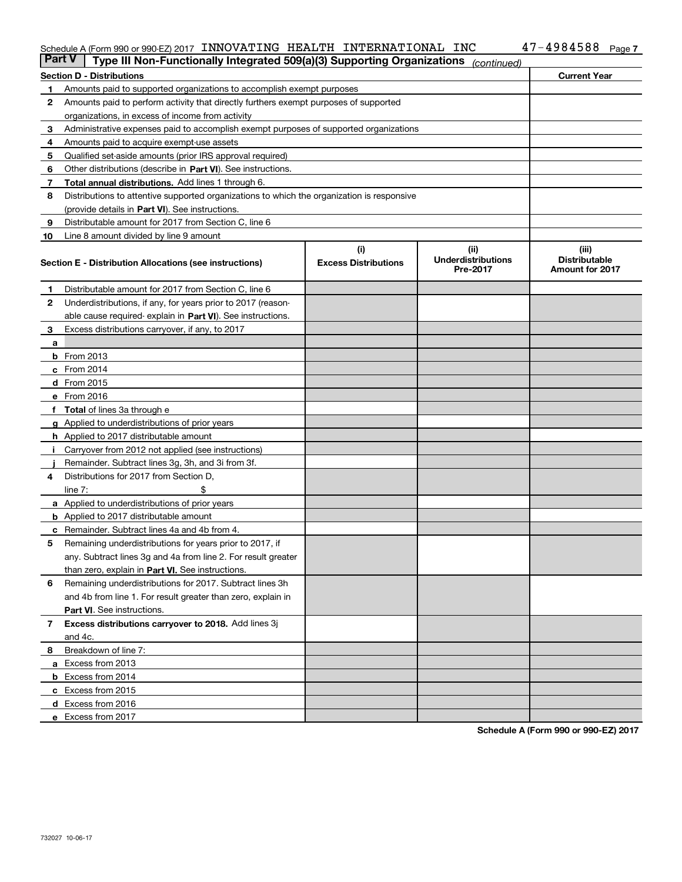#### Schedule A (Form 990 or 990-EZ) 2017 INNOVATIING HEALTH INTERNATIONAL INC 47-4ソ84588 Page INNOVATING HEALTH INTERNATIONAL INC 47-4984588

| <b>Part V</b> | Type III Non-Functionally Integrated 509(a)(3) Supporting Organizations                    |                             | (continued)                           |                                                |
|---------------|--------------------------------------------------------------------------------------------|-----------------------------|---------------------------------------|------------------------------------------------|
|               | <b>Section D - Distributions</b>                                                           |                             |                                       | <b>Current Year</b>                            |
| 1             | Amounts paid to supported organizations to accomplish exempt purposes                      |                             |                                       |                                                |
| 2             | Amounts paid to perform activity that directly furthers exempt purposes of supported       |                             |                                       |                                                |
|               | organizations, in excess of income from activity                                           |                             |                                       |                                                |
| з             | Administrative expenses paid to accomplish exempt purposes of supported organizations      |                             |                                       |                                                |
| 4             | Amounts paid to acquire exempt-use assets                                                  |                             |                                       |                                                |
| 5             | Qualified set-aside amounts (prior IRS approval required)                                  |                             |                                       |                                                |
| 6             | Other distributions (describe in Part VI). See instructions.                               |                             |                                       |                                                |
| 7             | <b>Total annual distributions.</b> Add lines 1 through 6.                                  |                             |                                       |                                                |
| 8             | Distributions to attentive supported organizations to which the organization is responsive |                             |                                       |                                                |
|               | (provide details in Part VI). See instructions.                                            |                             |                                       |                                                |
| 9             | Distributable amount for 2017 from Section C, line 6                                       |                             |                                       |                                                |
| 10            | Line 8 amount divided by line 9 amount                                                     |                             |                                       |                                                |
|               |                                                                                            | (i)                         | (iii)                                 | (iii)                                          |
|               | Section E - Distribution Allocations (see instructions)                                    | <b>Excess Distributions</b> | <b>Underdistributions</b><br>Pre-2017 | <b>Distributable</b><br><b>Amount for 2017</b> |
| 1             | Distributable amount for 2017 from Section C, line 6                                       |                             |                                       |                                                |
| 2             | Underdistributions, if any, for years prior to 2017 (reason-                               |                             |                                       |                                                |
|               | able cause required- explain in Part VI). See instructions.                                |                             |                                       |                                                |
| 3             | Excess distributions carryover, if any, to 2017                                            |                             |                                       |                                                |
| а             |                                                                                            |                             |                                       |                                                |
|               | <b>b</b> From 2013                                                                         |                             |                                       |                                                |
|               | c From 2014                                                                                |                             |                                       |                                                |
|               | <b>d</b> From 2015                                                                         |                             |                                       |                                                |
|               | e From 2016                                                                                |                             |                                       |                                                |
|               | Total of lines 3a through e                                                                |                             |                                       |                                                |
|               | <b>g</b> Applied to underdistributions of prior years                                      |                             |                                       |                                                |
|               | <b>h</b> Applied to 2017 distributable amount                                              |                             |                                       |                                                |
|               | Carryover from 2012 not applied (see instructions)                                         |                             |                                       |                                                |
|               | Remainder. Subtract lines 3g, 3h, and 3i from 3f.                                          |                             |                                       |                                                |
| 4             | Distributions for 2017 from Section D,                                                     |                             |                                       |                                                |
|               | line $7:$                                                                                  |                             |                                       |                                                |
|               | <b>a</b> Applied to underdistributions of prior years                                      |                             |                                       |                                                |
|               | <b>b</b> Applied to 2017 distributable amount                                              |                             |                                       |                                                |
| с             | Remainder. Subtract lines 4a and 4b from 4.                                                |                             |                                       |                                                |
| 5             | Remaining underdistributions for years prior to 2017, if                                   |                             |                                       |                                                |
|               | any. Subtract lines 3g and 4a from line 2. For result greater                              |                             |                                       |                                                |
|               | than zero, explain in Part VI. See instructions.                                           |                             |                                       |                                                |
| 6             | Remaining underdistributions for 2017. Subtract lines 3h                                   |                             |                                       |                                                |
|               | and 4b from line 1. For result greater than zero, explain in                               |                             |                                       |                                                |
|               | Part VI. See instructions.                                                                 |                             |                                       |                                                |
| 7             | Excess distributions carryover to 2018. Add lines 3j                                       |                             |                                       |                                                |
|               | and 4c.                                                                                    |                             |                                       |                                                |
| 8             | Breakdown of line 7:                                                                       |                             |                                       |                                                |
|               | a Excess from 2013                                                                         |                             |                                       |                                                |
|               | <b>b</b> Excess from 2014                                                                  |                             |                                       |                                                |
|               | c Excess from 2015                                                                         |                             |                                       |                                                |
|               | d Excess from 2016                                                                         |                             |                                       |                                                |
|               |                                                                                            |                             |                                       |                                                |
|               | e Excess from 2017                                                                         |                             |                                       |                                                |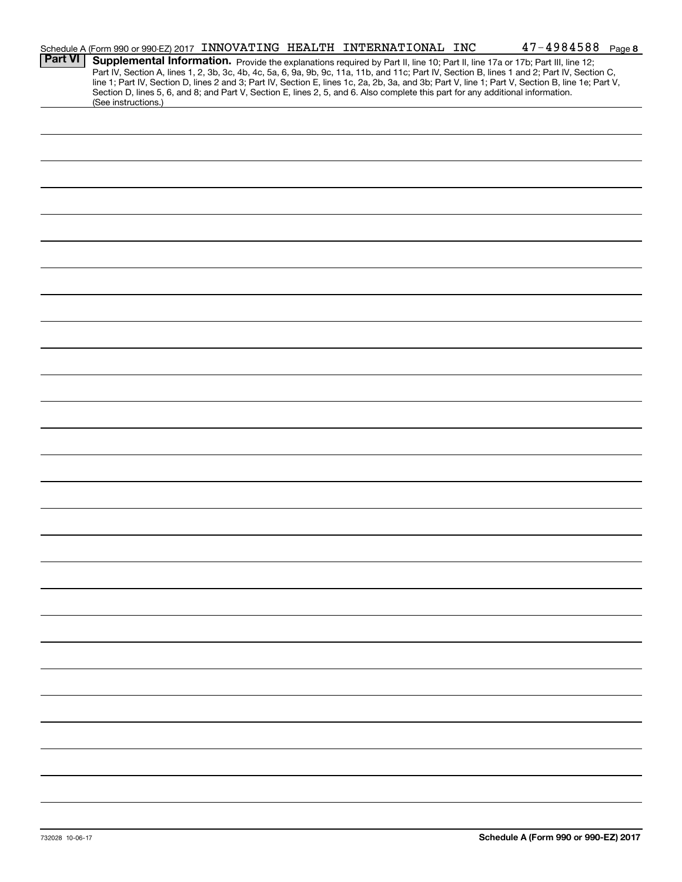|                | Schedule A (Form 990 or 990-EZ) 2017 INNOVATING HEALTH INTERNATIONAL INC                                                                                                                                                                                                                                                                                                                                                                                                                                                                                                                    |  |  | $47 - 4984588$ Page 8 |  |
|----------------|---------------------------------------------------------------------------------------------------------------------------------------------------------------------------------------------------------------------------------------------------------------------------------------------------------------------------------------------------------------------------------------------------------------------------------------------------------------------------------------------------------------------------------------------------------------------------------------------|--|--|-----------------------|--|
| <b>Part VI</b> | Supplemental Information. Provide the explanations required by Part II, line 10; Part II, line 17a or 17b; Part III, line 12;<br>Part IV, Section A, lines 1, 2, 3b, 3c, 4b, 4c, 5a, 6, 9a, 9b, 9c, 11a, 11b, and 11c; Part IV, Section B, lines 1 and 2; Part IV, Section C,<br>line 1; Part IV, Section D, lines 2 and 3; Part IV, Section E, lines 1c, 2a, 2b, 3a, and 3b; Part V, line 1; Part V, Section B, line 1e; Part V,<br>Section D, lines 5, 6, and 8; and Part V, Section E, lines 2, 5, and 6. Also complete this part for any additional information.<br>(See instructions.) |  |  |                       |  |
|                |                                                                                                                                                                                                                                                                                                                                                                                                                                                                                                                                                                                             |  |  |                       |  |
|                |                                                                                                                                                                                                                                                                                                                                                                                                                                                                                                                                                                                             |  |  |                       |  |
|                |                                                                                                                                                                                                                                                                                                                                                                                                                                                                                                                                                                                             |  |  |                       |  |
|                |                                                                                                                                                                                                                                                                                                                                                                                                                                                                                                                                                                                             |  |  |                       |  |
|                |                                                                                                                                                                                                                                                                                                                                                                                                                                                                                                                                                                                             |  |  |                       |  |
|                |                                                                                                                                                                                                                                                                                                                                                                                                                                                                                                                                                                                             |  |  |                       |  |
|                |                                                                                                                                                                                                                                                                                                                                                                                                                                                                                                                                                                                             |  |  |                       |  |
|                |                                                                                                                                                                                                                                                                                                                                                                                                                                                                                                                                                                                             |  |  |                       |  |
|                |                                                                                                                                                                                                                                                                                                                                                                                                                                                                                                                                                                                             |  |  |                       |  |
|                |                                                                                                                                                                                                                                                                                                                                                                                                                                                                                                                                                                                             |  |  |                       |  |
|                |                                                                                                                                                                                                                                                                                                                                                                                                                                                                                                                                                                                             |  |  |                       |  |
|                |                                                                                                                                                                                                                                                                                                                                                                                                                                                                                                                                                                                             |  |  |                       |  |
|                |                                                                                                                                                                                                                                                                                                                                                                                                                                                                                                                                                                                             |  |  |                       |  |
|                |                                                                                                                                                                                                                                                                                                                                                                                                                                                                                                                                                                                             |  |  |                       |  |
|                |                                                                                                                                                                                                                                                                                                                                                                                                                                                                                                                                                                                             |  |  |                       |  |
|                |                                                                                                                                                                                                                                                                                                                                                                                                                                                                                                                                                                                             |  |  |                       |  |
|                |                                                                                                                                                                                                                                                                                                                                                                                                                                                                                                                                                                                             |  |  |                       |  |
|                |                                                                                                                                                                                                                                                                                                                                                                                                                                                                                                                                                                                             |  |  |                       |  |
|                |                                                                                                                                                                                                                                                                                                                                                                                                                                                                                                                                                                                             |  |  |                       |  |
|                |                                                                                                                                                                                                                                                                                                                                                                                                                                                                                                                                                                                             |  |  |                       |  |
|                |                                                                                                                                                                                                                                                                                                                                                                                                                                                                                                                                                                                             |  |  |                       |  |
|                |                                                                                                                                                                                                                                                                                                                                                                                                                                                                                                                                                                                             |  |  |                       |  |
|                |                                                                                                                                                                                                                                                                                                                                                                                                                                                                                                                                                                                             |  |  |                       |  |
|                |                                                                                                                                                                                                                                                                                                                                                                                                                                                                                                                                                                                             |  |  |                       |  |
|                |                                                                                                                                                                                                                                                                                                                                                                                                                                                                                                                                                                                             |  |  |                       |  |
|                |                                                                                                                                                                                                                                                                                                                                                                                                                                                                                                                                                                                             |  |  |                       |  |
|                |                                                                                                                                                                                                                                                                                                                                                                                                                                                                                                                                                                                             |  |  |                       |  |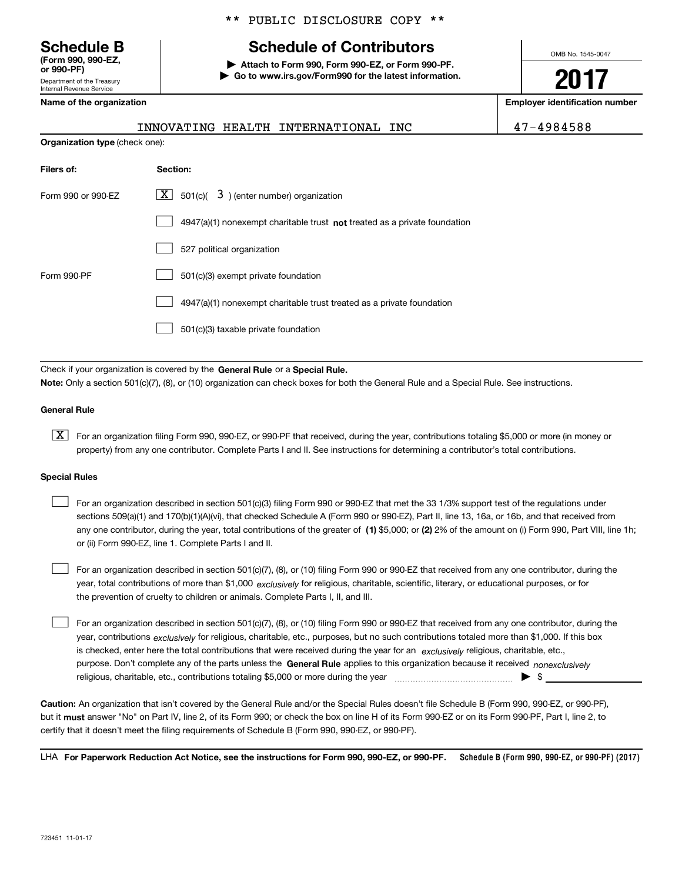Department of the Treasury **(Form 990, 990-EZ, or 990-PF)**

#### \*\* PUBLIC DISCLOSURE COPY \*\*

## **Schedule B Schedule of Contributors**

**| Attach to Form 990, Form 990-EZ, or Form 990-PF. | Go to www.irs.gov/Form990 for the latest information.** OMB No. 1545-0047

**2017**

**Name of the organization Employer identification number**

| (Form 990, 990-EZ,<br>or 990-PF)                       |  |
|--------------------------------------------------------|--|
| Department of the Treasury<br>Internal Revenue Service |  |
| Name of the organization                               |  |

**Organization type** (check one):

## INNOVATING HEALTH INTERNATIONAL INC 47-4984588

| Filers of:         | Section:                                                                    |
|--------------------|-----------------------------------------------------------------------------|
| Form 990 or 990-EZ | $\lfloor x \rfloor$ 501(c)( 3) (enter number) organization                  |
|                    | $4947(a)(1)$ nonexempt charitable trust not treated as a private foundation |
|                    | 527 political organization                                                  |
| Form 990-PF        | 501(c)(3) exempt private foundation                                         |
|                    | 4947(a)(1) nonexempt charitable trust treated as a private foundation       |
|                    | 501(c)(3) taxable private foundation                                        |

Check if your organization is covered by the **General Rule** or a **Special Rule. Note:**  Only a section 501(c)(7), (8), or (10) organization can check boxes for both the General Rule and a Special Rule. See instructions.

#### **General Rule**

 $\boxed{\textbf{X}}$  For an organization filing Form 990, 990-EZ, or 990-PF that received, during the year, contributions totaling \$5,000 or more (in money or property) from any one contributor. Complete Parts I and II. See instructions for determining a contributor's total contributions.

#### **Special Rules**

 $\mathcal{L}^{\text{max}}$ 

any one contributor, during the year, total contributions of the greater of  $\,$  (1) \$5,000; or **(2)** 2% of the amount on (i) Form 990, Part VIII, line 1h; For an organization described in section 501(c)(3) filing Form 990 or 990-EZ that met the 33 1/3% support test of the regulations under sections 509(a)(1) and 170(b)(1)(A)(vi), that checked Schedule A (Form 990 or 990-EZ), Part II, line 13, 16a, or 16b, and that received from or (ii) Form 990-EZ, line 1. Complete Parts I and II.  $\mathcal{L}^{\text{max}}$ 

year, total contributions of more than \$1,000 *exclusively* for religious, charitable, scientific, literary, or educational purposes, or for For an organization described in section 501(c)(7), (8), or (10) filing Form 990 or 990-EZ that received from any one contributor, during the the prevention of cruelty to children or animals. Complete Parts I, II, and III.  $\mathcal{L}^{\text{max}}$ 

purpose. Don't complete any of the parts unless the **General Rule** applies to this organization because it received *nonexclusively* year, contributions <sub>exclusively</sub> for religious, charitable, etc., purposes, but no such contributions totaled more than \$1,000. If this box is checked, enter here the total contributions that were received during the year for an  $\;$ exclusively religious, charitable, etc., For an organization described in section 501(c)(7), (8), or (10) filing Form 990 or 990-EZ that received from any one contributor, during the religious, charitable, etc., contributions totaling \$5,000 or more during the year  $\Box$ — $\Box$ — $\Box$ 

**Caution:**  An organization that isn't covered by the General Rule and/or the Special Rules doesn't file Schedule B (Form 990, 990-EZ, or 990-PF),  **must** but it answer "No" on Part IV, line 2, of its Form 990; or check the box on line H of its Form 990-EZ or on its Form 990-PF, Part I, line 2, to certify that it doesn't meet the filing requirements of Schedule B (Form 990, 990-EZ, or 990-PF).

**Schedule B (Form 990, 990-EZ, or 990-PF) (2017) For Paperwork Reduction Act Notice, see the instructions for Form 990, 990-EZ, or 990-PF.** LHA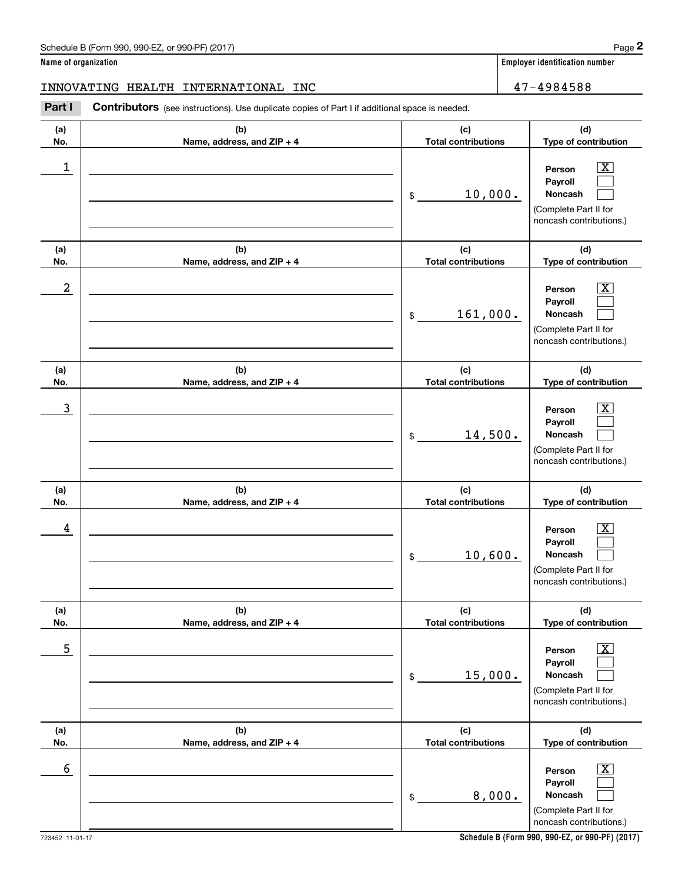#### **Name of organization Employer identification number**

### INNOVATING HEALTH INTERNATIONAL INC 47-4984588

(schedule B (Form 990, 990-EZ, or 990-PF) (2017)<br> **2 ame of organization**<br> **2 A 7 – 4984588**<br> **2 Part I Contributors** (see instructions). Use duplicate copies of Part I if additional space is needed.

| (a)        | (b)                               | (c)                                         | (d)                                                                                                           |
|------------|-----------------------------------|---------------------------------------------|---------------------------------------------------------------------------------------------------------------|
| No.<br>1   | Name, address, and ZIP + 4        | <b>Total contributions</b><br>10,000.<br>\$ | Type of contribution<br>Person<br>x<br>Payroll<br>Noncash<br>(Complete Part II for<br>noncash contributions.) |
| (a)<br>No. | (b)<br>Name, address, and ZIP + 4 | (c)<br><b>Total contributions</b>           | (d)<br>Type of contribution                                                                                   |
| 2          |                                   | 161,000.<br>\$                              | x<br>Person<br>Payroll<br>Noncash<br>(Complete Part II for<br>noncash contributions.)                         |
| (a)<br>No. | (b)<br>Name, address, and ZIP + 4 | (c)<br><b>Total contributions</b>           | (d)<br>Type of contribution                                                                                   |
| 3          |                                   | 14,500.<br>\$                               | Person<br>x<br>Payroll<br>Noncash<br>(Complete Part II for<br>noncash contributions.)                         |
| (a)<br>No. | (b)<br>Name, address, and ZIP + 4 | (c)<br><b>Total contributions</b>           | (d)<br>Type of contribution                                                                                   |
| 4          |                                   | 10,600.<br>\$                               | Person<br>Payroll<br>Noncash<br>(Complete Part II for<br>noncash contributions.)                              |
| (a)<br>No. | (b)<br>Name, address, and ZIP + 4 | (c)<br><b>Total contributions</b>           | (d)<br><b>Type of contribution</b>                                                                            |
| 5          |                                   | 15,000.<br>\$                               | $\overline{\text{X}}$<br>Person<br>Payroll<br>Noncash<br>(Complete Part II for<br>noncash contributions.)     |
| (a)<br>No. | (b)<br>Name, address, and ZIP + 4 | (c)<br><b>Total contributions</b>           | (d)<br>Type of contribution                                                                                   |
| 6          |                                   | 8,000.<br>\$                                | $\overline{\text{X}}$<br>Person<br>Payroll<br>Noncash<br>(Complete Part II for<br>noncash contributions.)     |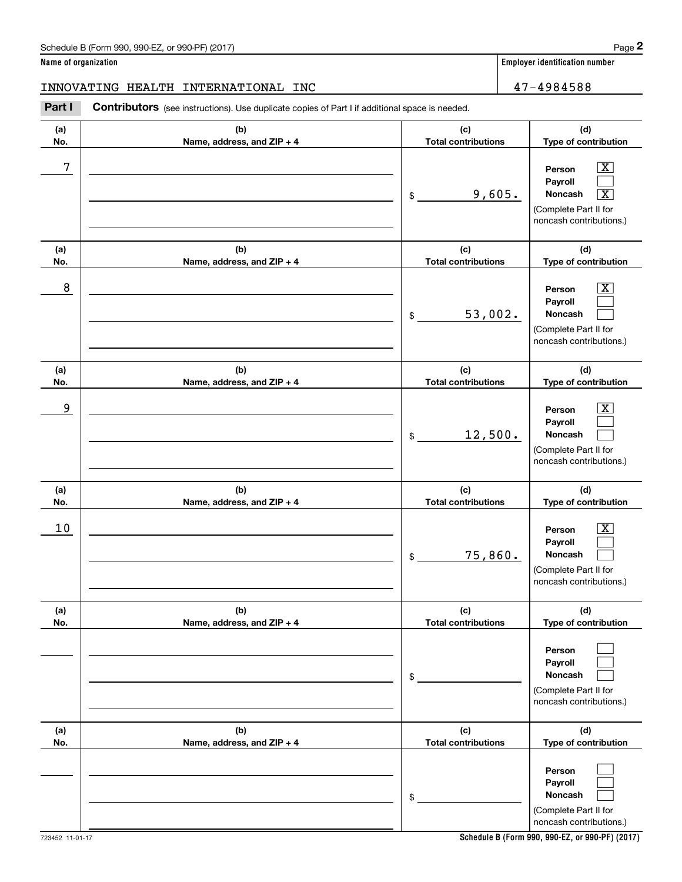#### **Name of organization Employer identification number**

#### INNOVATING HEALTH INTERNATIONAL INC 47-4984588

(schedule B (Form 990, 990-EZ, or 990-PF) (2017)<br> **2 ame of organization**<br> **2 A 7 – 4984588**<br> **2 Part I Contributors** (see instructions). Use duplicate copies of Part I if additional space is needed.

| (a)        | (b)                                 | (c)                               | (d)                                                                                                                                       |
|------------|-------------------------------------|-----------------------------------|-------------------------------------------------------------------------------------------------------------------------------------------|
| No.        | Name, address, and ZIP + 4          | <b>Total contributions</b>        | Type of contribution                                                                                                                      |
| 7          |                                     | 9,605.<br>\$                      | $\overline{\text{X}}$<br>Person<br>Payroll<br>$\overline{\text{X}}$<br><b>Noncash</b><br>(Complete Part II for<br>noncash contributions.) |
| (a)<br>No. | (b)<br>Name, address, and ZIP + 4   | (c)<br><b>Total contributions</b> | (d)<br>Type of contribution                                                                                                               |
| 8          |                                     | 53,002.<br>\$                     | x<br>Person<br>Payroll<br>Noncash<br>(Complete Part II for<br>noncash contributions.)                                                     |
| (a)<br>No. | (b)<br>Name, address, and ZIP + 4   | (c)<br><b>Total contributions</b> | (d)<br>Type of contribution                                                                                                               |
| 9          |                                     | 12,500.<br>\$                     | x<br>Person<br>Payroll<br>Noncash<br>(Complete Part II for<br>noncash contributions.)                                                     |
| (a)<br>No. | (b)<br>Name, address, and ZIP + 4   | (c)<br><b>Total contributions</b> | (d)<br>Type of contribution                                                                                                               |
| 10         |                                     | 75,860.<br>\$                     | х<br>Person<br>Payroll<br><b>Noncash</b><br>(Complete Part II for<br>noncash contributions.)                                              |
| (a)<br>No. | (b)<br>Name, address, and $ZIP + 4$ | (c)<br>Total contributions        | (d)<br>Type of contribution                                                                                                               |
|            |                                     | \$                                | Person<br>Payroll<br>Noncash<br>(Complete Part II for<br>noncash contributions.)                                                          |
| (a)<br>No. | (b)<br>Name, address, and ZIP + 4   | (c)<br><b>Total contributions</b> | (d)<br>Type of contribution                                                                                                               |
|            |                                     | \$                                | Person<br>Payroll<br>Noncash<br>(Complete Part II for<br>noncash contributions.)                                                          |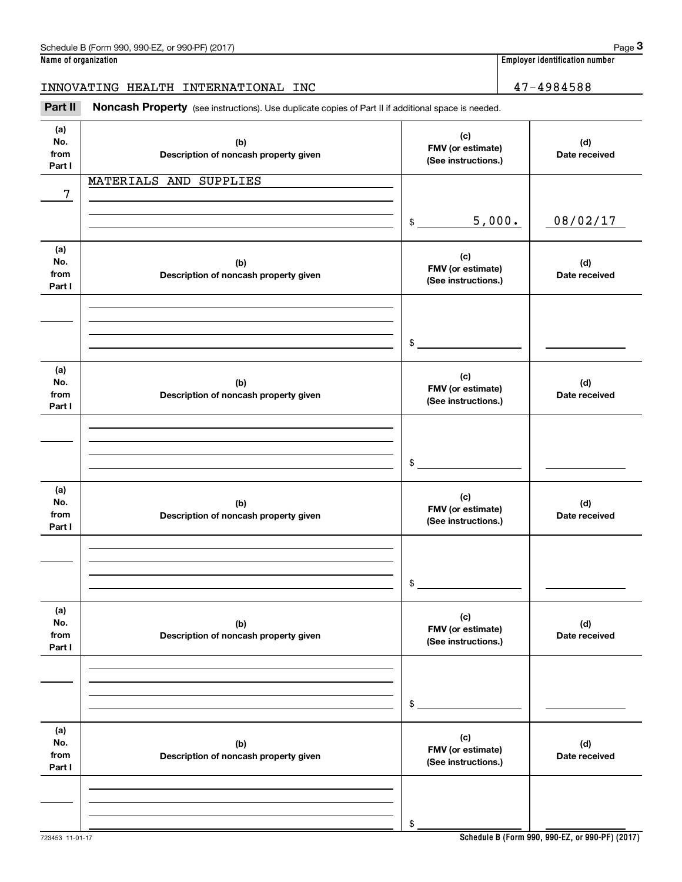**Name of organization Employer identification number**

INNOVATING HEALTH INTERNATIONAL INC 47-4984588

Employer identification number<br> **3Page 3**<br>
2Part II **Noncash Property** (see instructions). Use duplicate copies of Part II if additional space is needed.<br>
3Part II **Noncash Property** (see instructions). Use duplicate copie

| (a)<br>No.<br>from<br>Part I | (b)<br>Description of noncash property given | (c)<br>FMV (or estimate)<br>(See instructions.) | (d)<br>Date received |
|------------------------------|----------------------------------------------|-------------------------------------------------|----------------------|
| 7                            | MATERIALS AND SUPPLIES                       |                                                 |                      |
|                              |                                              | 5,000.<br>$\frac{1}{2}$                         | 08/02/17             |
| (a)<br>No.<br>from<br>Part I | (b)<br>Description of noncash property given | (c)<br>FMV (or estimate)<br>(See instructions.) | (d)<br>Date received |
|                              |                                              | $\sim$                                          |                      |
| (a)<br>No.<br>from<br>Part I | (b)<br>Description of noncash property given | (c)<br>FMV (or estimate)<br>(See instructions.) | (d)<br>Date received |
|                              |                                              | $\frac{1}{2}$                                   |                      |
| (a)<br>No.<br>from<br>Part I | (b)<br>Description of noncash property given | (c)<br>FMV (or estimate)<br>(See instructions.) | (d)<br>Date received |
|                              |                                              | $\mathsf{\$}$                                   |                      |
| (a)<br>No.<br>from<br>Part I | (b)<br>Description of noncash property given | (c)<br>FMV (or estimate)<br>(See instructions.) | (d)<br>Date received |
|                              |                                              | $$\mathbb{S}$$                                  |                      |
| (a)<br>No.<br>from<br>Part I | (b)<br>Description of noncash property given | (c)<br>FMV (or estimate)<br>(See instructions.) | (d)<br>Date received |
|                              |                                              | \$                                              |                      |
|                              |                                              |                                                 |                      |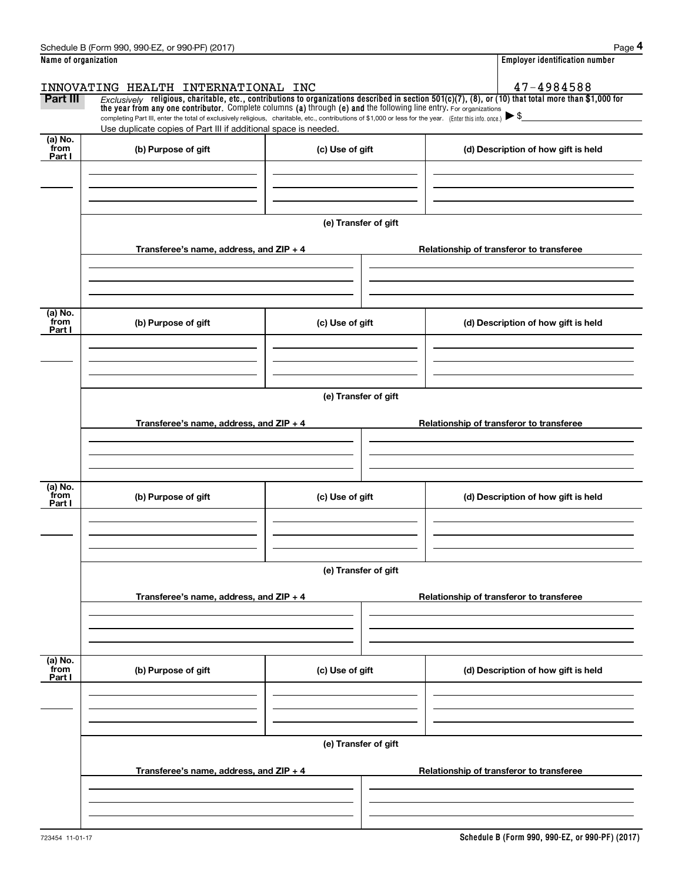|                      | Schedule B (Form 990, 990-EZ, or 990-PF) (2017)                                                                                                                                                                                                                                |                      | Page 4                                   |
|----------------------|--------------------------------------------------------------------------------------------------------------------------------------------------------------------------------------------------------------------------------------------------------------------------------|----------------------|------------------------------------------|
| Name of organization |                                                                                                                                                                                                                                                                                |                      | <b>Employer identification number</b>    |
|                      | INNOVATING HEALTH INTERNATIONAL INC                                                                                                                                                                                                                                            |                      | 47-4984588                               |
| Part III             | $Exclusively$ religious, charitable, etc., contributions to organizations described in section 501(c)(7), (8), or (10) that total more than \$1,000 for<br>the year from any one contributor. Complete columns (a) through (e) and the following line entry. For organizations |                      |                                          |
|                      | completing Part III, enter the total of exclusively religious, charitable, etc., contributions of \$1,000 or less for the year. (Enter this info. once.)                                                                                                                       |                      | $\blacktriangleright$ \$                 |
| (a) No.              | Use duplicate copies of Part III if additional space is needed.                                                                                                                                                                                                                |                      |                                          |
| from<br>Part I       | (b) Purpose of gift                                                                                                                                                                                                                                                            | (c) Use of gift      | (d) Description of how gift is held      |
|                      |                                                                                                                                                                                                                                                                                |                      |                                          |
|                      |                                                                                                                                                                                                                                                                                |                      |                                          |
|                      |                                                                                                                                                                                                                                                                                |                      |                                          |
|                      |                                                                                                                                                                                                                                                                                | (e) Transfer of gift |                                          |
|                      | Transferee's name, address, and $ZIP + 4$                                                                                                                                                                                                                                      |                      | Relationship of transferor to transferee |
|                      |                                                                                                                                                                                                                                                                                |                      |                                          |
|                      |                                                                                                                                                                                                                                                                                |                      |                                          |
|                      |                                                                                                                                                                                                                                                                                |                      |                                          |
| (a) No.<br>from      | (b) Purpose of gift                                                                                                                                                                                                                                                            | (c) Use of gift      | (d) Description of how gift is held      |
| Part I               |                                                                                                                                                                                                                                                                                |                      |                                          |
|                      |                                                                                                                                                                                                                                                                                |                      |                                          |
|                      |                                                                                                                                                                                                                                                                                |                      |                                          |
|                      |                                                                                                                                                                                                                                                                                | (e) Transfer of gift |                                          |
|                      |                                                                                                                                                                                                                                                                                |                      |                                          |
|                      | Transferee's name, address, and ZIP + 4                                                                                                                                                                                                                                        |                      | Relationship of transferor to transferee |
|                      |                                                                                                                                                                                                                                                                                |                      |                                          |
|                      |                                                                                                                                                                                                                                                                                |                      |                                          |
| (a) No.              |                                                                                                                                                                                                                                                                                |                      |                                          |
| from<br>Part I       | (b) Purpose of gift                                                                                                                                                                                                                                                            | (c) Use of gift      | (d) Description of how gift is held      |
|                      |                                                                                                                                                                                                                                                                                |                      |                                          |
|                      |                                                                                                                                                                                                                                                                                |                      |                                          |
|                      |                                                                                                                                                                                                                                                                                |                      |                                          |
|                      |                                                                                                                                                                                                                                                                                | (e) Transfer of gift |                                          |
|                      | Transferee's name, address, and ZIP + 4                                                                                                                                                                                                                                        |                      | Relationship of transferor to transferee |
|                      |                                                                                                                                                                                                                                                                                |                      |                                          |
|                      |                                                                                                                                                                                                                                                                                |                      |                                          |
|                      |                                                                                                                                                                                                                                                                                |                      |                                          |
| (a) No.<br>from      | (b) Purpose of gift                                                                                                                                                                                                                                                            | (c) Use of gift      | (d) Description of how gift is held      |
| Part I               |                                                                                                                                                                                                                                                                                |                      |                                          |
|                      |                                                                                                                                                                                                                                                                                |                      |                                          |
|                      |                                                                                                                                                                                                                                                                                |                      |                                          |
|                      |                                                                                                                                                                                                                                                                                | (e) Transfer of gift |                                          |
|                      |                                                                                                                                                                                                                                                                                |                      |                                          |
|                      | Transferee's name, address, and ZIP + 4                                                                                                                                                                                                                                        |                      | Relationship of transferor to transferee |
|                      |                                                                                                                                                                                                                                                                                |                      |                                          |
|                      |                                                                                                                                                                                                                                                                                |                      |                                          |
|                      |                                                                                                                                                                                                                                                                                |                      |                                          |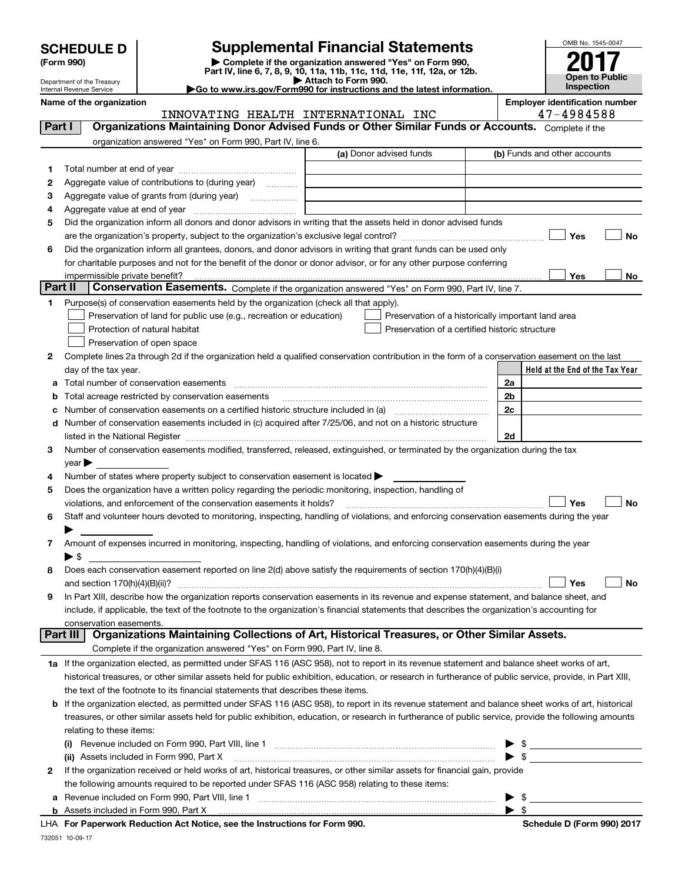| <b>SCHEDULE D</b> |
|-------------------|
|-------------------|

Department of the Treasury

### **SCHEDULE D Supplemental Financial Statements**

(Form 990)<br>
Pepartment of the Treasury<br>
Department of the Treasury<br>
Department of the Treasury<br>
Department of the Treasury<br> **Co to www.irs.gov/Form990 for instructions and the latest information.**<br> **Co to www.irs.gov/Form9** 

| <b>P</b> Allach to Form 330. |  |  |                                                                      |  |  |
|------------------------------|--|--|----------------------------------------------------------------------|--|--|
|                              |  |  | to www.irs.gov/Form990 for instructions and the latest information ( |  |  |



|                                                                                                                        | Internal Revenue Service      |                                                                                                        | Go to www.irs.gov/Form990 for instructions and the latest information.                                                                                    |                          | <b>Inspection</b>               |
|------------------------------------------------------------------------------------------------------------------------|-------------------------------|--------------------------------------------------------------------------------------------------------|-----------------------------------------------------------------------------------------------------------------------------------------------------------|--------------------------|---------------------------------|
| <b>Employer identification number</b><br>Name of the organization<br>47-4984588<br>INNOVATING HEALTH INTERNATIONAL INC |                               |                                                                                                        |                                                                                                                                                           |                          |                                 |
| Part I                                                                                                                 |                               |                                                                                                        | Organizations Maintaining Donor Advised Funds or Other Similar Funds or Accounts. Complete if the                                                         |                          |                                 |
|                                                                                                                        |                               | organization answered "Yes" on Form 990, Part IV, line 6.                                              |                                                                                                                                                           |                          |                                 |
|                                                                                                                        |                               |                                                                                                        | (a) Donor advised funds                                                                                                                                   |                          | (b) Funds and other accounts    |
| 1                                                                                                                      |                               |                                                                                                        |                                                                                                                                                           |                          |                                 |
| 2                                                                                                                      |                               | Aggregate value of contributions to (during year)                                                      |                                                                                                                                                           |                          |                                 |
| 3                                                                                                                      |                               |                                                                                                        |                                                                                                                                                           |                          |                                 |
| 4                                                                                                                      |                               |                                                                                                        |                                                                                                                                                           |                          |                                 |
| 5                                                                                                                      |                               |                                                                                                        | Did the organization inform all donors and donor advisors in writing that the assets held in donor advised funds                                          |                          |                                 |
|                                                                                                                        |                               |                                                                                                        |                                                                                                                                                           |                          | Yes<br><b>No</b>                |
| 6                                                                                                                      |                               |                                                                                                        | Did the organization inform all grantees, donors, and donor advisors in writing that grant funds can be used only                                         |                          |                                 |
|                                                                                                                        |                               |                                                                                                        | for charitable purposes and not for the benefit of the donor or donor advisor, or for any other purpose conferring                                        |                          |                                 |
|                                                                                                                        |                               |                                                                                                        |                                                                                                                                                           |                          | Yes<br>No                       |
| Part II                                                                                                                |                               |                                                                                                        | Conservation Easements. Complete if the organization answered "Yes" on Form 990, Part IV, line 7.                                                         |                          |                                 |
| 1                                                                                                                      |                               | Purpose(s) of conservation easements held by the organization (check all that apply).                  |                                                                                                                                                           |                          |                                 |
|                                                                                                                        |                               | Preservation of land for public use (e.g., recreation or education)                                    | Preservation of a historically important land area                                                                                                        |                          |                                 |
|                                                                                                                        | Protection of natural habitat |                                                                                                        | Preservation of a certified historic structure                                                                                                            |                          |                                 |
|                                                                                                                        | Preservation of open space    |                                                                                                        |                                                                                                                                                           |                          |                                 |
| 2                                                                                                                      |                               |                                                                                                        | Complete lines 2a through 2d if the organization held a qualified conservation contribution in the form of a conservation easement on the last            |                          |                                 |
|                                                                                                                        | day of the tax year.          |                                                                                                        |                                                                                                                                                           |                          | Held at the End of the Tax Year |
| а                                                                                                                      |                               | Total number of conservation easements                                                                 |                                                                                                                                                           | 2a                       |                                 |
| b                                                                                                                      |                               | Total acreage restricted by conservation easements                                                     |                                                                                                                                                           | 2 <sub>b</sub>           |                                 |
| с                                                                                                                      |                               |                                                                                                        |                                                                                                                                                           | 2c                       |                                 |
| d                                                                                                                      |                               |                                                                                                        | Number of conservation easements included in (c) acquired after 7/25/06, and not on a historic structure                                                  |                          |                                 |
|                                                                                                                        |                               |                                                                                                        |                                                                                                                                                           | 2d                       |                                 |
| 3                                                                                                                      |                               |                                                                                                        | Number of conservation easements modified, transferred, released, extinguished, or terminated by the organization during the tax                          |                          |                                 |
|                                                                                                                        | $year \rightarrow$            |                                                                                                        |                                                                                                                                                           |                          |                                 |
| 4                                                                                                                      |                               | Number of states where property subject to conservation easement is located >                          |                                                                                                                                                           |                          |                                 |
| 5                                                                                                                      |                               | Does the organization have a written policy regarding the periodic monitoring, inspection, handling of |                                                                                                                                                           |                          |                                 |
|                                                                                                                        |                               | violations, and enforcement of the conservation easements it holds?                                    |                                                                                                                                                           |                          | Yes<br><b>No</b>                |
| 6                                                                                                                      |                               |                                                                                                        | Staff and volunteer hours devoted to monitoring, inspecting, handling of violations, and enforcing conservation easements during the year                 |                          |                                 |
|                                                                                                                        |                               |                                                                                                        |                                                                                                                                                           |                          |                                 |
| 7                                                                                                                      |                               |                                                                                                        | Amount of expenses incurred in monitoring, inspecting, handling of violations, and enforcing conservation easements during the year                       |                          |                                 |
| 8                                                                                                                      | $\blacktriangleright$ \$      |                                                                                                        |                                                                                                                                                           |                          |                                 |
|                                                                                                                        |                               |                                                                                                        | Does each conservation easement reported on line 2(d) above satisfy the requirements of section 170(h)(4)(B)(i)                                           |                          | Yes<br>No                       |
| 9                                                                                                                      |                               |                                                                                                        | In Part XIII, describe how the organization reports conservation easements in its revenue and expense statement, and balance sheet, and                   |                          |                                 |
|                                                                                                                        |                               |                                                                                                        | include, if applicable, the text of the footnote to the organization's financial statements that describes the organization's accounting for              |                          |                                 |
|                                                                                                                        | conservation easements.       |                                                                                                        |                                                                                                                                                           |                          |                                 |
|                                                                                                                        | Part III                      |                                                                                                        | Organizations Maintaining Collections of Art, Historical Treasures, or Other Similar Assets.                                                              |                          |                                 |
|                                                                                                                        |                               | Complete if the organization answered "Yes" on Form 990, Part IV, line 8.                              |                                                                                                                                                           |                          |                                 |
|                                                                                                                        |                               |                                                                                                        | 1a If the organization elected, as permitted under SFAS 116 (ASC 958), not to report in its revenue statement and balance sheet works of art,             |                          |                                 |
|                                                                                                                        |                               |                                                                                                        | historical treasures, or other similar assets held for public exhibition, education, or research in furtherance of public service, provide, in Part XIII, |                          |                                 |
|                                                                                                                        |                               | the text of the footnote to its financial statements that describes these items.                       |                                                                                                                                                           |                          |                                 |
| b                                                                                                                      |                               |                                                                                                        | If the organization elected, as permitted under SFAS 116 (ASC 958), to report in its revenue statement and balance sheet works of art, historical         |                          |                                 |
|                                                                                                                        |                               |                                                                                                        | treasures, or other similar assets held for public exhibition, education, or research in furtherance of public service, provide the following amounts     |                          |                                 |
|                                                                                                                        | relating to these items:      |                                                                                                        |                                                                                                                                                           |                          |                                 |
|                                                                                                                        |                               |                                                                                                        |                                                                                                                                                           |                          | $\frac{1}{2}$                   |
|                                                                                                                        |                               | (ii) Assets included in Form 990, Part X                                                               |                                                                                                                                                           | $\blacktriangleright$ \$ |                                 |
| 2                                                                                                                      |                               |                                                                                                        | If the organization received or held works of art, historical treasures, or other similar assets for financial gain, provide                              |                          |                                 |
|                                                                                                                        |                               | the following amounts required to be reported under SFAS 116 (ASC 958) relating to these items:        |                                                                                                                                                           |                          |                                 |
| а                                                                                                                      |                               | Revenue included on Form 990, Part VIII, line 1                                                        |                                                                                                                                                           | $\blacktriangleright$ \$ |                                 |

**b** Assets included in Form 990, Part X

**For Paperwork Reduction Act Notice, see the Instructions for Form 990. Schedule D (Form 990) 2017** LHA

 $\blacktriangleright$  \$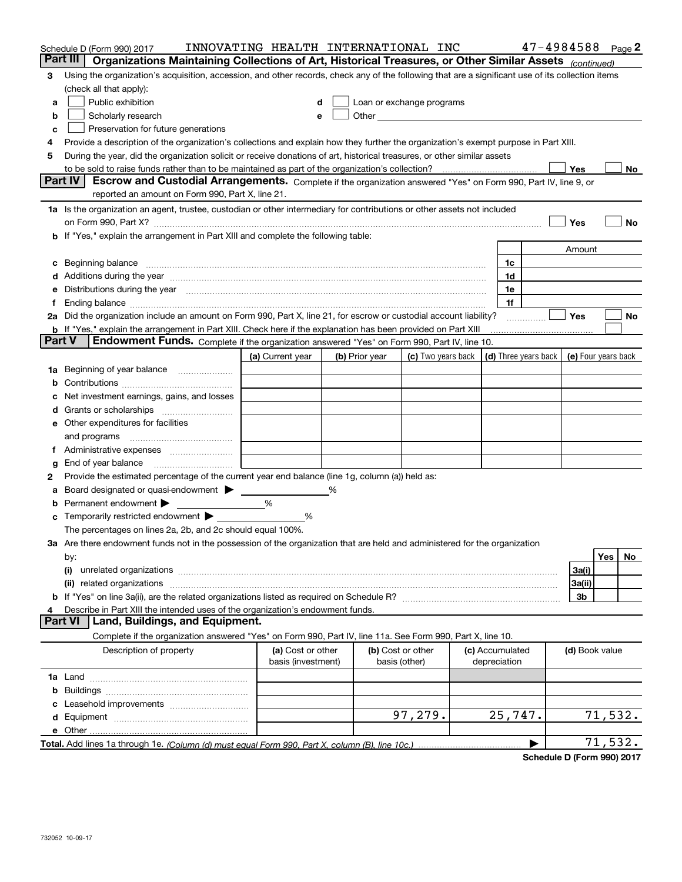| Part III   Organizations Maintaining Collections of Art, Historical Treasures, or Other Similar Assets (continued)<br>Using the organization's acquisition, accession, and other records, check any of the following that are a significant use of its collection items<br>3<br>(check all that apply):<br>Public exhibition<br>Loan or exchange programs<br>a<br>Other and the contract of the contract of the contract of the contract of the contract of the contract of the contract of the contract of the contract of the contract of the contract of the contract of the contract of the<br>Scholarly research<br>b<br>Preservation for future generations<br>с<br>Provide a description of the organization's collections and explain how they further the organization's exempt purpose in Part XIII.<br>During the year, did the organization solicit or receive donations of art, historical treasures, or other similar assets<br>5<br>to be sold to raise funds rather than to be maintained as part of the organization's collection?<br>Yes<br>No<br><b>Part IV</b><br>Escrow and Custodial Arrangements. Complete if the organization answered "Yes" on Form 990, Part IV, line 9, or<br>reported an amount on Form 990, Part X, line 21.<br>1a Is the organization an agent, trustee, custodian or other intermediary for contributions or other assets not included<br>Yes<br>No<br>on Form 990, Part X? [11] matter contracts and contracts and contracts are contracted as a form 990, Part X?<br>b If "Yes," explain the arrangement in Part XIII and complete the following table:<br>Amount<br>c Beginning balance measurements and the contract of the contract of the contract of the contract of the contract of the contract of the contract of the contract of the contract of the contract of the contract of the contr<br>1c<br>1d<br>e Distributions during the year manufactured and continuum and control of the control of the control of the control of the control of the control of the control of the control of the control of the control of the control o<br>1e<br>1f<br>2a Did the organization include an amount on Form 990, Part X, line 21, for escrow or custodial account liability?<br>Yes<br>No<br>.<br><b>b</b> If "Yes," explain the arrangement in Part XIII. Check here if the explanation has been provided on Part XIII<br><b>Part V</b><br>Endowment Funds. Complete if the organization answered "Yes" on Form 990, Part IV, line 10.<br>(d) Three years back<br>(a) Current year<br>(b) Prior year<br>(c) Two years back  <br>(e) Four years back<br>1a Beginning of year balance<br>b<br>Net investment earnings, gains, and losses<br>e Other expenditures for facilities<br>g<br>Provide the estimated percentage of the current year end balance (line 1g, column (a)) held as:<br>2<br>Board designated or quasi-endowment ><br>%<br>а<br><b>b</b> Permanent endowment $\blacktriangleright$<br>%<br>c Temporarily restricted endowment $\blacktriangleright$<br>%<br>The percentages on lines 2a, 2b, and 2c should equal 100%.<br>3a Are there endowment funds not in the possession of the organization that are held and administered for the organization<br>Yes<br>No<br>by:<br>(i)<br>3a(i)<br>3a(ii)<br>(ii)<br>3b<br>Describe in Part XIII the intended uses of the organization's endowment funds.<br>Land, Buildings, and Equipment.<br><b>Part VI</b><br>Complete if the organization answered "Yes" on Form 990, Part IV, line 11a. See Form 990, Part X, line 10.<br>Description of property<br>(a) Cost or other<br>(b) Cost or other<br>(c) Accumulated<br>(d) Book value<br>basis (investment)<br>basis (other)<br>depreciation<br>97,279.<br>25,747.<br>71,532.<br>71,532.<br>▶ | Schedule D (Form 990) 2017 | INNOVATING HEALTH INTERNATIONAL INC |  |  | $47 - 4984588$ Page 2 |  |  |
|-------------------------------------------------------------------------------------------------------------------------------------------------------------------------------------------------------------------------------------------------------------------------------------------------------------------------------------------------------------------------------------------------------------------------------------------------------------------------------------------------------------------------------------------------------------------------------------------------------------------------------------------------------------------------------------------------------------------------------------------------------------------------------------------------------------------------------------------------------------------------------------------------------------------------------------------------------------------------------------------------------------------------------------------------------------------------------------------------------------------------------------------------------------------------------------------------------------------------------------------------------------------------------------------------------------------------------------------------------------------------------------------------------------------------------------------------------------------------------------------------------------------------------------------------------------------------------------------------------------------------------------------------------------------------------------------------------------------------------------------------------------------------------------------------------------------------------------------------------------------------------------------------------------------------------------------------------------------------------------------------------------------------------------------------------------------------------------------------------------------------------------------------------------------------------------------------------------------------------------------------------------------------------------------------------------------------------------------------------------------------------------------------------------------------------------------------------------------------------------------------------------------------------------------------------------------------------------------------------------------------------------------------------------------------------------------------------------------------------------------------------------------------------------------------------------------------------------------------------------------------------------------------------------------------------------------------------------------------------------------------------------------------------------------------------------------------------------------------------------------------------------------------------------------------------------------------------------------------------------------------------------------------------------------------------------------------------------------------------------------------------------------------------------------------------------------------------------------------------------------------------------------------------------------------------------------------------------------------------------------------------------------------------------------------------------------------------------------------------------------------------------------|----------------------------|-------------------------------------|--|--|-----------------------|--|--|
|                                                                                                                                                                                                                                                                                                                                                                                                                                                                                                                                                                                                                                                                                                                                                                                                                                                                                                                                                                                                                                                                                                                                                                                                                                                                                                                                                                                                                                                                                                                                                                                                                                                                                                                                                                                                                                                                                                                                                                                                                                                                                                                                                                                                                                                                                                                                                                                                                                                                                                                                                                                                                                                                                                                                                                                                                                                                                                                                                                                                                                                                                                                                                                                                                                                                                                                                                                                                                                                                                                                                                                                                                                                                                                                                                                   |                            |                                     |  |  |                       |  |  |
|                                                                                                                                                                                                                                                                                                                                                                                                                                                                                                                                                                                                                                                                                                                                                                                                                                                                                                                                                                                                                                                                                                                                                                                                                                                                                                                                                                                                                                                                                                                                                                                                                                                                                                                                                                                                                                                                                                                                                                                                                                                                                                                                                                                                                                                                                                                                                                                                                                                                                                                                                                                                                                                                                                                                                                                                                                                                                                                                                                                                                                                                                                                                                                                                                                                                                                                                                                                                                                                                                                                                                                                                                                                                                                                                                                   |                            |                                     |  |  |                       |  |  |
|                                                                                                                                                                                                                                                                                                                                                                                                                                                                                                                                                                                                                                                                                                                                                                                                                                                                                                                                                                                                                                                                                                                                                                                                                                                                                                                                                                                                                                                                                                                                                                                                                                                                                                                                                                                                                                                                                                                                                                                                                                                                                                                                                                                                                                                                                                                                                                                                                                                                                                                                                                                                                                                                                                                                                                                                                                                                                                                                                                                                                                                                                                                                                                                                                                                                                                                                                                                                                                                                                                                                                                                                                                                                                                                                                                   |                            |                                     |  |  |                       |  |  |
|                                                                                                                                                                                                                                                                                                                                                                                                                                                                                                                                                                                                                                                                                                                                                                                                                                                                                                                                                                                                                                                                                                                                                                                                                                                                                                                                                                                                                                                                                                                                                                                                                                                                                                                                                                                                                                                                                                                                                                                                                                                                                                                                                                                                                                                                                                                                                                                                                                                                                                                                                                                                                                                                                                                                                                                                                                                                                                                                                                                                                                                                                                                                                                                                                                                                                                                                                                                                                                                                                                                                                                                                                                                                                                                                                                   |                            |                                     |  |  |                       |  |  |
|                                                                                                                                                                                                                                                                                                                                                                                                                                                                                                                                                                                                                                                                                                                                                                                                                                                                                                                                                                                                                                                                                                                                                                                                                                                                                                                                                                                                                                                                                                                                                                                                                                                                                                                                                                                                                                                                                                                                                                                                                                                                                                                                                                                                                                                                                                                                                                                                                                                                                                                                                                                                                                                                                                                                                                                                                                                                                                                                                                                                                                                                                                                                                                                                                                                                                                                                                                                                                                                                                                                                                                                                                                                                                                                                                                   |                            |                                     |  |  |                       |  |  |
|                                                                                                                                                                                                                                                                                                                                                                                                                                                                                                                                                                                                                                                                                                                                                                                                                                                                                                                                                                                                                                                                                                                                                                                                                                                                                                                                                                                                                                                                                                                                                                                                                                                                                                                                                                                                                                                                                                                                                                                                                                                                                                                                                                                                                                                                                                                                                                                                                                                                                                                                                                                                                                                                                                                                                                                                                                                                                                                                                                                                                                                                                                                                                                                                                                                                                                                                                                                                                                                                                                                                                                                                                                                                                                                                                                   |                            |                                     |  |  |                       |  |  |
|                                                                                                                                                                                                                                                                                                                                                                                                                                                                                                                                                                                                                                                                                                                                                                                                                                                                                                                                                                                                                                                                                                                                                                                                                                                                                                                                                                                                                                                                                                                                                                                                                                                                                                                                                                                                                                                                                                                                                                                                                                                                                                                                                                                                                                                                                                                                                                                                                                                                                                                                                                                                                                                                                                                                                                                                                                                                                                                                                                                                                                                                                                                                                                                                                                                                                                                                                                                                                                                                                                                                                                                                                                                                                                                                                                   |                            |                                     |  |  |                       |  |  |
|                                                                                                                                                                                                                                                                                                                                                                                                                                                                                                                                                                                                                                                                                                                                                                                                                                                                                                                                                                                                                                                                                                                                                                                                                                                                                                                                                                                                                                                                                                                                                                                                                                                                                                                                                                                                                                                                                                                                                                                                                                                                                                                                                                                                                                                                                                                                                                                                                                                                                                                                                                                                                                                                                                                                                                                                                                                                                                                                                                                                                                                                                                                                                                                                                                                                                                                                                                                                                                                                                                                                                                                                                                                                                                                                                                   |                            |                                     |  |  |                       |  |  |
|                                                                                                                                                                                                                                                                                                                                                                                                                                                                                                                                                                                                                                                                                                                                                                                                                                                                                                                                                                                                                                                                                                                                                                                                                                                                                                                                                                                                                                                                                                                                                                                                                                                                                                                                                                                                                                                                                                                                                                                                                                                                                                                                                                                                                                                                                                                                                                                                                                                                                                                                                                                                                                                                                                                                                                                                                                                                                                                                                                                                                                                                                                                                                                                                                                                                                                                                                                                                                                                                                                                                                                                                                                                                                                                                                                   |                            |                                     |  |  |                       |  |  |
|                                                                                                                                                                                                                                                                                                                                                                                                                                                                                                                                                                                                                                                                                                                                                                                                                                                                                                                                                                                                                                                                                                                                                                                                                                                                                                                                                                                                                                                                                                                                                                                                                                                                                                                                                                                                                                                                                                                                                                                                                                                                                                                                                                                                                                                                                                                                                                                                                                                                                                                                                                                                                                                                                                                                                                                                                                                                                                                                                                                                                                                                                                                                                                                                                                                                                                                                                                                                                                                                                                                                                                                                                                                                                                                                                                   |                            |                                     |  |  |                       |  |  |
|                                                                                                                                                                                                                                                                                                                                                                                                                                                                                                                                                                                                                                                                                                                                                                                                                                                                                                                                                                                                                                                                                                                                                                                                                                                                                                                                                                                                                                                                                                                                                                                                                                                                                                                                                                                                                                                                                                                                                                                                                                                                                                                                                                                                                                                                                                                                                                                                                                                                                                                                                                                                                                                                                                                                                                                                                                                                                                                                                                                                                                                                                                                                                                                                                                                                                                                                                                                                                                                                                                                                                                                                                                                                                                                                                                   |                            |                                     |  |  |                       |  |  |
|                                                                                                                                                                                                                                                                                                                                                                                                                                                                                                                                                                                                                                                                                                                                                                                                                                                                                                                                                                                                                                                                                                                                                                                                                                                                                                                                                                                                                                                                                                                                                                                                                                                                                                                                                                                                                                                                                                                                                                                                                                                                                                                                                                                                                                                                                                                                                                                                                                                                                                                                                                                                                                                                                                                                                                                                                                                                                                                                                                                                                                                                                                                                                                                                                                                                                                                                                                                                                                                                                                                                                                                                                                                                                                                                                                   |                            |                                     |  |  |                       |  |  |
|                                                                                                                                                                                                                                                                                                                                                                                                                                                                                                                                                                                                                                                                                                                                                                                                                                                                                                                                                                                                                                                                                                                                                                                                                                                                                                                                                                                                                                                                                                                                                                                                                                                                                                                                                                                                                                                                                                                                                                                                                                                                                                                                                                                                                                                                                                                                                                                                                                                                                                                                                                                                                                                                                                                                                                                                                                                                                                                                                                                                                                                                                                                                                                                                                                                                                                                                                                                                                                                                                                                                                                                                                                                                                                                                                                   |                            |                                     |  |  |                       |  |  |
|                                                                                                                                                                                                                                                                                                                                                                                                                                                                                                                                                                                                                                                                                                                                                                                                                                                                                                                                                                                                                                                                                                                                                                                                                                                                                                                                                                                                                                                                                                                                                                                                                                                                                                                                                                                                                                                                                                                                                                                                                                                                                                                                                                                                                                                                                                                                                                                                                                                                                                                                                                                                                                                                                                                                                                                                                                                                                                                                                                                                                                                                                                                                                                                                                                                                                                                                                                                                                                                                                                                                                                                                                                                                                                                                                                   |                            |                                     |  |  |                       |  |  |
|                                                                                                                                                                                                                                                                                                                                                                                                                                                                                                                                                                                                                                                                                                                                                                                                                                                                                                                                                                                                                                                                                                                                                                                                                                                                                                                                                                                                                                                                                                                                                                                                                                                                                                                                                                                                                                                                                                                                                                                                                                                                                                                                                                                                                                                                                                                                                                                                                                                                                                                                                                                                                                                                                                                                                                                                                                                                                                                                                                                                                                                                                                                                                                                                                                                                                                                                                                                                                                                                                                                                                                                                                                                                                                                                                                   |                            |                                     |  |  |                       |  |  |
|                                                                                                                                                                                                                                                                                                                                                                                                                                                                                                                                                                                                                                                                                                                                                                                                                                                                                                                                                                                                                                                                                                                                                                                                                                                                                                                                                                                                                                                                                                                                                                                                                                                                                                                                                                                                                                                                                                                                                                                                                                                                                                                                                                                                                                                                                                                                                                                                                                                                                                                                                                                                                                                                                                                                                                                                                                                                                                                                                                                                                                                                                                                                                                                                                                                                                                                                                                                                                                                                                                                                                                                                                                                                                                                                                                   |                            |                                     |  |  |                       |  |  |
|                                                                                                                                                                                                                                                                                                                                                                                                                                                                                                                                                                                                                                                                                                                                                                                                                                                                                                                                                                                                                                                                                                                                                                                                                                                                                                                                                                                                                                                                                                                                                                                                                                                                                                                                                                                                                                                                                                                                                                                                                                                                                                                                                                                                                                                                                                                                                                                                                                                                                                                                                                                                                                                                                                                                                                                                                                                                                                                                                                                                                                                                                                                                                                                                                                                                                                                                                                                                                                                                                                                                                                                                                                                                                                                                                                   |                            |                                     |  |  |                       |  |  |
|                                                                                                                                                                                                                                                                                                                                                                                                                                                                                                                                                                                                                                                                                                                                                                                                                                                                                                                                                                                                                                                                                                                                                                                                                                                                                                                                                                                                                                                                                                                                                                                                                                                                                                                                                                                                                                                                                                                                                                                                                                                                                                                                                                                                                                                                                                                                                                                                                                                                                                                                                                                                                                                                                                                                                                                                                                                                                                                                                                                                                                                                                                                                                                                                                                                                                                                                                                                                                                                                                                                                                                                                                                                                                                                                                                   |                            |                                     |  |  |                       |  |  |
|                                                                                                                                                                                                                                                                                                                                                                                                                                                                                                                                                                                                                                                                                                                                                                                                                                                                                                                                                                                                                                                                                                                                                                                                                                                                                                                                                                                                                                                                                                                                                                                                                                                                                                                                                                                                                                                                                                                                                                                                                                                                                                                                                                                                                                                                                                                                                                                                                                                                                                                                                                                                                                                                                                                                                                                                                                                                                                                                                                                                                                                                                                                                                                                                                                                                                                                                                                                                                                                                                                                                                                                                                                                                                                                                                                   |                            |                                     |  |  |                       |  |  |
|                                                                                                                                                                                                                                                                                                                                                                                                                                                                                                                                                                                                                                                                                                                                                                                                                                                                                                                                                                                                                                                                                                                                                                                                                                                                                                                                                                                                                                                                                                                                                                                                                                                                                                                                                                                                                                                                                                                                                                                                                                                                                                                                                                                                                                                                                                                                                                                                                                                                                                                                                                                                                                                                                                                                                                                                                                                                                                                                                                                                                                                                                                                                                                                                                                                                                                                                                                                                                                                                                                                                                                                                                                                                                                                                                                   |                            |                                     |  |  |                       |  |  |
|                                                                                                                                                                                                                                                                                                                                                                                                                                                                                                                                                                                                                                                                                                                                                                                                                                                                                                                                                                                                                                                                                                                                                                                                                                                                                                                                                                                                                                                                                                                                                                                                                                                                                                                                                                                                                                                                                                                                                                                                                                                                                                                                                                                                                                                                                                                                                                                                                                                                                                                                                                                                                                                                                                                                                                                                                                                                                                                                                                                                                                                                                                                                                                                                                                                                                                                                                                                                                                                                                                                                                                                                                                                                                                                                                                   |                            |                                     |  |  |                       |  |  |
|                                                                                                                                                                                                                                                                                                                                                                                                                                                                                                                                                                                                                                                                                                                                                                                                                                                                                                                                                                                                                                                                                                                                                                                                                                                                                                                                                                                                                                                                                                                                                                                                                                                                                                                                                                                                                                                                                                                                                                                                                                                                                                                                                                                                                                                                                                                                                                                                                                                                                                                                                                                                                                                                                                                                                                                                                                                                                                                                                                                                                                                                                                                                                                                                                                                                                                                                                                                                                                                                                                                                                                                                                                                                                                                                                                   |                            |                                     |  |  |                       |  |  |
|                                                                                                                                                                                                                                                                                                                                                                                                                                                                                                                                                                                                                                                                                                                                                                                                                                                                                                                                                                                                                                                                                                                                                                                                                                                                                                                                                                                                                                                                                                                                                                                                                                                                                                                                                                                                                                                                                                                                                                                                                                                                                                                                                                                                                                                                                                                                                                                                                                                                                                                                                                                                                                                                                                                                                                                                                                                                                                                                                                                                                                                                                                                                                                                                                                                                                                                                                                                                                                                                                                                                                                                                                                                                                                                                                                   |                            |                                     |  |  |                       |  |  |
|                                                                                                                                                                                                                                                                                                                                                                                                                                                                                                                                                                                                                                                                                                                                                                                                                                                                                                                                                                                                                                                                                                                                                                                                                                                                                                                                                                                                                                                                                                                                                                                                                                                                                                                                                                                                                                                                                                                                                                                                                                                                                                                                                                                                                                                                                                                                                                                                                                                                                                                                                                                                                                                                                                                                                                                                                                                                                                                                                                                                                                                                                                                                                                                                                                                                                                                                                                                                                                                                                                                                                                                                                                                                                                                                                                   |                            |                                     |  |  |                       |  |  |
|                                                                                                                                                                                                                                                                                                                                                                                                                                                                                                                                                                                                                                                                                                                                                                                                                                                                                                                                                                                                                                                                                                                                                                                                                                                                                                                                                                                                                                                                                                                                                                                                                                                                                                                                                                                                                                                                                                                                                                                                                                                                                                                                                                                                                                                                                                                                                                                                                                                                                                                                                                                                                                                                                                                                                                                                                                                                                                                                                                                                                                                                                                                                                                                                                                                                                                                                                                                                                                                                                                                                                                                                                                                                                                                                                                   |                            |                                     |  |  |                       |  |  |
|                                                                                                                                                                                                                                                                                                                                                                                                                                                                                                                                                                                                                                                                                                                                                                                                                                                                                                                                                                                                                                                                                                                                                                                                                                                                                                                                                                                                                                                                                                                                                                                                                                                                                                                                                                                                                                                                                                                                                                                                                                                                                                                                                                                                                                                                                                                                                                                                                                                                                                                                                                                                                                                                                                                                                                                                                                                                                                                                                                                                                                                                                                                                                                                                                                                                                                                                                                                                                                                                                                                                                                                                                                                                                                                                                                   |                            |                                     |  |  |                       |  |  |
|                                                                                                                                                                                                                                                                                                                                                                                                                                                                                                                                                                                                                                                                                                                                                                                                                                                                                                                                                                                                                                                                                                                                                                                                                                                                                                                                                                                                                                                                                                                                                                                                                                                                                                                                                                                                                                                                                                                                                                                                                                                                                                                                                                                                                                                                                                                                                                                                                                                                                                                                                                                                                                                                                                                                                                                                                                                                                                                                                                                                                                                                                                                                                                                                                                                                                                                                                                                                                                                                                                                                                                                                                                                                                                                                                                   |                            |                                     |  |  |                       |  |  |
|                                                                                                                                                                                                                                                                                                                                                                                                                                                                                                                                                                                                                                                                                                                                                                                                                                                                                                                                                                                                                                                                                                                                                                                                                                                                                                                                                                                                                                                                                                                                                                                                                                                                                                                                                                                                                                                                                                                                                                                                                                                                                                                                                                                                                                                                                                                                                                                                                                                                                                                                                                                                                                                                                                                                                                                                                                                                                                                                                                                                                                                                                                                                                                                                                                                                                                                                                                                                                                                                                                                                                                                                                                                                                                                                                                   |                            |                                     |  |  |                       |  |  |
|                                                                                                                                                                                                                                                                                                                                                                                                                                                                                                                                                                                                                                                                                                                                                                                                                                                                                                                                                                                                                                                                                                                                                                                                                                                                                                                                                                                                                                                                                                                                                                                                                                                                                                                                                                                                                                                                                                                                                                                                                                                                                                                                                                                                                                                                                                                                                                                                                                                                                                                                                                                                                                                                                                                                                                                                                                                                                                                                                                                                                                                                                                                                                                                                                                                                                                                                                                                                                                                                                                                                                                                                                                                                                                                                                                   |                            |                                     |  |  |                       |  |  |
|                                                                                                                                                                                                                                                                                                                                                                                                                                                                                                                                                                                                                                                                                                                                                                                                                                                                                                                                                                                                                                                                                                                                                                                                                                                                                                                                                                                                                                                                                                                                                                                                                                                                                                                                                                                                                                                                                                                                                                                                                                                                                                                                                                                                                                                                                                                                                                                                                                                                                                                                                                                                                                                                                                                                                                                                                                                                                                                                                                                                                                                                                                                                                                                                                                                                                                                                                                                                                                                                                                                                                                                                                                                                                                                                                                   |                            |                                     |  |  |                       |  |  |
|                                                                                                                                                                                                                                                                                                                                                                                                                                                                                                                                                                                                                                                                                                                                                                                                                                                                                                                                                                                                                                                                                                                                                                                                                                                                                                                                                                                                                                                                                                                                                                                                                                                                                                                                                                                                                                                                                                                                                                                                                                                                                                                                                                                                                                                                                                                                                                                                                                                                                                                                                                                                                                                                                                                                                                                                                                                                                                                                                                                                                                                                                                                                                                                                                                                                                                                                                                                                                                                                                                                                                                                                                                                                                                                                                                   |                            |                                     |  |  |                       |  |  |
|                                                                                                                                                                                                                                                                                                                                                                                                                                                                                                                                                                                                                                                                                                                                                                                                                                                                                                                                                                                                                                                                                                                                                                                                                                                                                                                                                                                                                                                                                                                                                                                                                                                                                                                                                                                                                                                                                                                                                                                                                                                                                                                                                                                                                                                                                                                                                                                                                                                                                                                                                                                                                                                                                                                                                                                                                                                                                                                                                                                                                                                                                                                                                                                                                                                                                                                                                                                                                                                                                                                                                                                                                                                                                                                                                                   |                            |                                     |  |  |                       |  |  |
|                                                                                                                                                                                                                                                                                                                                                                                                                                                                                                                                                                                                                                                                                                                                                                                                                                                                                                                                                                                                                                                                                                                                                                                                                                                                                                                                                                                                                                                                                                                                                                                                                                                                                                                                                                                                                                                                                                                                                                                                                                                                                                                                                                                                                                                                                                                                                                                                                                                                                                                                                                                                                                                                                                                                                                                                                                                                                                                                                                                                                                                                                                                                                                                                                                                                                                                                                                                                                                                                                                                                                                                                                                                                                                                                                                   |                            |                                     |  |  |                       |  |  |
|                                                                                                                                                                                                                                                                                                                                                                                                                                                                                                                                                                                                                                                                                                                                                                                                                                                                                                                                                                                                                                                                                                                                                                                                                                                                                                                                                                                                                                                                                                                                                                                                                                                                                                                                                                                                                                                                                                                                                                                                                                                                                                                                                                                                                                                                                                                                                                                                                                                                                                                                                                                                                                                                                                                                                                                                                                                                                                                                                                                                                                                                                                                                                                                                                                                                                                                                                                                                                                                                                                                                                                                                                                                                                                                                                                   |                            |                                     |  |  |                       |  |  |
|                                                                                                                                                                                                                                                                                                                                                                                                                                                                                                                                                                                                                                                                                                                                                                                                                                                                                                                                                                                                                                                                                                                                                                                                                                                                                                                                                                                                                                                                                                                                                                                                                                                                                                                                                                                                                                                                                                                                                                                                                                                                                                                                                                                                                                                                                                                                                                                                                                                                                                                                                                                                                                                                                                                                                                                                                                                                                                                                                                                                                                                                                                                                                                                                                                                                                                                                                                                                                                                                                                                                                                                                                                                                                                                                                                   |                            |                                     |  |  |                       |  |  |
|                                                                                                                                                                                                                                                                                                                                                                                                                                                                                                                                                                                                                                                                                                                                                                                                                                                                                                                                                                                                                                                                                                                                                                                                                                                                                                                                                                                                                                                                                                                                                                                                                                                                                                                                                                                                                                                                                                                                                                                                                                                                                                                                                                                                                                                                                                                                                                                                                                                                                                                                                                                                                                                                                                                                                                                                                                                                                                                                                                                                                                                                                                                                                                                                                                                                                                                                                                                                                                                                                                                                                                                                                                                                                                                                                                   |                            |                                     |  |  |                       |  |  |
|                                                                                                                                                                                                                                                                                                                                                                                                                                                                                                                                                                                                                                                                                                                                                                                                                                                                                                                                                                                                                                                                                                                                                                                                                                                                                                                                                                                                                                                                                                                                                                                                                                                                                                                                                                                                                                                                                                                                                                                                                                                                                                                                                                                                                                                                                                                                                                                                                                                                                                                                                                                                                                                                                                                                                                                                                                                                                                                                                                                                                                                                                                                                                                                                                                                                                                                                                                                                                                                                                                                                                                                                                                                                                                                                                                   |                            |                                     |  |  |                       |  |  |
|                                                                                                                                                                                                                                                                                                                                                                                                                                                                                                                                                                                                                                                                                                                                                                                                                                                                                                                                                                                                                                                                                                                                                                                                                                                                                                                                                                                                                                                                                                                                                                                                                                                                                                                                                                                                                                                                                                                                                                                                                                                                                                                                                                                                                                                                                                                                                                                                                                                                                                                                                                                                                                                                                                                                                                                                                                                                                                                                                                                                                                                                                                                                                                                                                                                                                                                                                                                                                                                                                                                                                                                                                                                                                                                                                                   |                            |                                     |  |  |                       |  |  |
|                                                                                                                                                                                                                                                                                                                                                                                                                                                                                                                                                                                                                                                                                                                                                                                                                                                                                                                                                                                                                                                                                                                                                                                                                                                                                                                                                                                                                                                                                                                                                                                                                                                                                                                                                                                                                                                                                                                                                                                                                                                                                                                                                                                                                                                                                                                                                                                                                                                                                                                                                                                                                                                                                                                                                                                                                                                                                                                                                                                                                                                                                                                                                                                                                                                                                                                                                                                                                                                                                                                                                                                                                                                                                                                                                                   |                            |                                     |  |  |                       |  |  |
|                                                                                                                                                                                                                                                                                                                                                                                                                                                                                                                                                                                                                                                                                                                                                                                                                                                                                                                                                                                                                                                                                                                                                                                                                                                                                                                                                                                                                                                                                                                                                                                                                                                                                                                                                                                                                                                                                                                                                                                                                                                                                                                                                                                                                                                                                                                                                                                                                                                                                                                                                                                                                                                                                                                                                                                                                                                                                                                                                                                                                                                                                                                                                                                                                                                                                                                                                                                                                                                                                                                                                                                                                                                                                                                                                                   |                            |                                     |  |  |                       |  |  |
|                                                                                                                                                                                                                                                                                                                                                                                                                                                                                                                                                                                                                                                                                                                                                                                                                                                                                                                                                                                                                                                                                                                                                                                                                                                                                                                                                                                                                                                                                                                                                                                                                                                                                                                                                                                                                                                                                                                                                                                                                                                                                                                                                                                                                                                                                                                                                                                                                                                                                                                                                                                                                                                                                                                                                                                                                                                                                                                                                                                                                                                                                                                                                                                                                                                                                                                                                                                                                                                                                                                                                                                                                                                                                                                                                                   |                            |                                     |  |  |                       |  |  |
|                                                                                                                                                                                                                                                                                                                                                                                                                                                                                                                                                                                                                                                                                                                                                                                                                                                                                                                                                                                                                                                                                                                                                                                                                                                                                                                                                                                                                                                                                                                                                                                                                                                                                                                                                                                                                                                                                                                                                                                                                                                                                                                                                                                                                                                                                                                                                                                                                                                                                                                                                                                                                                                                                                                                                                                                                                                                                                                                                                                                                                                                                                                                                                                                                                                                                                                                                                                                                                                                                                                                                                                                                                                                                                                                                                   |                            |                                     |  |  |                       |  |  |
|                                                                                                                                                                                                                                                                                                                                                                                                                                                                                                                                                                                                                                                                                                                                                                                                                                                                                                                                                                                                                                                                                                                                                                                                                                                                                                                                                                                                                                                                                                                                                                                                                                                                                                                                                                                                                                                                                                                                                                                                                                                                                                                                                                                                                                                                                                                                                                                                                                                                                                                                                                                                                                                                                                                                                                                                                                                                                                                                                                                                                                                                                                                                                                                                                                                                                                                                                                                                                                                                                                                                                                                                                                                                                                                                                                   |                            |                                     |  |  |                       |  |  |
|                                                                                                                                                                                                                                                                                                                                                                                                                                                                                                                                                                                                                                                                                                                                                                                                                                                                                                                                                                                                                                                                                                                                                                                                                                                                                                                                                                                                                                                                                                                                                                                                                                                                                                                                                                                                                                                                                                                                                                                                                                                                                                                                                                                                                                                                                                                                                                                                                                                                                                                                                                                                                                                                                                                                                                                                                                                                                                                                                                                                                                                                                                                                                                                                                                                                                                                                                                                                                                                                                                                                                                                                                                                                                                                                                                   |                            |                                     |  |  |                       |  |  |
|                                                                                                                                                                                                                                                                                                                                                                                                                                                                                                                                                                                                                                                                                                                                                                                                                                                                                                                                                                                                                                                                                                                                                                                                                                                                                                                                                                                                                                                                                                                                                                                                                                                                                                                                                                                                                                                                                                                                                                                                                                                                                                                                                                                                                                                                                                                                                                                                                                                                                                                                                                                                                                                                                                                                                                                                                                                                                                                                                                                                                                                                                                                                                                                                                                                                                                                                                                                                                                                                                                                                                                                                                                                                                                                                                                   |                            |                                     |  |  |                       |  |  |
|                                                                                                                                                                                                                                                                                                                                                                                                                                                                                                                                                                                                                                                                                                                                                                                                                                                                                                                                                                                                                                                                                                                                                                                                                                                                                                                                                                                                                                                                                                                                                                                                                                                                                                                                                                                                                                                                                                                                                                                                                                                                                                                                                                                                                                                                                                                                                                                                                                                                                                                                                                                                                                                                                                                                                                                                                                                                                                                                                                                                                                                                                                                                                                                                                                                                                                                                                                                                                                                                                                                                                                                                                                                                                                                                                                   |                            |                                     |  |  |                       |  |  |
|                                                                                                                                                                                                                                                                                                                                                                                                                                                                                                                                                                                                                                                                                                                                                                                                                                                                                                                                                                                                                                                                                                                                                                                                                                                                                                                                                                                                                                                                                                                                                                                                                                                                                                                                                                                                                                                                                                                                                                                                                                                                                                                                                                                                                                                                                                                                                                                                                                                                                                                                                                                                                                                                                                                                                                                                                                                                                                                                                                                                                                                                                                                                                                                                                                                                                                                                                                                                                                                                                                                                                                                                                                                                                                                                                                   |                            |                                     |  |  |                       |  |  |
|                                                                                                                                                                                                                                                                                                                                                                                                                                                                                                                                                                                                                                                                                                                                                                                                                                                                                                                                                                                                                                                                                                                                                                                                                                                                                                                                                                                                                                                                                                                                                                                                                                                                                                                                                                                                                                                                                                                                                                                                                                                                                                                                                                                                                                                                                                                                                                                                                                                                                                                                                                                                                                                                                                                                                                                                                                                                                                                                                                                                                                                                                                                                                                                                                                                                                                                                                                                                                                                                                                                                                                                                                                                                                                                                                                   |                            |                                     |  |  |                       |  |  |
|                                                                                                                                                                                                                                                                                                                                                                                                                                                                                                                                                                                                                                                                                                                                                                                                                                                                                                                                                                                                                                                                                                                                                                                                                                                                                                                                                                                                                                                                                                                                                                                                                                                                                                                                                                                                                                                                                                                                                                                                                                                                                                                                                                                                                                                                                                                                                                                                                                                                                                                                                                                                                                                                                                                                                                                                                                                                                                                                                                                                                                                                                                                                                                                                                                                                                                                                                                                                                                                                                                                                                                                                                                                                                                                                                                   |                            |                                     |  |  |                       |  |  |

**Schedule D (Form 990) 2017**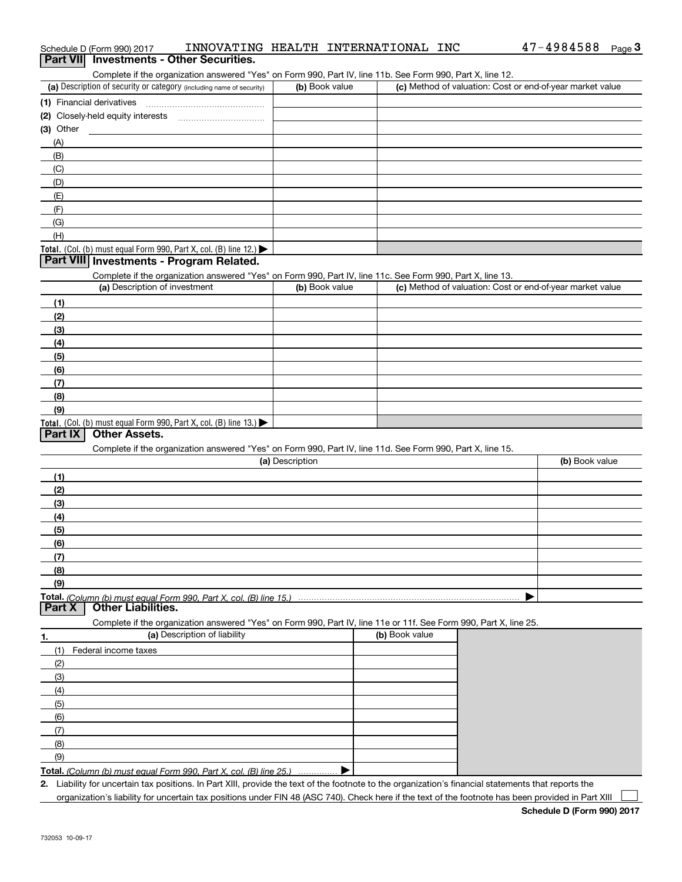|                                                                                                                   | Complete if the organization answered "Yes" on Form 990, Part IV, line 11b. See Form 990, Part X, line 12. |                |                                                           |                |
|-------------------------------------------------------------------------------------------------------------------|------------------------------------------------------------------------------------------------------------|----------------|-----------------------------------------------------------|----------------|
| (a) Description of security or category (including name of security)                                              | (b) Book value                                                                                             |                | (c) Method of valuation: Cost or end-of-year market value |                |
| (1) Financial derivatives                                                                                         |                                                                                                            |                |                                                           |                |
| (2) Closely-held equity interests                                                                                 |                                                                                                            |                |                                                           |                |
| (3) Other                                                                                                         |                                                                                                            |                |                                                           |                |
| (A)                                                                                                               |                                                                                                            |                |                                                           |                |
| (B)                                                                                                               |                                                                                                            |                |                                                           |                |
|                                                                                                                   |                                                                                                            |                |                                                           |                |
| (C)                                                                                                               |                                                                                                            |                |                                                           |                |
| (D)                                                                                                               |                                                                                                            |                |                                                           |                |
| (E)                                                                                                               |                                                                                                            |                |                                                           |                |
| (F)                                                                                                               |                                                                                                            |                |                                                           |                |
| (G)                                                                                                               |                                                                                                            |                |                                                           |                |
| (H)                                                                                                               |                                                                                                            |                |                                                           |                |
| Total. (Col. (b) must equal Form 990, Part X, col. (B) line 12.)                                                  |                                                                                                            |                |                                                           |                |
| Part VIII Investments - Program Related.                                                                          |                                                                                                            |                |                                                           |                |
| Complete if the organization answered "Yes" on Form 990, Part IV, line 11c. See Form 990, Part X, line 13.        |                                                                                                            |                |                                                           |                |
| (a) Description of investment                                                                                     | (b) Book value                                                                                             |                | (c) Method of valuation: Cost or end-of-year market value |                |
| (1)                                                                                                               |                                                                                                            |                |                                                           |                |
| (2)                                                                                                               |                                                                                                            |                |                                                           |                |
| (3)                                                                                                               |                                                                                                            |                |                                                           |                |
| (4)                                                                                                               |                                                                                                            |                |                                                           |                |
| (5)                                                                                                               |                                                                                                            |                |                                                           |                |
|                                                                                                                   |                                                                                                            |                |                                                           |                |
| (6)                                                                                                               |                                                                                                            |                |                                                           |                |
| (7)                                                                                                               |                                                                                                            |                |                                                           |                |
| (8)                                                                                                               |                                                                                                            |                |                                                           |                |
| (9)                                                                                                               |                                                                                                            |                |                                                           |                |
|                                                                                                                   |                                                                                                            |                |                                                           |                |
| Total. (Col. (b) must equal Form 990, Part X, col. (B) line 13.)                                                  |                                                                                                            |                |                                                           |                |
| <b>Other Assets.</b><br><b>Part IX</b>                                                                            |                                                                                                            |                |                                                           |                |
| Complete if the organization answered "Yes" on Form 990, Part IV, line 11d. See Form 990, Part X, line 15.        |                                                                                                            |                |                                                           |                |
|                                                                                                                   | (a) Description                                                                                            |                |                                                           | (b) Book value |
|                                                                                                                   |                                                                                                            |                |                                                           |                |
| (1)                                                                                                               |                                                                                                            |                |                                                           |                |
| (2)                                                                                                               |                                                                                                            |                |                                                           |                |
| (3)                                                                                                               |                                                                                                            |                |                                                           |                |
| (4)                                                                                                               |                                                                                                            |                |                                                           |                |
| (5)                                                                                                               |                                                                                                            |                |                                                           |                |
| (6)                                                                                                               |                                                                                                            |                |                                                           |                |
| (7)                                                                                                               |                                                                                                            |                |                                                           |                |
| (8)                                                                                                               |                                                                                                            |                |                                                           |                |
| (9)                                                                                                               |                                                                                                            |                |                                                           |                |
|                                                                                                                   |                                                                                                            |                |                                                           |                |
| <b>Other Liabilities.</b><br><b>Part X</b>                                                                        |                                                                                                            |                |                                                           |                |
| Complete if the organization answered "Yes" on Form 990, Part IV, line 11e or 11f. See Form 990, Part X, line 25. |                                                                                                            |                |                                                           |                |
| (a) Description of liability                                                                                      |                                                                                                            | (b) Book value |                                                           |                |
| (1)<br>Federal income taxes                                                                                       |                                                                                                            |                |                                                           |                |
| (2)                                                                                                               |                                                                                                            |                |                                                           |                |
| (3)                                                                                                               |                                                                                                            |                |                                                           |                |
|                                                                                                                   |                                                                                                            |                |                                                           |                |
| (4)                                                                                                               |                                                                                                            |                |                                                           |                |
| (5)                                                                                                               |                                                                                                            |                |                                                           |                |
| (6)                                                                                                               |                                                                                                            |                |                                                           |                |
| 1.<br>(7)                                                                                                         |                                                                                                            |                |                                                           |                |
| (8)<br>(9)                                                                                                        |                                                                                                            |                |                                                           |                |

**Total.** (Column (b) must equal Form 990, Part X, col. (B) line 25.) ................ ▶

**2.** Liability for uncertain tax positions. In Part XIII, provide the text of the footnote to the organization's financial statements that reports the organization's liability for uncertain tax positions under FIN 48 (ASC 740). Check here if the text of the footnote has been provided in Part XIII  $\mathcal{L}^{\text{max}}$ 

# Schedule D (Form 990) 2017 INNOVATING HEALTH INTERNATIONAL INC 47-4984588 <sub>Page</sub> 3<br>| **Part VII** | Investments - Other Securities.

| $47 - 4984588$ F |  |
|------------------|--|
|                  |  |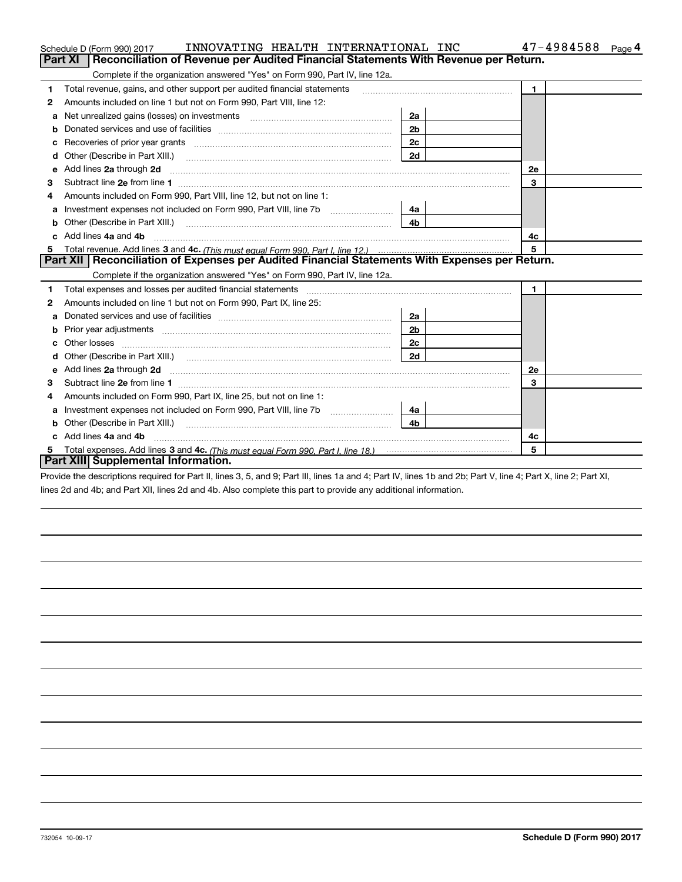|    | INNOVATING HEALTH INTERNATIONAL INC<br>Schedule D (Form 990) 2017                                                                                                                                                              |                | 47-4984588<br>Page 4 |  |  |  |
|----|--------------------------------------------------------------------------------------------------------------------------------------------------------------------------------------------------------------------------------|----------------|----------------------|--|--|--|
|    | <b>Part XI</b><br>Reconciliation of Revenue per Audited Financial Statements With Revenue per Return.                                                                                                                          |                |                      |  |  |  |
|    | Complete if the organization answered "Yes" on Form 990, Part IV, line 12a.                                                                                                                                                    |                |                      |  |  |  |
| 1  | Total revenue, gains, and other support per audited financial statements                                                                                                                                                       |                | $\blacksquare$       |  |  |  |
| 2  | Amounts included on line 1 but not on Form 990, Part VIII, line 12:                                                                                                                                                            |                |                      |  |  |  |
| a  | Net unrealized gains (losses) on investments [11] matter contracts and the unrealized gains (losses) on investments                                                                                                            | 2a             |                      |  |  |  |
|    |                                                                                                                                                                                                                                | 2 <sub>b</sub> |                      |  |  |  |
| с  | Recoveries of prior year grants [11,111] Recoveries of prior year grants [11,111] Recoveries of prior year grants                                                                                                              | 2c             |                      |  |  |  |
| d  | Other (Describe in Part XIII.) <b>Construction Contract Construction</b> Chern Construction Construction Construction                                                                                                          | 2d             |                      |  |  |  |
| е  | Add lines 2a through 2d                                                                                                                                                                                                        |                | 2e                   |  |  |  |
| з  |                                                                                                                                                                                                                                |                | 3                    |  |  |  |
| 4  | Amounts included on Form 990, Part VIII, line 12, but not on line 1:                                                                                                                                                           |                |                      |  |  |  |
|    | Investment expenses not included on Form 990, Part VIII, line 7b [                                                                                                                                                             | - 4а           |                      |  |  |  |
| b  |                                                                                                                                                                                                                                | 4 <sub>b</sub> |                      |  |  |  |
| c. | Add lines 4a and 4b<br>4c                                                                                                                                                                                                      |                |                      |  |  |  |
|    |                                                                                                                                                                                                                                |                | 5                    |  |  |  |
|    | Part XII   Reconciliation of Expenses per Audited Financial Statements With Expenses per Return.                                                                                                                               |                |                      |  |  |  |
|    | Complete if the organization answered "Yes" on Form 990, Part IV, line 12a.                                                                                                                                                    |                |                      |  |  |  |
| 1  | Total expenses and losses per audited financial statements [11] [11] contain the control of the statements [11] [11] and the statements [11] and the statements [11] and the statements and the statements and the statements  |                | $\mathbf{1}$         |  |  |  |
| 2  | Amounts included on line 1 but not on Form 990, Part IX, line 25:                                                                                                                                                              |                |                      |  |  |  |
| a  |                                                                                                                                                                                                                                | 2a             |                      |  |  |  |
| b  |                                                                                                                                                                                                                                | 2 <sub>b</sub> |                      |  |  |  |
| с  |                                                                                                                                                                                                                                | 2c             |                      |  |  |  |
| d  | Other (Describe in Part XIII.) (Contract and Contract and Chern Contract) (Chern Chern Chern Chern Chern Chern                                                                                                                 | 2d             |                      |  |  |  |
| е  | Add lines 2a through 2d <b>must be a constructed as the constant of the State of Add</b> lines 2a through 2d                                                                                                                   |                | <b>2e</b>            |  |  |  |
| 3  |                                                                                                                                                                                                                                |                | 3                    |  |  |  |
| 4  | Amounts included on Form 990, Part IX, line 25, but not on line 1:                                                                                                                                                             |                |                      |  |  |  |
| а  | Investment expenses not included on Form 990, Part VIII, line 7b [111] [11] [12]                                                                                                                                               | 4a l           |                      |  |  |  |
| b  | Other (Describe in Part XIII.) [2000] [2010] [2010] [2010] [2010] [2010] [2010] [2010] [2010] [2010] [2010] [2010] [2010] [2010] [2010] [2010] [2010] [2010] [2010] [2010] [2010] [2010] [2010] [2010] [2010] [2010] [2010] [2 | 4b             |                      |  |  |  |
|    | Add lines 4a and 4b                                                                                                                                                                                                            |                | 4c                   |  |  |  |
|    |                                                                                                                                                                                                                                |                | 5                    |  |  |  |
|    | Part XIII Supplemental Information.                                                                                                                                                                                            |                |                      |  |  |  |

Provide the descriptions required for Part II, lines 3, 5, and 9; Part III, lines 1a and 4; Part IV, lines 1b and 2b; Part V, line 4; Part X, line 2; Part XI, lines 2d and 4b; and Part XII, lines 2d and 4b. Also complete this part to provide any additional information.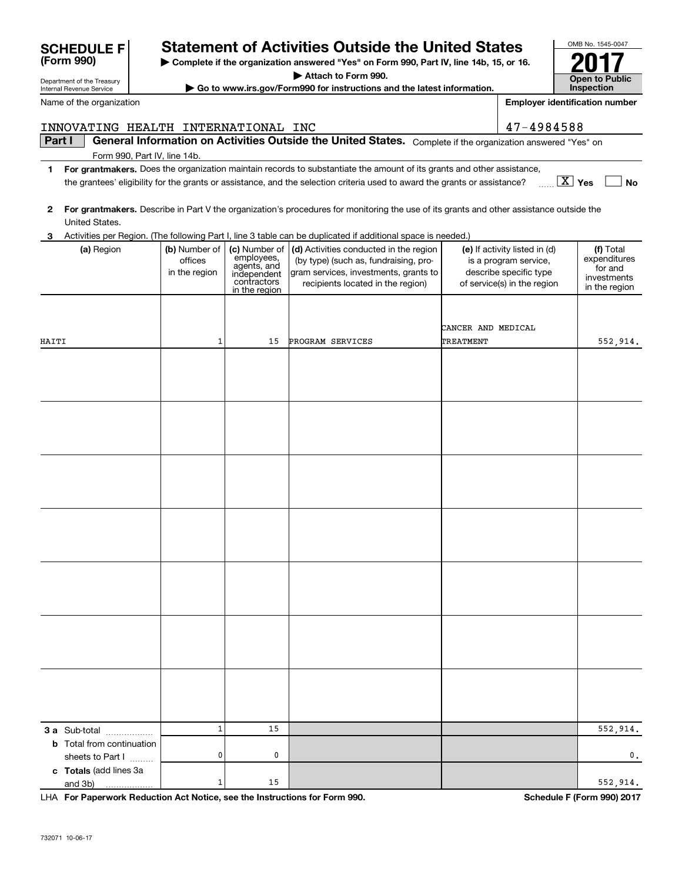| <b>3 a</b> Sub-total                                                       | $\mathbf 1$ | 15 |         |
|----------------------------------------------------------------------------|-------------|----|---------|
| <b>b</b> Total from continuation                                           |             |    |         |
| sheets to Part I                                                           | 0           | 0  |         |
| c Totals (add lines 3a                                                     |             |    |         |
|                                                                            | $\mathbf 1$ | 15 |         |
| LHA For Paperwork Reduction Act Notice, see the Instructions for Form 990. |             |    | Schedul |
| 732071 10-06-17                                                            |             |    |         |
|                                                                            |             |    |         |

## **SCHEDULE F Statement of Activities Outside the United States**

 $\blacktriangleright$  Complete if the organization answered "Yes" on Form 990, P

**| Attach to Form 990.**

**• Go to www.irs.gov/Form990 for instructions and the late** 

| <b>Statement of Activities Outside the United States</b> |  |  |
|----------------------------------------------------------|--|--|

| 3 Activities per Region. (The following Part I. line 3 table can be duplicated if additional space is needed.) |  |  |  |
|----------------------------------------------------------------------------------------------------------------|--|--|--|
|                                                                                                                |  |  |  |

|       |                                                                                       |                                           |                                                                                           | aapnoatoa n aaantonar                                                                                                                                         |                                                                                                                 |                                                                      |
|-------|---------------------------------------------------------------------------------------|-------------------------------------------|-------------------------------------------------------------------------------------------|---------------------------------------------------------------------------------------------------------------------------------------------------------------|-----------------------------------------------------------------------------------------------------------------|----------------------------------------------------------------------|
|       | (a) Region                                                                            | (b) Number of<br>offices<br>in the region | (c) Number of<br>employees,<br>agents, and<br>independent<br>contractors<br>in the region | (d) Activities conducted in the region<br>(by type) (such as, fundraising, pro-<br>gram services, investments, grants to<br>recipients located in the region) | (e) If activity listed in (d)<br>is a program service,<br>describe specific type<br>of service(s) in the region | (f) Total<br>expenditures<br>for and<br>investments<br>in the region |
|       |                                                                                       |                                           |                                                                                           |                                                                                                                                                               | CANCER AND MEDICAL                                                                                              |                                                                      |
| HAITI |                                                                                       | $\mathbf{1}$                              | 15                                                                                        | PROGRAM SERVICES                                                                                                                                              | TREATMENT                                                                                                       | 552,914.                                                             |
|       |                                                                                       |                                           |                                                                                           |                                                                                                                                                               |                                                                                                                 |                                                                      |
|       |                                                                                       |                                           |                                                                                           |                                                                                                                                                               |                                                                                                                 |                                                                      |
|       |                                                                                       |                                           |                                                                                           |                                                                                                                                                               |                                                                                                                 |                                                                      |
|       |                                                                                       |                                           |                                                                                           |                                                                                                                                                               |                                                                                                                 |                                                                      |
|       |                                                                                       |                                           |                                                                                           |                                                                                                                                                               |                                                                                                                 |                                                                      |
|       |                                                                                       |                                           |                                                                                           |                                                                                                                                                               |                                                                                                                 |                                                                      |
|       |                                                                                       |                                           |                                                                                           |                                                                                                                                                               |                                                                                                                 |                                                                      |
|       |                                                                                       |                                           |                                                                                           |                                                                                                                                                               |                                                                                                                 |                                                                      |
|       |                                                                                       |                                           |                                                                                           |                                                                                                                                                               |                                                                                                                 |                                                                      |
|       |                                                                                       |                                           |                                                                                           |                                                                                                                                                               |                                                                                                                 |                                                                      |
|       |                                                                                       |                                           |                                                                                           |                                                                                                                                                               |                                                                                                                 |                                                                      |
|       |                                                                                       |                                           |                                                                                           |                                                                                                                                                               |                                                                                                                 |                                                                      |
|       |                                                                                       |                                           |                                                                                           |                                                                                                                                                               |                                                                                                                 |                                                                      |
|       |                                                                                       |                                           |                                                                                           |                                                                                                                                                               |                                                                                                                 |                                                                      |
|       |                                                                                       |                                           |                                                                                           |                                                                                                                                                               |                                                                                                                 |                                                                      |
|       |                                                                                       |                                           |                                                                                           |                                                                                                                                                               |                                                                                                                 |                                                                      |
|       |                                                                                       |                                           |                                                                                           |                                                                                                                                                               |                                                                                                                 |                                                                      |
|       |                                                                                       |                                           |                                                                                           |                                                                                                                                                               |                                                                                                                 |                                                                      |
|       |                                                                                       |                                           |                                                                                           |                                                                                                                                                               |                                                                                                                 |                                                                      |
|       |                                                                                       |                                           |                                                                                           |                                                                                                                                                               |                                                                                                                 |                                                                      |
|       |                                                                                       |                                           |                                                                                           |                                                                                                                                                               |                                                                                                                 |                                                                      |
|       | 3 a Sub-total                                                                         | $\mathbf{1}$                              | 15                                                                                        |                                                                                                                                                               |                                                                                                                 | 552,914.                                                             |
|       | <b>b</b> Total from continuation                                                      |                                           |                                                                                           |                                                                                                                                                               |                                                                                                                 |                                                                      |
|       | sheets to Part I                                                                      | $\mathbf{0}$                              | 0                                                                                         |                                                                                                                                                               |                                                                                                                 | 0.                                                                   |
|       | c Totals (add lines 3a                                                                | $\mathbf 1$                               | 15                                                                                        |                                                                                                                                                               |                                                                                                                 | 552,914.                                                             |
|       | and 3b)<br>LHA For Paperwork Reduction Act Notice, see the Instructions for Form 990. |                                           |                                                                                           |                                                                                                                                                               |                                                                                                                 | Schedule F (Form 990) 2017                                           |
|       |                                                                                       |                                           |                                                                                           |                                                                                                                                                               |                                                                                                                 |                                                                      |

#### **Part I General Information on Activities Outside the United States.** Complete if the organization answered "Yes" on INNOVATING HEALTH INTERNATIONAL INC 47-4984588

Form 990, Part IV, line 14b.

**1For grantmakers.**  Does the organization maintain records to substantiate the amount of its grants and other assistance, **Yes No** X the grantees' eligibility for the grants or assistance, and the selection criteria used to award the grants or assistance?

| <b>United States</b>          | OMB No. 1545-0047                     |                                     |  |
|-------------------------------|---------------------------------------|-------------------------------------|--|
| Part IV, line 14b, 15, or 16. |                                       |                                     |  |
| ıtest information.            |                                       | <b>Open to Public</b><br>Inspection |  |
|                               | <b>Employer identification number</b> |                                     |  |
|                               | 47-4984588                            |                                     |  |
|                               |                                       |                                     |  |

| <b>SCHEDULE F</b> |  |
|-------------------|--|
| (Form 990)        |  |

Department of the Treasury Internal Revenue Service

Name of the organization

**<sup>2</sup> For grantmakers.**  Describe in Part V the organization's procedures for monitoring the use of its grants and other assistance outside the United States.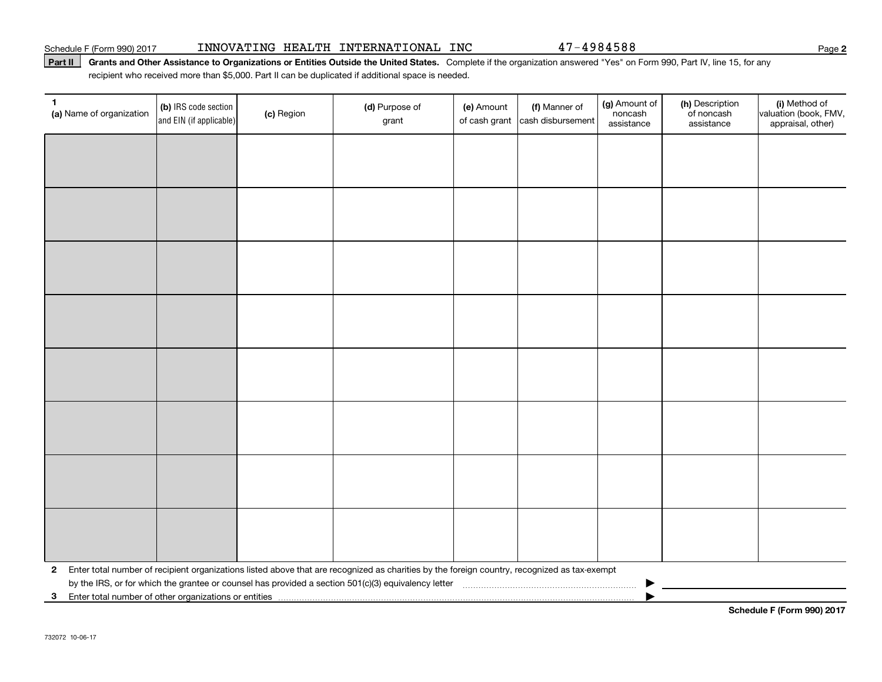#### Schedule F (Form 990) 2017 INNOVATING HEALTH INTERNATIONAL INC 47-4984588 Page

#### Part II | Grants and Other Assistance to Organizations or Entities Outside the United States. Complete if the organization answered "Yes" on Form 990, Part IV, line 15, for any recipient who received more than \$5,000. Part II can be duplicated if additional space is needed.

| 1<br>(a) Name of organization                                                                                                                                | (b) IRS code section<br>and EIN (if applicable) | (c) Region | (d) Purpose of<br>grant | (e) Amount<br>of cash grant | (f) Manner of<br>cash disbursement | (g) Amount of<br>noncash<br>assistance | (h) Description<br>of noncash<br>assistance | (i) Method of<br>valuation (book, FMV,<br>appraisal, other) |
|--------------------------------------------------------------------------------------------------------------------------------------------------------------|-------------------------------------------------|------------|-------------------------|-----------------------------|------------------------------------|----------------------------------------|---------------------------------------------|-------------------------------------------------------------|
|                                                                                                                                                              |                                                 |            |                         |                             |                                    |                                        |                                             |                                                             |
|                                                                                                                                                              |                                                 |            |                         |                             |                                    |                                        |                                             |                                                             |
|                                                                                                                                                              |                                                 |            |                         |                             |                                    |                                        |                                             |                                                             |
|                                                                                                                                                              |                                                 |            |                         |                             |                                    |                                        |                                             |                                                             |
|                                                                                                                                                              |                                                 |            |                         |                             |                                    |                                        |                                             |                                                             |
|                                                                                                                                                              |                                                 |            |                         |                             |                                    |                                        |                                             |                                                             |
|                                                                                                                                                              |                                                 |            |                         |                             |                                    |                                        |                                             |                                                             |
|                                                                                                                                                              |                                                 |            |                         |                             |                                    |                                        |                                             |                                                             |
|                                                                                                                                                              |                                                 |            |                         |                             |                                    |                                        |                                             |                                                             |
|                                                                                                                                                              |                                                 |            |                         |                             |                                    |                                        |                                             |                                                             |
|                                                                                                                                                              |                                                 |            |                         |                             |                                    |                                        |                                             |                                                             |
|                                                                                                                                                              |                                                 |            |                         |                             |                                    |                                        |                                             |                                                             |
|                                                                                                                                                              |                                                 |            |                         |                             |                                    |                                        |                                             |                                                             |
|                                                                                                                                                              |                                                 |            |                         |                             |                                    |                                        |                                             |                                                             |
|                                                                                                                                                              |                                                 |            |                         |                             |                                    |                                        |                                             |                                                             |
|                                                                                                                                                              |                                                 |            |                         |                             |                                    |                                        |                                             |                                                             |
| Enter total number of recipient organizations listed above that are recognized as charities by the foreign country, recognized as tax-exempt<br>$\mathbf{2}$ |                                                 |            |                         |                             |                                    |                                        |                                             |                                                             |
| 3 Enter total number of other organizations or entities                                                                                                      |                                                 |            |                         |                             |                                    |                                        |                                             |                                                             |

**Schedule F (Form 990) 2017**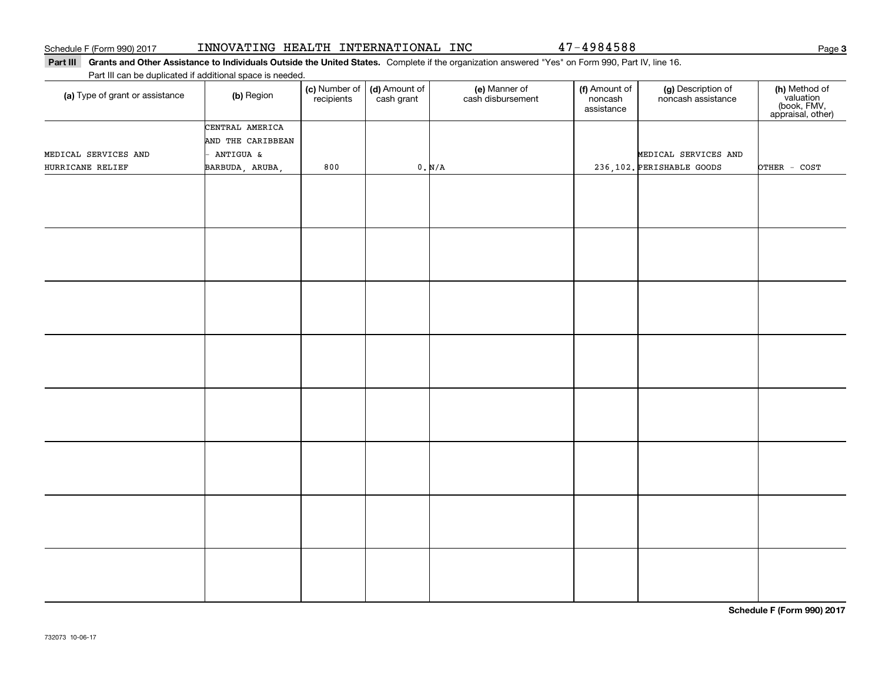# Part III Grants and Other Assistance to Individuals Outside the United States. Complete if the organization answered "Yes" on Form 990, Part IV, line 16. **(c)** Number of **| (d)** Amount of **| (e)** Manner of **| (f)** Amount of **| (g)** Description of **| (h) (a)** Type of grant or assistance  $\qquad$  **(b)** Region Part III can be duplicated if additional space is needed. (c) Number of recipients(d) Amount of cash grant (e) Manner of cash disbursement (f) Amount of noncash assistancenoncash assistance **(h)** Method of<br>valuation<br>(book, FMV,<br>appraisal, other) BARBUDA, ARUBA, 800 0. N/A 236,102. OTHER - COST PERISHABLE GOODS CENTRAL AMERICA AND THE CARIBBEAN - ANTIGUA & MEDICAL SERVICES AND HURRICANE RELIEF MEDICAL SERVICES AND

**Schedule F (Form 990) 2017**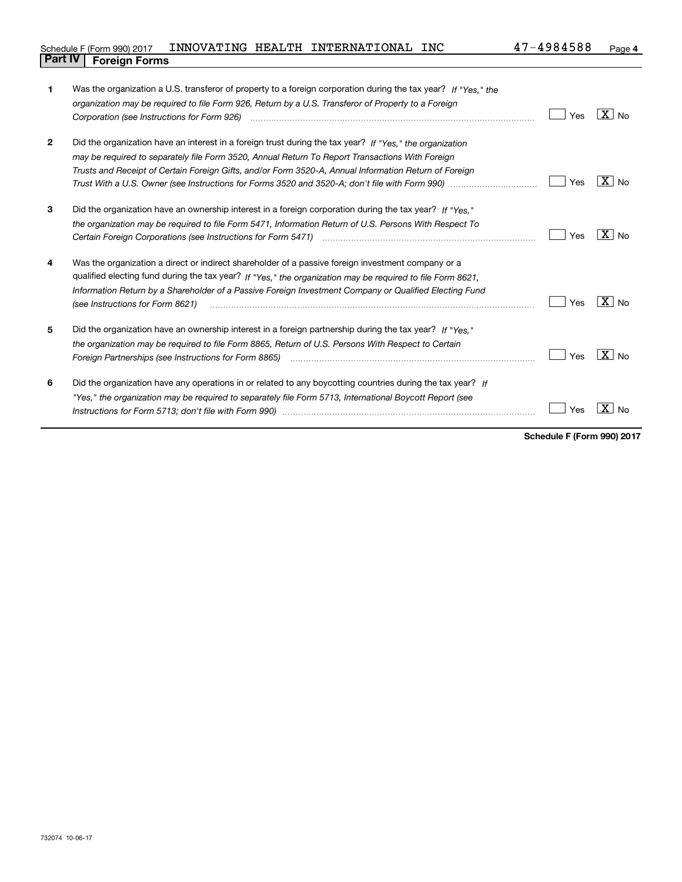| Schedule F (Form 990) 2017     |  | INNOVATING HEALTH INTERNATIONAL | <b>INC</b> | 47-4984588 | Page |
|--------------------------------|--|---------------------------------|------------|------------|------|
| <b>Part IV   Foreign Forms</b> |  |                                 |            |            |      |

| 1              | Was the organization a U.S. transferor of property to a foreign corporation during the tax year? If "Yes." the                             |     |                     |
|----------------|--------------------------------------------------------------------------------------------------------------------------------------------|-----|---------------------|
|                | organization may be required to file Form 926, Return by a U.S. Transferor of Property to a Foreign                                        |     |                     |
|                | Corporation (see Instructions for Form 926) manufactured control and control of the control of the control of                              | Yes | $ X _{\text{No}}$   |
| $\overline{2}$ | Did the organization have an interest in a foreign trust during the tax year? If "Yes," the organization                                   |     |                     |
|                | may be required to separately file Form 3520, Annual Return To Report Transactions With Foreign                                            |     |                     |
|                | Trusts and Receipt of Certain Foreign Gifts, and/or Form 3520-A, Annual Information Return of Foreign                                      |     |                     |
|                |                                                                                                                                            | Yes | $X \mid N_{\Omega}$ |
| 3              | Did the organization have an ownership interest in a foreign corporation during the tax year? If "Yes."                                    |     |                     |
|                | the organization may be required to file Form 5471, Information Return of U.S. Persons With Respect To                                     |     |                     |
|                |                                                                                                                                            | Yes | $X \mid N_{\Omega}$ |
| 4              | Was the organization a direct or indirect shareholder of a passive foreign investment company or a                                         |     |                     |
|                | qualified electing fund during the tax year? If "Yes," the organization may be required to file Form 8621,                                 |     |                     |
|                | Information Return by a Shareholder of a Passive Foreign Investment Company or Qualified Electing Fund<br>(see Instructions for Form 8621) | Yes | $\overline{X}$ No   |
| 5              | Did the organization have an ownership interest in a foreign partnership during the tax year? If "Yes."                                    |     |                     |
|                | the organization may be required to file Form 8865, Return of U.S. Persons With Respect to Certain                                         |     |                     |
|                |                                                                                                                                            | Yes | $ X $ No            |
| 6              | Did the organization have any operations in or related to any boycotting countries during the tax year? If                                 |     |                     |
|                | "Yes," the organization may be required to separately file Form 5713, International Boycott Report (see                                    |     |                     |
|                |                                                                                                                                            | Yes | No                  |
|                |                                                                                                                                            |     |                     |

**Schedule F (Form 990) 2017**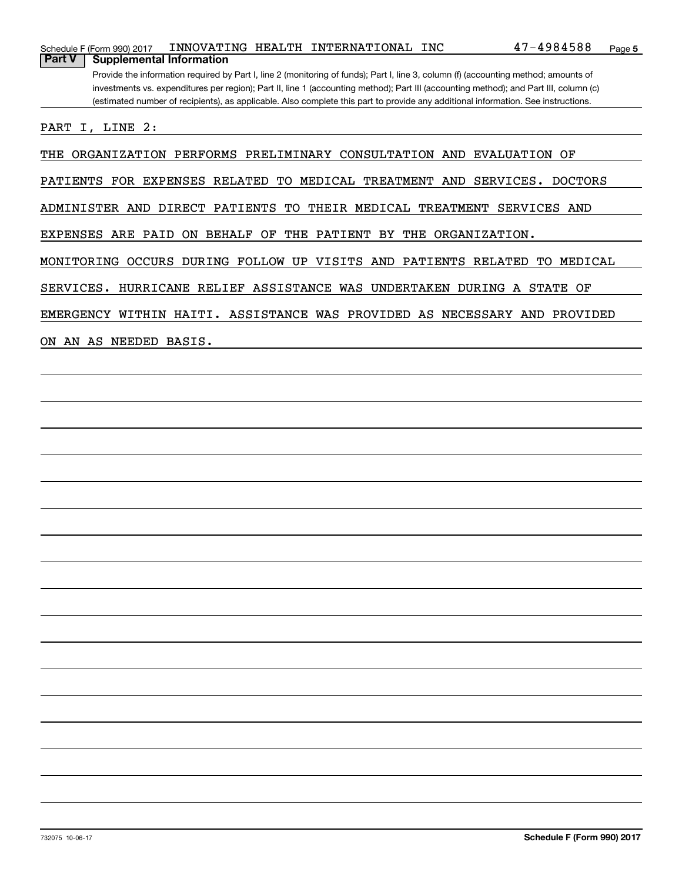|        | Schedule F (Form 990) 2017            |  | INNOVATING HEALTH INTERNATIONAL INC | $47 - 4984588$                                                                                                                        | Page 5 |
|--------|---------------------------------------|--|-------------------------------------|---------------------------------------------------------------------------------------------------------------------------------------|--------|
| Part V | <b>Supplemental Information</b>       |  |                                     |                                                                                                                                       |        |
|        |                                       |  |                                     | Provide the information required by Part I, line 2 (monitoring of funds); Part I, line 3, column (f) (accounting method; amounts of   |        |
|        |                                       |  |                                     | investments vs. expenditures per region); Part II, line 1 (accounting method); Part III (accounting method); and Part III, column (c) |        |
|        |                                       |  |                                     | (estimated number of recipients), as applicable. Also complete this part to provide any additional information. See instructions.     |        |
|        | PART I, LINE 2:                       |  |                                     |                                                                                                                                       |        |
|        | THE ORGANIZATION PERFORMS PRELIMINARY |  | CONSULTATION AND                    | EVALUATION OF                                                                                                                         |        |

PATIENTS FOR EXPENSES RELATED TO MEDICAL TREATMENT AND SERVICES. DOCTORS

ADMINISTER AND DIRECT PATIENTS TO THEIR MEDICAL TREATMENT SERVICES AND

EXPENSES ARE PAID ON BEHALF OF THE PATIENT BY THE ORGANIZATION.

MONITORING OCCURS DURING FOLLOW UP VISITS AND PATIENTS RELATED TO MEDICAL

SERVICES. HURRICANE RELIEF ASSISTANCE WAS UNDERTAKEN DURING A STATE OF

EMERGENCY WITHIN HAITI. ASSISTANCE WAS PROVIDED AS NECESSARY AND PROVIDED

ON AN AS NEEDED BASIS.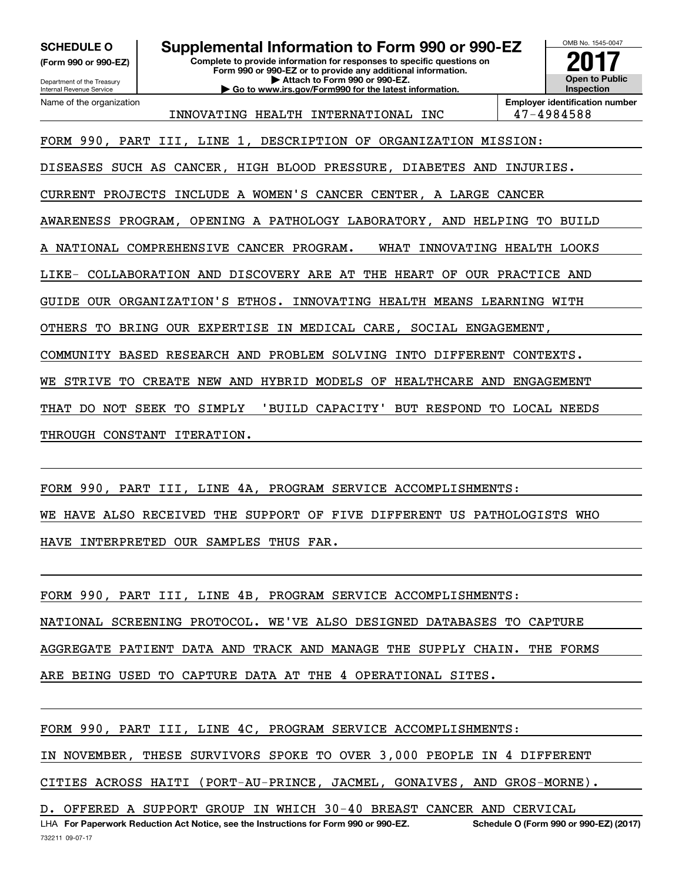**SCHEDULE O Supplemental Information to Form 990 or 990-EZ**

**(Form 990 or 990-EZ)**

Department of the Treasury Internal Revenue Service Name of the organization **Complete to provide information for responses to specific questions on Form 990 or 990-EZ or to provide any additional information. | Attach to Form 990 or 990-EZ. | Go to www.irs.gov/Form990 for the latest information.**



INNOVATING HEALTH INTERNATIONAL INC 47-4984588

FORM 990, PART III, LINE 1, DESCRIPTION OF ORGANIZATION MISSION:

DISEASES SUCH AS CANCER, HIGH BLOOD PRESSURE, DIABETES AND INJURIES.

CURRENT PROJECTS INCLUDE A WOMEN'S CANCER CENTER, A LARGE CANCER

AWARENESS PROGRAM, OPENING A PATHOLOGY LABORATORY, AND HELPING TO BUILD

A NATIONAL COMPREHENSIVE CANCER PROGRAM. WHAT INNOVATING HEALTH LOOKS

LIKE- COLLABORATION AND DISCOVERY ARE AT THE HEART OF OUR PRACTICE AND

GUIDE OUR ORGANIZATION'S ETHOS. INNOVATING HEALTH MEANS LEARNING WITH

OTHERS TO BRING OUR EXPERTISE IN MEDICAL CARE, SOCIAL ENGAGEMENT,

COMMUNITY BASED RESEARCH AND PROBLEM SOLVING INTO DIFFERENT CONTEXTS.

WE STRIVE TO CREATE NEW AND HYBRID MODELS OF HEALTHCARE AND ENGAGEMENT

THAT DO NOT SEEK TO SIMPLY 'BUILD CAPACITY' BUT RESPOND TO LOCAL NEEDS

THROUGH CONSTANT ITERATION.

FORM 990, PART III, LINE 4A, PROGRAM SERVICE ACCOMPLISHMENTS: WE HAVE ALSO RECEIVED THE SUPPORT OF FIVE DIFFERENT US PATHOLOGISTS WHO HAVE INTERPRETED OUR SAMPLES THUS FAR.

FORM 990, PART III, LINE 4B, PROGRAM SERVICE ACCOMPLISHMENTS: NATIONAL SCREENING PROTOCOL. WE'VE ALSO DESIGNED DATABASES TO CAPTURE AGGREGATE PATIENT DATA AND TRACK AND MANAGE THE SUPPLY CHAIN. THE FORMS ARE BEING USED TO CAPTURE DATA AT THE 4 OPERATIONAL SITES.

FORM 990, PART III, LINE 4C, PROGRAM SERVICE ACCOMPLISHMENTS: IN NOVEMBER, THESE SURVIVORS SPOKE TO OVER 3,000 PEOPLE IN 4 DIFFERENT CITIES ACROSS HAITI (PORT-AU-PRINCE, JACMEL, GONAIVES, AND GROS-MORNE).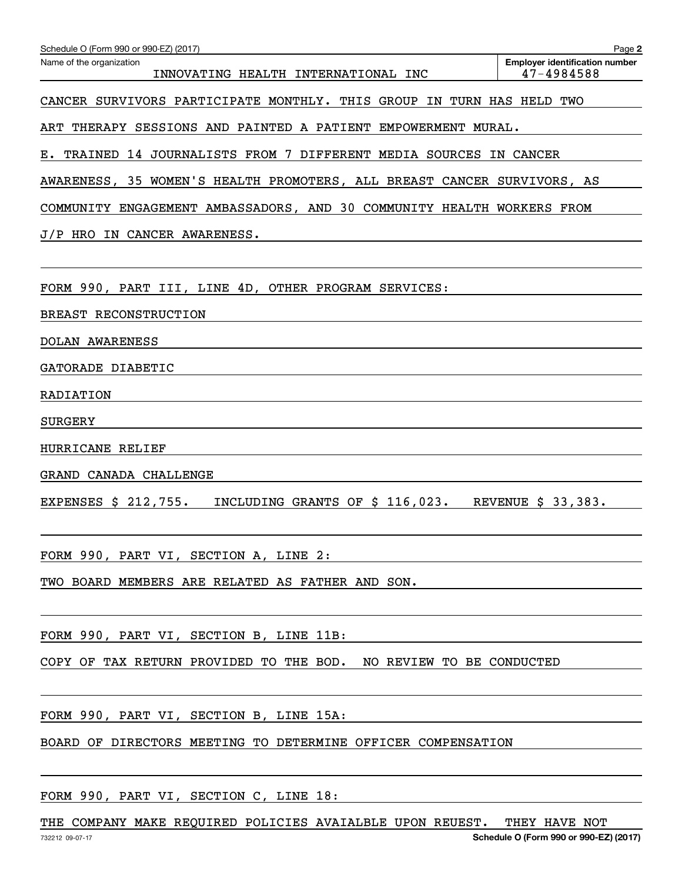| Schedule O (Form 990 or 990-EZ) (2017)                                  | Page 2                                              |
|-------------------------------------------------------------------------|-----------------------------------------------------|
| Name of the organization<br>INNOVATING HEALTH INTERNATIONAL INC         | <b>Employer identification number</b><br>47-4984588 |
| CANCER SURVIVORS PARTICIPATE MONTHLY. THIS GROUP IN TURN HAS HELD TWO   |                                                     |
| ART THERAPY SESSIONS AND PAINTED A PATIENT EMPOWERMENT MURAL.           |                                                     |
| E. TRAINED 14 JOURNALISTS FROM 7 DIFFERENT MEDIA SOURCES IN CANCER      |                                                     |
| AWARENESS, 35 WOMEN'S HEALTH PROMOTERS, ALL BREAST CANCER SURVIVORS, AS |                                                     |
| COMMUNITY ENGAGEMENT AMBASSADORS, AND 30 COMMUNITY HEALTH WORKERS FROM  |                                                     |
| J/P HRO IN CANCER AWARENESS.                                            |                                                     |
|                                                                         |                                                     |
| FORM 990, PART III, LINE 4D, OTHER PROGRAM SERVICES:                    |                                                     |
| BREAST RECONSTRUCTION                                                   |                                                     |
| DOLAN AWARENESS                                                         |                                                     |
| GATORADE DIABETIC                                                       |                                                     |
| RADIATION                                                               |                                                     |
| <b>SURGERY</b>                                                          |                                                     |
| HURRICANE RELIEF                                                        |                                                     |
| GRAND CANADA CHALLENGE                                                  |                                                     |
| EXPENSES \$ 212,755.<br>INCLUDING GRANTS OF \$ 116,023.                 | REVENUE \$ 33,383.                                  |
|                                                                         |                                                     |
| FORM 990, PART VI, SECTION A, LINE 2:                                   |                                                     |
| TWO BOARD MEMBERS ARE RELATED AS FATHER AND SON.                        |                                                     |
|                                                                         |                                                     |
| FORM 990, PART VI, SECTION B, LINE 11B:                                 |                                                     |
| COPY OF TAX RETURN PROVIDED TO THE BOD. NO REVIEW TO BE CONDUCTED       |                                                     |

FORM 990, PART VI, SECTION B, LINE 15A:

BOARD OF DIRECTORS MEETING TO DETERMINE OFFICER COMPENSATION

FORM 990, PART VI, SECTION C, LINE 18:

THE COMPANY MAKE REQUIRED POLICIES AVAIALBLE UPON REUEST. THEY HAVE NOT